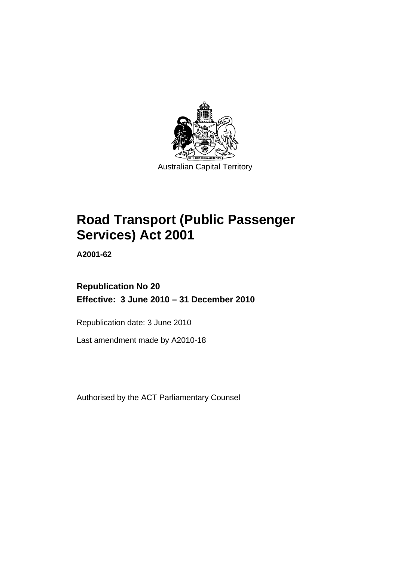

# **[Road Transport \(Public Passenger](#page-10-0)  [Services\) Act 2001](#page-10-0)**

**A2001-62** 

# **Republication No 20 Effective: 3 June 2010 – 31 December 2010**

Republication date: 3 June 2010

Last amendment made by A2010-18

Authorised by the ACT Parliamentary Counsel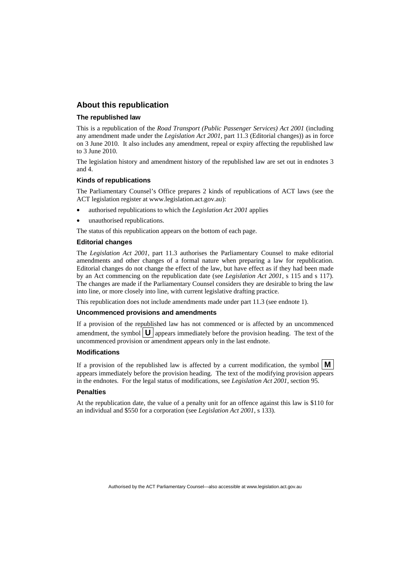#### **About this republication**

#### **The republished law**

This is a republication of the *Road Transport (Public Passenger Services) Act 2001* (including any amendment made under the *Legislation Act 2001*, part 11.3 (Editorial changes)) as in force on 3 June 2010*.* It also includes any amendment, repeal or expiry affecting the republished law to 3 June 2010.

The legislation history and amendment history of the republished law are set out in endnotes 3 and 4.

#### **Kinds of republications**

The Parliamentary Counsel's Office prepares 2 kinds of republications of ACT laws (see the ACT legislation register at www.legislation.act.gov.au):

- authorised republications to which the *Legislation Act 2001* applies
- unauthorised republications.

The status of this republication appears on the bottom of each page.

#### **Editorial changes**

The *Legislation Act 2001*, part 11.3 authorises the Parliamentary Counsel to make editorial amendments and other changes of a formal nature when preparing a law for republication. Editorial changes do not change the effect of the law, but have effect as if they had been made by an Act commencing on the republication date (see *Legislation Act 2001*, s 115 and s 117). The changes are made if the Parliamentary Counsel considers they are desirable to bring the law into line, or more closely into line, with current legislative drafting practice.

This republication does not include amendments made under part 11.3 (see endnote 1).

#### **Uncommenced provisions and amendments**

If a provision of the republished law has not commenced or is affected by an uncommenced amendment, the symbol  $\mathbf{U}$  appears immediately before the provision heading. The text of the uncommenced provision  $\overline{or}$  amendment appears only in the last endnote.

#### **Modifications**

If a provision of the republished law is affected by a current modification, the symbol  $\mathbf{M}$ appears immediately before the provision heading. The text of the modifying provision appears in the endnotes. For the legal status of modifications, see *Legislation Act 2001*, section 95.

#### **Penalties**

At the republication date, the value of a penalty unit for an offence against this law is \$110 for an individual and \$550 for a corporation (see *Legislation Act 2001*, s 133).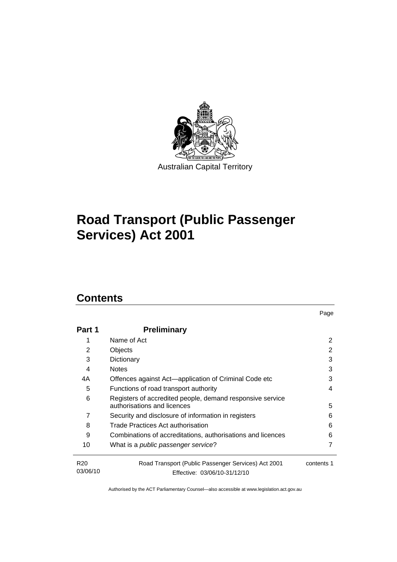

# **[Road Transport \(Public Passenger](#page-10-0)  [Services\) Act 2001](#page-10-0)**

# **Contents**

| Part 1                      | <b>Preliminary</b>                                                                            |            |  |
|-----------------------------|-----------------------------------------------------------------------------------------------|------------|--|
|                             | Name of Act                                                                                   | 2          |  |
| 2                           | Objects<br>2                                                                                  |            |  |
| 3                           | 3<br>Dictionary                                                                               |            |  |
| 4                           | <b>Notes</b>                                                                                  | 3          |  |
| 4А                          | Offences against Act-application of Criminal Code etc                                         | 3          |  |
| 5                           | Functions of road transport authority<br>4                                                    |            |  |
| 6                           | Registers of accredited people, demand responsive service<br>authorisations and licences<br>5 |            |  |
| 7                           | Security and disclosure of information in registers                                           | 6          |  |
| 8                           | Trade Practices Act authorisation                                                             | 6          |  |
| 9                           | Combinations of accreditations, authorisations and licences                                   | 6          |  |
| 10                          | What is a public passenger service?                                                           |            |  |
| R <sub>20</sub><br>03/06/10 | Road Transport (Public Passenger Services) Act 2001<br>Effective: 03/06/10-31/12/10           | contents 1 |  |

Page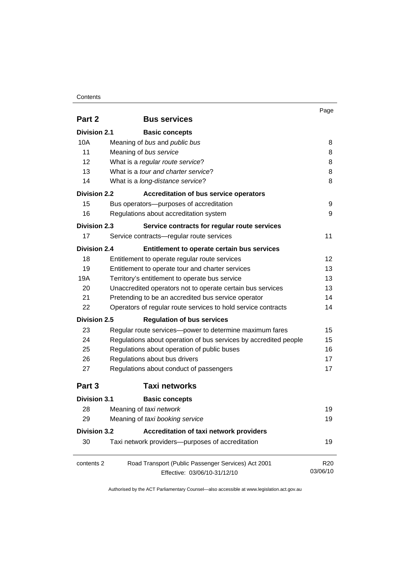#### **Contents**

|                     |                                                                                     | Page                        |  |  |
|---------------------|-------------------------------------------------------------------------------------|-----------------------------|--|--|
| Part 2              | <b>Bus services</b>                                                                 |                             |  |  |
| <b>Division 2.1</b> | <b>Basic concepts</b>                                                               |                             |  |  |
| 10A                 | Meaning of bus and public bus                                                       | 8                           |  |  |
| 11                  | Meaning of bus service                                                              |                             |  |  |
| 12                  | What is a regular route service?                                                    |                             |  |  |
| 13                  | What is a tour and charter service?                                                 | 8                           |  |  |
| 14                  | What is a long-distance service?                                                    | 8                           |  |  |
| <b>Division 2.2</b> | <b>Accreditation of bus service operators</b>                                       |                             |  |  |
| 15                  | Bus operators-purposes of accreditation                                             | 9                           |  |  |
| 16                  | Regulations about accreditation system                                              | 9                           |  |  |
| Division 2.3        | Service contracts for regular route services                                        |                             |  |  |
| 17                  | Service contracts-regular route services                                            | 11                          |  |  |
| <b>Division 2.4</b> | Entitlement to operate certain bus services                                         |                             |  |  |
| 18                  | Entitlement to operate regular route services                                       | 12                          |  |  |
| 19                  | Entitlement to operate tour and charter services                                    | 13                          |  |  |
| 19A                 | 13<br>Territory's entitlement to operate bus service                                |                             |  |  |
| 20                  | Unaccredited operators not to operate certain bus services                          | 13                          |  |  |
| 21                  | Pretending to be an accredited bus service operator                                 |                             |  |  |
| 22                  | Operators of regular route services to hold service contracts                       | 14                          |  |  |
| <b>Division 2.5</b> | <b>Regulation of bus services</b>                                                   |                             |  |  |
| 23                  | Regular route services-power to determine maximum fares                             | 15                          |  |  |
| 24                  | Regulations about operation of bus services by accredited people                    | 15                          |  |  |
| 25                  | Regulations about operation of public buses                                         | 16                          |  |  |
| 26                  | Regulations about bus drivers                                                       | 17                          |  |  |
| 27                  | Regulations about conduct of passengers                                             | 17                          |  |  |
| Part 3              | <b>Taxi networks</b>                                                                |                             |  |  |
| <b>Division 3.1</b> | <b>Basic concepts</b>                                                               |                             |  |  |
| 28                  | Meaning of taxi network                                                             | 19                          |  |  |
| 29                  | Meaning of taxi booking service                                                     | 19                          |  |  |
| <b>Division 3.2</b> | Accreditation of taxi network providers                                             |                             |  |  |
| 30                  | Taxi network providers-purposes of accreditation                                    | 19                          |  |  |
| contents 2          | Road Transport (Public Passenger Services) Act 2001<br>Effective: 03/06/10-31/12/10 | R <sub>20</sub><br>03/06/10 |  |  |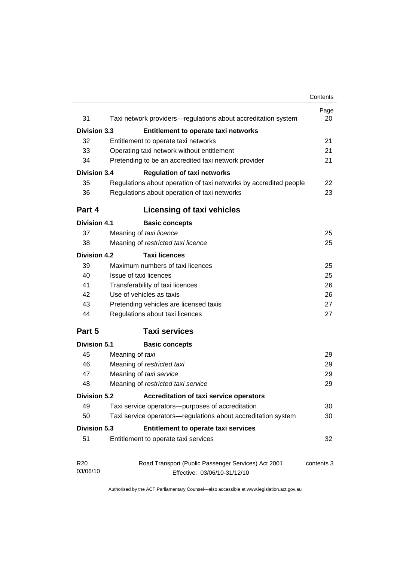|                             |                                                                   | Contents   |
|-----------------------------|-------------------------------------------------------------------|------------|
| 31                          | Taxi network providers-regulations about accreditation system     | Page<br>20 |
|                             |                                                                   |            |
| <b>Division 3.3</b>         | Entitlement to operate taxi networks                              |            |
| 32                          | Entitlement to operate taxi networks                              | 21         |
| 33                          | Operating taxi network without entitlement                        | 21         |
| 34                          | Pretending to be an accredited taxi network provider              | 21         |
| Division 3.4                | <b>Regulation of taxi networks</b>                                |            |
| 35                          | Regulations about operation of taxi networks by accredited people | 22         |
| 36                          | Regulations about operation of taxi networks                      | 23         |
| Part 4                      | <b>Licensing of taxi vehicles</b>                                 |            |
| <b>Division 4.1</b>         | <b>Basic concepts</b>                                             |            |
| 37                          | Meaning of taxi licence                                           | 25         |
| 38                          | Meaning of restricted taxi licence                                | 25         |
| <b>Division 4.2</b>         | <b>Taxi licences</b>                                              |            |
| 39                          | Maximum numbers of taxi licences                                  | 25         |
| 40                          | Issue of taxi licences                                            | 25         |
| 41                          | Transferability of taxi licences                                  | 26         |
| 42                          | Use of vehicles as taxis                                          | 26         |
| 43                          | Pretending vehicles are licensed taxis                            | 27         |
| 44                          | Regulations about taxi licences                                   | 27         |
| Part 5                      | <b>Taxi services</b>                                              |            |
| <b>Division 5.1</b>         | <b>Basic concepts</b>                                             |            |
| 45                          | Meaning of taxi                                                   | 29         |
| 46                          | Meaning of restricted taxi                                        | 29         |
| 47                          | Meaning of taxi service                                           | 29         |
| 48                          | Meaning of restricted taxi service                                | 29         |
| <b>Division 5.2</b>         | <b>Accreditation of taxi service operators</b>                    |            |
| 49                          | Taxi service operators--purposes of accreditation                 | 30         |
| 50                          | Taxi service operators-regulations about accreditation system     | 30         |
| <b>Division 5.3</b>         | Entitlement to operate taxi services                              |            |
| 51                          | Entitlement to operate taxi services                              | 32         |
| R <sub>20</sub><br>03/06/10 | Road Transport (Public Passenger Services) Act 2001               | contents 3 |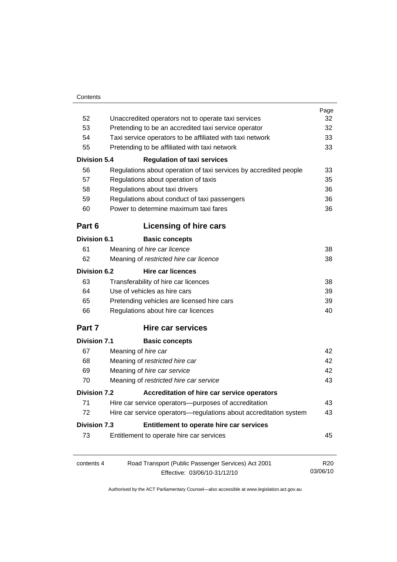|                     |                                                                   | Page            |  |
|---------------------|-------------------------------------------------------------------|-----------------|--|
| 52                  | Unaccredited operators not to operate taxi services               |                 |  |
| 53                  | Pretending to be an accredited taxi service operator              |                 |  |
| 54                  | Taxi service operators to be affiliated with taxi network         |                 |  |
| 55                  | Pretending to be affiliated with taxi network                     |                 |  |
| <b>Division 5.4</b> | <b>Regulation of taxi services</b>                                |                 |  |
| 56                  | Regulations about operation of taxi services by accredited people | 33              |  |
| 57                  | Regulations about operation of taxis                              | 35              |  |
| 58                  | Regulations about taxi drivers                                    |                 |  |
| 59                  | Regulations about conduct of taxi passengers                      |                 |  |
| 60                  | Power to determine maximum taxi fares                             |                 |  |
| Part 6              | Licensing of hire cars                                            |                 |  |
| Division 6.1        | <b>Basic concepts</b>                                             |                 |  |
| 61                  | Meaning of hire car licence                                       | 38              |  |
| 62                  | Meaning of restricted hire car licence                            |                 |  |
| Division 6.2        | <b>Hire car licences</b>                                          |                 |  |
| 63                  | Transferability of hire car licences                              | 38              |  |
| 64                  | Use of vehicles as hire cars                                      |                 |  |
| 65                  | Pretending vehicles are licensed hire cars                        |                 |  |
| 66                  | Regulations about hire car licences                               |                 |  |
| Part 7              | <b>Hire car services</b>                                          |                 |  |
| <b>Division 7.1</b> | <b>Basic concepts</b>                                             |                 |  |
| 67                  | Meaning of hire car                                               | 42              |  |
| 68                  | Meaning of restricted hire car                                    | 42              |  |
| 69                  | Meaning of hire car service                                       |                 |  |
| 70                  | Meaning of restricted hire car service                            | 43              |  |
| <b>Division 7.2</b> | Accreditation of hire car service operators                       |                 |  |
| 71                  | Hire car service operators-purposes of accreditation              | 43              |  |
| 72                  | Hire car service operators—regulations about accreditation system | 43              |  |
| <b>Division 7.3</b> | Entitlement to operate hire car services                          |                 |  |
| 73                  | Entitlement to operate hire car services                          | 45              |  |
| contents 4          | Road Transport (Public Passenger Services) Act 2001               | R <sub>20</sub> |  |
|                     | Effective: 03/06/10-31/12/10                                      | 03/06/10        |  |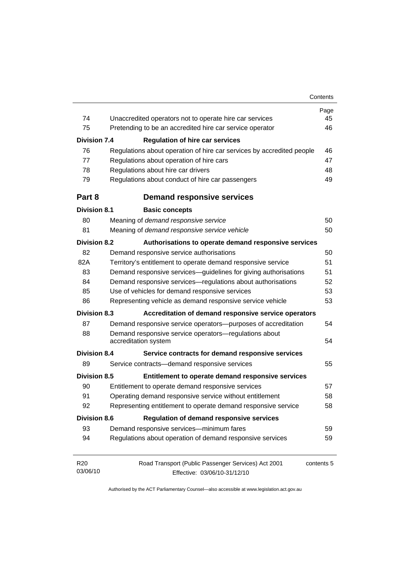|                                                                 |                                                                               | Page       |
|-----------------------------------------------------------------|-------------------------------------------------------------------------------|------------|
| 74                                                              | Unaccredited operators not to operate hire car services                       | 45         |
| 75                                                              | Pretending to be an accredited hire car service operator                      | 46         |
| <b>Division 7.4</b>                                             | <b>Regulation of hire car services</b>                                        |            |
| 76                                                              | Regulations about operation of hire car services by accredited people         | 46         |
| 77                                                              | Regulations about operation of hire cars                                      | 47         |
| 78                                                              | Regulations about hire car drivers                                            | 48         |
| 79                                                              | Regulations about conduct of hire car passengers                              | 49         |
| Part 8                                                          | <b>Demand responsive services</b>                                             |            |
| <b>Division 8.1</b>                                             | <b>Basic concepts</b>                                                         |            |
| 80                                                              | Meaning of demand responsive service                                          | 50         |
| 81                                                              | Meaning of demand responsive service vehicle                                  | 50         |
| <b>Division 8.2</b>                                             | Authorisations to operate demand responsive services                          |            |
| 82                                                              | Demand responsive service authorisations                                      | 50         |
| 82A                                                             | Territory's entitlement to operate demand responsive service                  | 51         |
| 83                                                              | Demand responsive services-guidelines for giving authorisations               | 51         |
| 84                                                              | Demand responsive services-regulations about authorisations                   | 52         |
| 85                                                              | Use of vehicles for demand responsive services                                | 53         |
| 86<br>Representing vehicle as demand responsive service vehicle |                                                                               | 53         |
| <b>Division 8.3</b>                                             | Accreditation of demand responsive service operators                          |            |
| 87                                                              | Demand responsive service operators-purposes of accreditation                 | 54         |
| 88                                                              | Demand responsive service operators-regulations about<br>accreditation system |            |
| <b>Division 8.4</b>                                             | Service contracts for demand responsive services                              |            |
| 89                                                              | Service contracts-demand responsive services                                  | 55         |
| <b>Division 8.5</b>                                             | Entitlement to operate demand responsive services                             |            |
| 90                                                              | Entitlement to operate demand responsive services                             | 57         |
| 91                                                              | Operating demand responsive service without entitlement                       | 58         |
| 92                                                              | Representing entitlement to operate demand responsive service                 | 58         |
| <b>Division 8.6</b>                                             | <b>Regulation of demand responsive services</b>                               |            |
| 93                                                              | Demand responsive services-minimum fares                                      | 59         |
| 94                                                              | Regulations about operation of demand responsive services                     | 59         |
| R <sub>20</sub>                                                 | Road Transport (Public Passenger Services) Act 2001                           | contents 5 |
| 03/06/10                                                        | Effective: 03/06/10-31/12/10                                                  |            |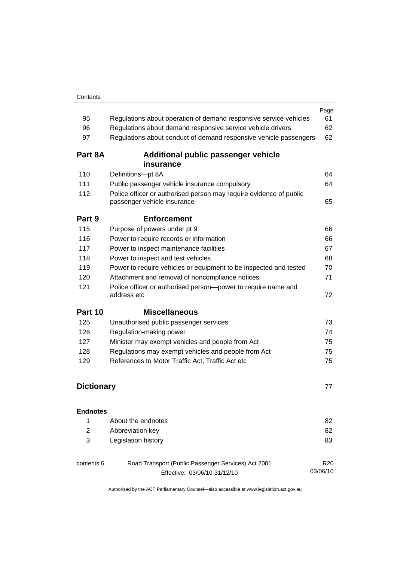| 95                | Regulations about operation of demand responsive service vehicles                                                                                  | Page<br>61                  |
|-------------------|----------------------------------------------------------------------------------------------------------------------------------------------------|-----------------------------|
| 96                | Regulations about demand responsive service vehicle drivers                                                                                        | 62                          |
| 97                | Regulations about conduct of demand responsive vehicle passengers                                                                                  |                             |
| Part 8A           | Additional public passenger vehicle                                                                                                                |                             |
| 110               | insurance<br>Definitions-pt 8A                                                                                                                     | 64                          |
| 111               |                                                                                                                                                    | 64                          |
| 112               | Public passenger vehicle insurance compulsory<br>Police officer or authorised person may require evidence of public<br>passenger vehicle insurance |                             |
| Part 9            | <b>Enforcement</b>                                                                                                                                 |                             |
| 115               | Purpose of powers under pt 9                                                                                                                       | 66                          |
| 116               | Power to require records or information                                                                                                            | 66                          |
| 117               | Power to inspect maintenance facilities                                                                                                            | 67                          |
| 118               | Power to inspect and test vehicles                                                                                                                 | 68                          |
| 119               | Power to require vehicles or equipment to be inspected and tested                                                                                  | 70                          |
| 120               | Attachment and removal of noncompliance notices                                                                                                    |                             |
| 121               | Police officer or authorised person-power to require name and<br>address etc                                                                       | 72                          |
| Part 10           | <b>Miscellaneous</b>                                                                                                                               |                             |
| 125               | Unauthorised public passenger services                                                                                                             | 73                          |
| 126               | Regulation-making power                                                                                                                            | 74                          |
| 127               | Minister may exempt vehicles and people from Act                                                                                                   | 75                          |
| 128               | Regulations may exempt vehicles and people from Act                                                                                                | 75                          |
| 129               | References to Motor Traffic Act, Traffic Act etc                                                                                                   |                             |
| <b>Dictionary</b> |                                                                                                                                                    | 77                          |
| <b>Endnotes</b>   |                                                                                                                                                    |                             |
| 1                 | About the endnotes                                                                                                                                 | 82                          |
| $\overline{2}$    | Abbreviation key                                                                                                                                   | 82                          |
| 3                 | Legislation history                                                                                                                                | 83                          |
| contents 6        | Road Transport (Public Passenger Services) Act 2001<br>Effective: 03/06/10-31/12/10                                                                | R <sub>20</sub><br>03/06/10 |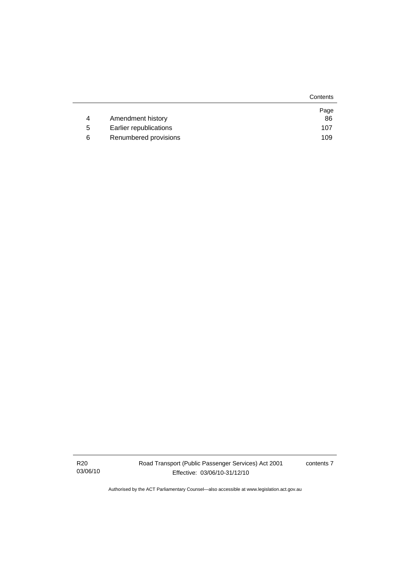|   |                        | Contents |
|---|------------------------|----------|
|   |                        | Page     |
| 4 | Amendment history      | 86       |
| 5 | Earlier republications | 107      |
| 6 | Renumbered provisions  | 109      |

R20 03/06/10 contents 7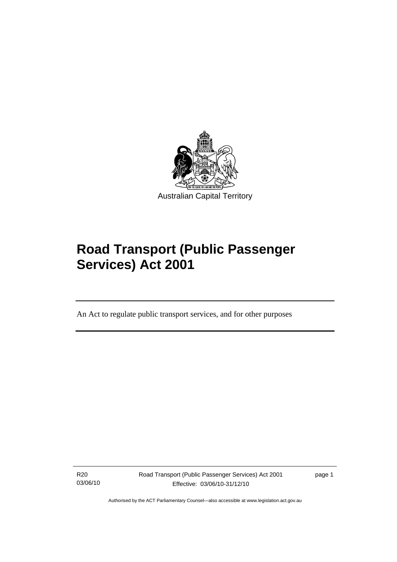<span id="page-10-0"></span>

# **Road Transport (Public Passenger Services) Act 2001**

An Act to regulate public transport services, and for other purposes

R20 03/06/10

Ī

Road Transport (Public Passenger Services) Act 2001 Effective: 03/06/10-31/12/10

page 1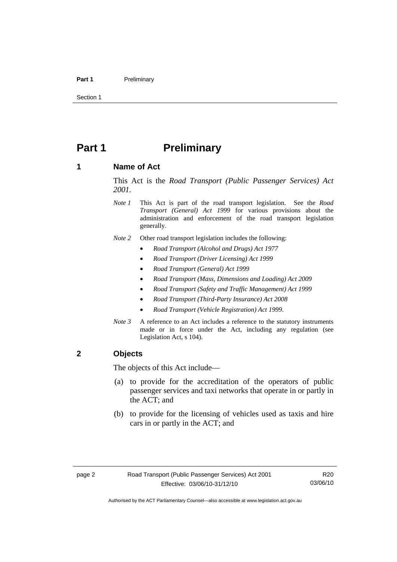#### <span id="page-11-0"></span>Part 1 **Preliminary**

Section 1

# **Part 1** Preliminary

#### **1 Name of Act**

This Act is the *Road Transport (Public Passenger Services) Act 2001.* 

- *Note 1* This Act is part of the road transport legislation. See the *Road Transport (General) Act 1999* for various provisions about the administration and enforcement of the road transport legislation generally.
- *Note 2* Other road transport legislation includes the following:
	- *Road Transport (Alcohol and Drugs) Act 1977*
	- *Road Transport (Driver Licensing) Act 1999*
	- *Road Transport (General) Act 1999*
	- *Road Transport (Mass, Dimensions and Loading) Act 2009*
	- *Road Transport (Safety and Traffic Management) Act 1999*
	- *Road Transport (Third-Party Insurance) Act 2008*
	- *Road Transport (Vehicle Registration) Act 1999*.
- *Note 3* A reference to an Act includes a reference to the statutory instruments made or in force under the Act, including any regulation (see Legislation Act, s 104).

#### **2 Objects**

The objects of this Act include—

- (a) to provide for the accreditation of the operators of public passenger services and taxi networks that operate in or partly in the ACT; and
- (b) to provide for the licensing of vehicles used as taxis and hire cars in or partly in the ACT; and

R20 03/06/10

Authorised by the ACT Parliamentary Counsel—also accessible at www.legislation.act.gov.au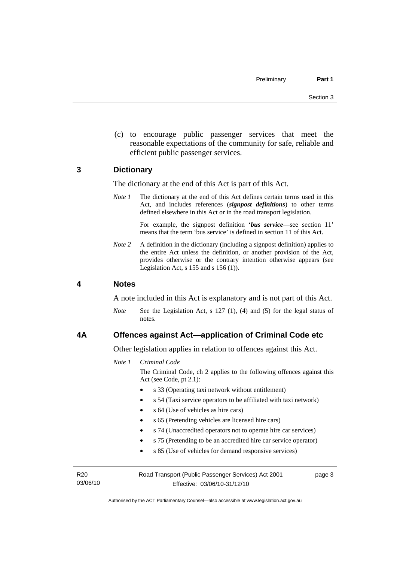<span id="page-12-0"></span> (c) to encourage public passenger services that meet the reasonable expectations of the community for safe, reliable and efficient public passenger services.

#### **3 Dictionary**

The dictionary at the end of this Act is part of this Act.

*Note 1* The dictionary at the end of this Act defines certain terms used in this Act, and includes references (*signpost definitions*) to other terms defined elsewhere in this Act or in the road transport legislation.

> For example, the signpost definition '*bus service*—see section 11' means that the term 'bus service' is defined in section 11 of this Act.

*Note* 2 A definition in the dictionary (including a signpost definition) applies to the entire Act unless the definition, or another provision of the Act, provides otherwise or the contrary intention otherwise appears (see Legislation Act, s  $155$  and s  $156$  (1)).

#### **4 Notes**

A note included in this Act is explanatory and is not part of this Act.

*Note* See the Legislation Act, s 127 (1), (4) and (5) for the legal status of notes.

#### **4A Offences against Act—application of Criminal Code etc**

Other legislation applies in relation to offences against this Act.

*Note 1 Criminal Code*

The Criminal Code, ch 2 applies to the following offences against this Act (see Code, pt 2.1):

- s 33 (Operating taxi network without entitlement)
- s 54 (Taxi service operators to be affiliated with taxi network)
- s 64 (Use of vehicles as hire cars)
- s 65 (Pretending vehicles are licensed hire cars)
- s 74 (Unaccredited operators not to operate hire car services)
- s 75 (Pretending to be an accredited hire car service operator)
- s 85 (Use of vehicles for demand responsive services)

R20 03/06/10 Road Transport (Public Passenger Services) Act 2001 Effective: 03/06/10-31/12/10

page 3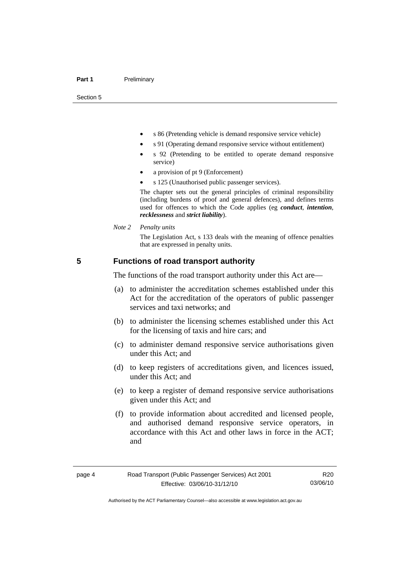<span id="page-13-0"></span>Section 5

- s 86 (Pretending vehicle is demand responsive service vehicle)
- s 91 (Operating demand responsive service without entitlement)
- s 92 (Pretending to be entitled to operate demand responsive service)
- a provision of pt 9 (Enforcement)
- s 125 (Unauthorised public passenger services).

The chapter sets out the general principles of criminal responsibility (including burdens of proof and general defences), and defines terms used for offences to which the Code applies (eg *conduct*, *intention*, *recklessness* and *strict liability*).

*Note 2 Penalty units* 

The Legislation Act, s 133 deals with the meaning of offence penalties that are expressed in penalty units.

#### **5 Functions of road transport authority**

The functions of the road transport authority under this Act are—

- (a) to administer the accreditation schemes established under this Act for the accreditation of the operators of public passenger services and taxi networks; and
- (b) to administer the licensing schemes established under this Act for the licensing of taxis and hire cars; and
- (c) to administer demand responsive service authorisations given under this Act; and
- (d) to keep registers of accreditations given, and licences issued, under this Act; and
- (e) to keep a register of demand responsive service authorisations given under this Act; and
- (f) to provide information about accredited and licensed people, and authorised demand responsive service operators, in accordance with this Act and other laws in force in the ACT; and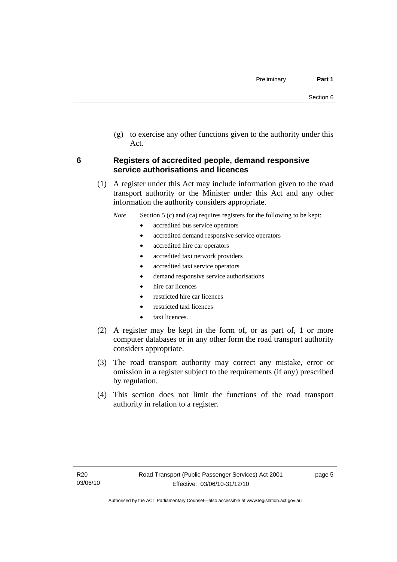<span id="page-14-0"></span> (g) to exercise any other functions given to the authority under this Act.

#### **6 Registers of accredited people, demand responsive service authorisations and licences**

 (1) A register under this Act may include information given to the road transport authority or the Minister under this Act and any other information the authority considers appropriate.

*Note* Section 5 (c) and (ca) requires registers for the following to be kept:

- accredited bus service operators
- accredited demand responsive service operators
- accredited hire car operators
- accredited taxi network providers
- accredited taxi service operators
- demand responsive service authorisations
- hire car licences
- restricted hire car licences
- restricted taxi licences
- taxi licences.
- (2) A register may be kept in the form of, or as part of, 1 or more computer databases or in any other form the road transport authority considers appropriate.
- (3) The road transport authority may correct any mistake, error or omission in a register subject to the requirements (if any) prescribed by regulation.
- (4) This section does not limit the functions of the road transport authority in relation to a register.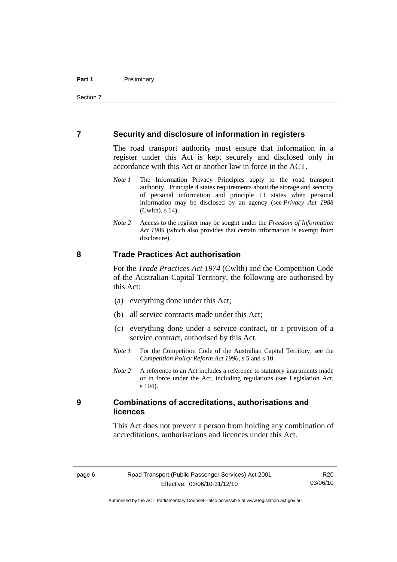#### <span id="page-15-0"></span>**7 Security and disclosure of information in registers**

The road transport authority must ensure that information in a register under this Act is kept securely and disclosed only in accordance with this Act or another law in force in the ACT.

- *Note 1* The Information Privacy Principles apply to the road transport authority. Principle 4 states requirements about the storage and security of personal information and principle 11 states when personal information may be disclosed by an agency (see *Privacy Act 1988* (Cwlth), s 14).
- *Note 2* Access to the register may be sought under the *Freedom of Information Act 1989* (which also provides that certain information is exempt from disclosure).

#### **8 Trade Practices Act authorisation**

For the *Trade Practices Act 1974* (Cwlth) and the Competition Code of the Australian Capital Territory, the following are authorised by this Act:

- (a) everything done under this Act;
- (b) all service contracts made under this Act;
- (c) everything done under a service contract, or a provision of a service contract, authorised by this Act.
- *Note 1* For the Competition Code of the Australian Capital Territory, see the *Competition Policy Reform Act 1996*, s 5 and s 10.
- *Note 2* A reference to an Act includes a reference to statutory instruments made or in force under the Act, including regulations (see Legislation Act, s 104).

#### **9 Combinations of accreditations, authorisations and licences**

This Act does not prevent a person from holding any combination of accreditations, authorisations and licences under this Act.

R20 03/06/10

Authorised by the ACT Parliamentary Counsel—also accessible at www.legislation.act.gov.au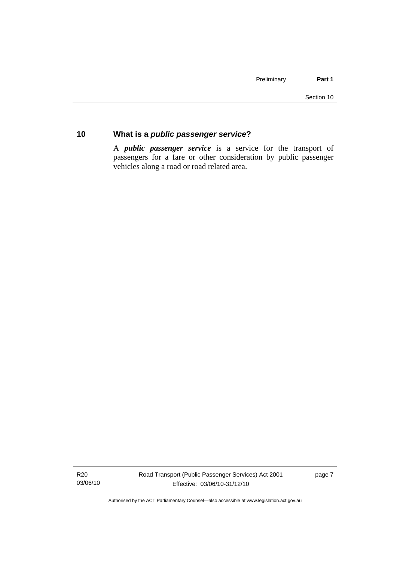### <span id="page-16-0"></span>**10 What is a** *public passenger service***?**

A *public passenger service* is a service for the transport of passengers for a fare or other consideration by public passenger vehicles along a road or road related area.

R20 03/06/10 Road Transport (Public Passenger Services) Act 2001 Effective: 03/06/10-31/12/10

page 7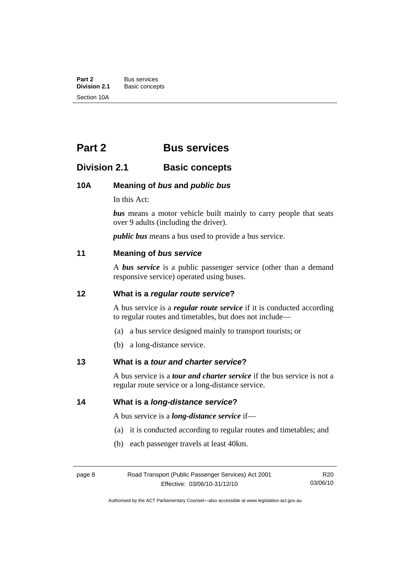<span id="page-17-0"></span>**Part 2** Bus services<br> **Division 2.1** Basic concer **Division 2.1** Basic concepts Section 10A

# **Part 2 Bus services**

# **Division 2.1 Basic concepts**

#### **10A Meaning of** *bus* **and** *public bus*

In this Act:

*bus* means a motor vehicle built mainly to carry people that seats over 9 adults (including the driver).

*public bus* means a bus used to provide a bus service.

#### **11 Meaning of** *bus service*

A *bus service* is a public passenger service (other than a demand responsive service) operated using buses.

#### **12 What is a** *regular route service***?**

A bus service is a *regular route service* if it is conducted according to regular routes and timetables, but does not include—

- (a) a bus service designed mainly to transport tourists; or
- (b) a long-distance service.

#### **13 What is a** *tour and charter service***?**

A bus service is a *tour and charter service* if the bus service is not a regular route service or a long-distance service.

#### **14 What is a** *long-distance service***?**

A bus service is a *long-distance service* if—

- (a) it is conducted according to regular routes and timetables; and
- (b) each passenger travels at least 40km.

| page 8 | Road <sup>®</sup> |  |
|--------|-------------------|--|
|        |                   |  |

Authorised by the ACT Parliamentary Counsel—also accessible at www.legislation.act.gov.au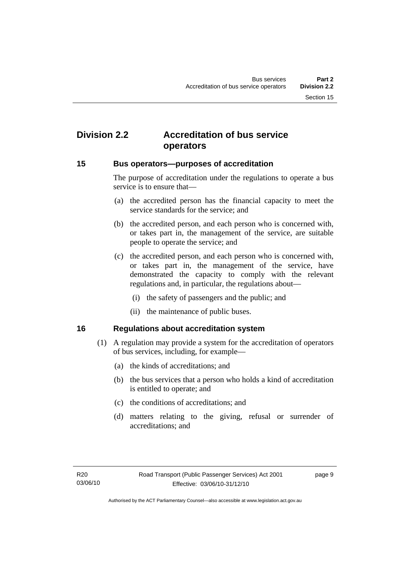# <span id="page-18-0"></span>**Division 2.2 Accreditation of bus service operators**

#### **15 Bus operators—purposes of accreditation**

The purpose of accreditation under the regulations to operate a bus service is to ensure that—

- (a) the accredited person has the financial capacity to meet the service standards for the service; and
- (b) the accredited person, and each person who is concerned with, or takes part in, the management of the service, are suitable people to operate the service; and
- (c) the accredited person, and each person who is concerned with, or takes part in, the management of the service, have demonstrated the capacity to comply with the relevant regulations and, in particular, the regulations about—
	- (i) the safety of passengers and the public; and
	- (ii) the maintenance of public buses.

#### **16 Regulations about accreditation system**

- (1) A regulation may provide a system for the accreditation of operators of bus services, including, for example—
	- (a) the kinds of accreditations; and
	- (b) the bus services that a person who holds a kind of accreditation is entitled to operate; and
	- (c) the conditions of accreditations; and
	- (d) matters relating to the giving, refusal or surrender of accreditations; and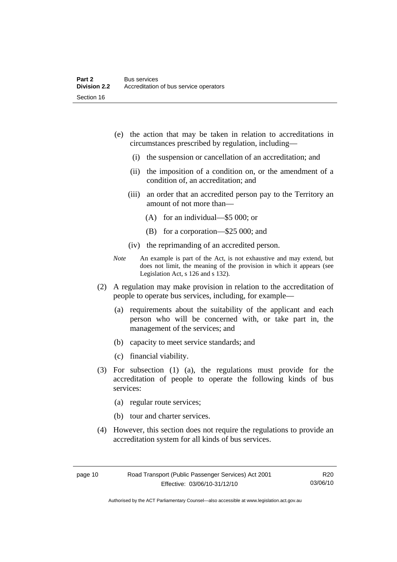- (e) the action that may be taken in relation to accreditations in circumstances prescribed by regulation, including—
	- (i) the suspension or cancellation of an accreditation; and
	- (ii) the imposition of a condition on, or the amendment of a condition of, an accreditation; and
	- (iii) an order that an accredited person pay to the Territory an amount of not more than—
		- (A) for an individual—\$5 000; or
		- (B) for a corporation—\$25 000; and
	- (iv) the reprimanding of an accredited person.
- *Note* An example is part of the Act, is not exhaustive and may extend, but does not limit, the meaning of the provision in which it appears (see Legislation Act, s 126 and s 132).
- (2) A regulation may make provision in relation to the accreditation of people to operate bus services, including, for example—
	- (a) requirements about the suitability of the applicant and each person who will be concerned with, or take part in, the management of the services; and
	- (b) capacity to meet service standards; and
	- (c) financial viability.
- (3) For subsection (1) (a), the regulations must provide for the accreditation of people to operate the following kinds of bus services:
	- (a) regular route services;
	- (b) tour and charter services.
- (4) However, this section does not require the regulations to provide an accreditation system for all kinds of bus services.

Authorised by the ACT Parliamentary Counsel—also accessible at www.legislation.act.gov.au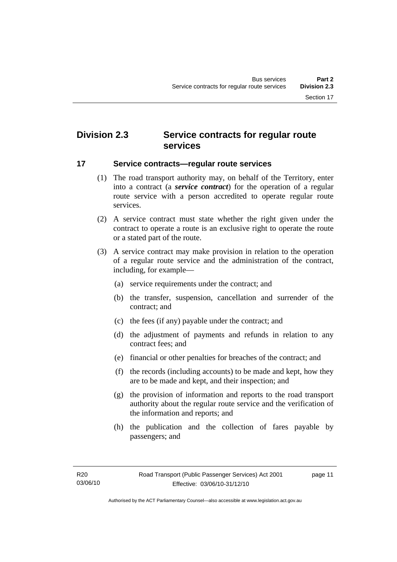# <span id="page-20-0"></span>**Division 2.3 Service contracts for regular route services**

#### **17 Service contracts—regular route services**

- (1) The road transport authority may, on behalf of the Territory, enter into a contract (a *service contract*) for the operation of a regular route service with a person accredited to operate regular route services.
- (2) A service contract must state whether the right given under the contract to operate a route is an exclusive right to operate the route or a stated part of the route.
- (3) A service contract may make provision in relation to the operation of a regular route service and the administration of the contract, including, for example—
	- (a) service requirements under the contract; and
	- (b) the transfer, suspension, cancellation and surrender of the contract; and
	- (c) the fees (if any) payable under the contract; and
	- (d) the adjustment of payments and refunds in relation to any contract fees; and
	- (e) financial or other penalties for breaches of the contract; and
	- (f) the records (including accounts) to be made and kept, how they are to be made and kept, and their inspection; and
	- (g) the provision of information and reports to the road transport authority about the regular route service and the verification of the information and reports; and
	- (h) the publication and the collection of fares payable by passengers; and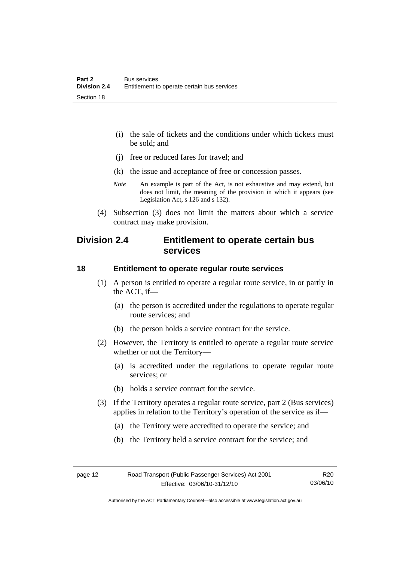- <span id="page-21-0"></span> (i) the sale of tickets and the conditions under which tickets must be sold; and
- (j) free or reduced fares for travel; and
- (k) the issue and acceptance of free or concession passes.
- *Note* An example is part of the Act, is not exhaustive and may extend, but does not limit, the meaning of the provision in which it appears (see Legislation Act, s 126 and s 132).
- (4) Subsection (3) does not limit the matters about which a service contract may make provision.

## **Division 2.4 Entitlement to operate certain bus services**

#### **18 Entitlement to operate regular route services**

- (1) A person is entitled to operate a regular route service, in or partly in the ACT, if—
	- (a) the person is accredited under the regulations to operate regular route services; and
	- (b) the person holds a service contract for the service.
- (2) However, the Territory is entitled to operate a regular route service whether or not the Territory—
	- (a) is accredited under the regulations to operate regular route services; or
	- (b) holds a service contract for the service.
- (3) If the Territory operates a regular route service, part 2 (Bus services) applies in relation to the Territory's operation of the service as if—
	- (a) the Territory were accredited to operate the service; and
	- (b) the Territory held a service contract for the service; and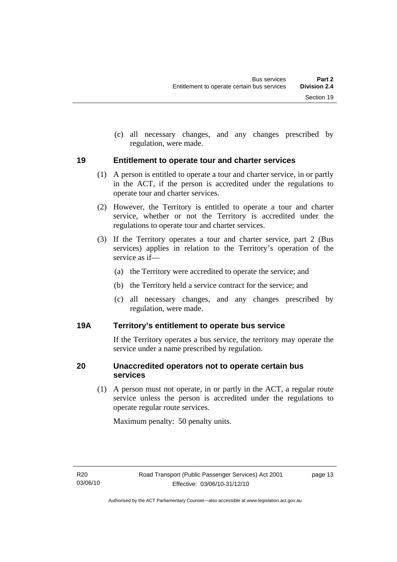<span id="page-22-0"></span> (c) all necessary changes, and any changes prescribed by regulation, were made.

#### **19 Entitlement to operate tour and charter services**

- (1) A person is entitled to operate a tour and charter service, in or partly in the ACT, if the person is accredited under the regulations to operate tour and charter services.
- (2) However, the Territory is entitled to operate a tour and charter service, whether or not the Territory is accredited under the regulations to operate tour and charter services.
- (3) If the Territory operates a tour and charter service, part 2 (Bus services) applies in relation to the Territory's operation of the service as if—
	- (a) the Territory were accredited to operate the service; and
	- (b) the Territory held a service contract for the service; and
	- (c) all necessary changes, and any changes prescribed by regulation, were made.

#### **19A Territory's entitlement to operate bus service**

If the Territory operates a bus service, the territory may operate the service under a name prescribed by regulation.

#### **20 Unaccredited operators not to operate certain bus services**

 (1) A person must not operate, in or partly in the ACT, a regular route service unless the person is accredited under the regulations to operate regular route services.

Maximum penalty: 50 penalty units.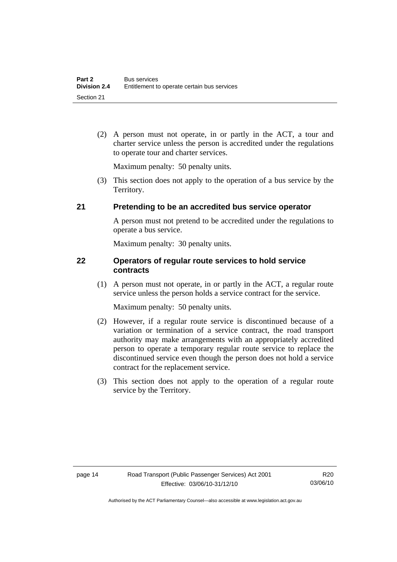<span id="page-23-0"></span> (2) A person must not operate, in or partly in the ACT, a tour and charter service unless the person is accredited under the regulations to operate tour and charter services.

Maximum penalty: 50 penalty units.

 (3) This section does not apply to the operation of a bus service by the Territory.

#### **21 Pretending to be an accredited bus service operator**

A person must not pretend to be accredited under the regulations to operate a bus service.

Maximum penalty: 30 penalty units.

#### **22 Operators of regular route services to hold service contracts**

 (1) A person must not operate, in or partly in the ACT, a regular route service unless the person holds a service contract for the service.

Maximum penalty: 50 penalty units.

- (2) However, if a regular route service is discontinued because of a variation or termination of a service contract, the road transport authority may make arrangements with an appropriately accredited person to operate a temporary regular route service to replace the discontinued service even though the person does not hold a service contract for the replacement service.
- (3) This section does not apply to the operation of a regular route service by the Territory.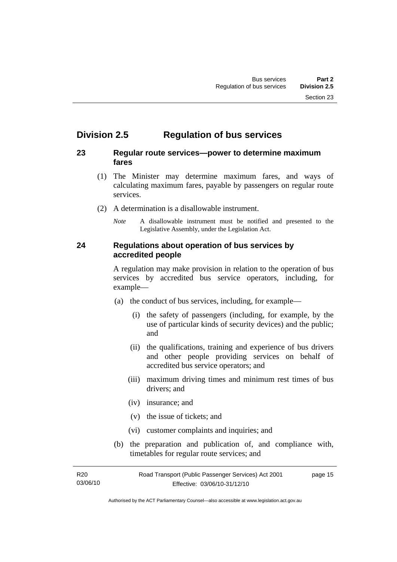# <span id="page-24-0"></span>**Division 2.5 Regulation of bus services**

#### **23 Regular route services—power to determine maximum fares**

- (1) The Minister may determine maximum fares, and ways of calculating maximum fares, payable by passengers on regular route services.
- (2) A determination is a disallowable instrument.
	- *Note* A disallowable instrument must be notified and presented to the Legislative Assembly, under the Legislation Act.

#### **24 Regulations about operation of bus services by accredited people**

A regulation may make provision in relation to the operation of bus services by accredited bus service operators, including, for example—

- (a) the conduct of bus services, including, for example—
	- (i) the safety of passengers (including, for example, by the use of particular kinds of security devices) and the public; and
	- (ii) the qualifications, training and experience of bus drivers and other people providing services on behalf of accredited bus service operators; and
	- (iii) maximum driving times and minimum rest times of bus drivers; and
	- (iv) insurance; and
	- (v) the issue of tickets; and
	- (vi) customer complaints and inquiries; and
- (b) the preparation and publication of, and compliance with, timetables for regular route services; and

R20 03/06/10 Road Transport (Public Passenger Services) Act 2001 Effective: 03/06/10-31/12/10 page 15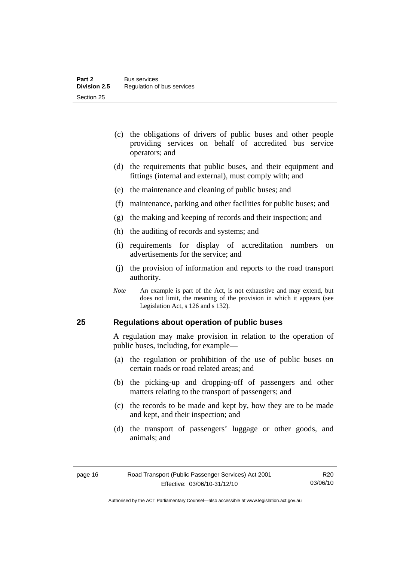- <span id="page-25-0"></span> (c) the obligations of drivers of public buses and other people providing services on behalf of accredited bus service operators; and
- (d) the requirements that public buses, and their equipment and fittings (internal and external), must comply with; and
- (e) the maintenance and cleaning of public buses; and
- (f) maintenance, parking and other facilities for public buses; and
- (g) the making and keeping of records and their inspection; and
- (h) the auditing of records and systems; and
- (i) requirements for display of accreditation numbers on advertisements for the service; and
- (j) the provision of information and reports to the road transport authority.
- *Note* An example is part of the Act, is not exhaustive and may extend, but does not limit, the meaning of the provision in which it appears (see Legislation Act, s 126 and s 132).

#### **25 Regulations about operation of public buses**

A regulation may make provision in relation to the operation of public buses, including, for example—

- (a) the regulation or prohibition of the use of public buses on certain roads or road related areas; and
- (b) the picking-up and dropping-off of passengers and other matters relating to the transport of passengers; and
- (c) the records to be made and kept by, how they are to be made and kept, and their inspection; and
- (d) the transport of passengers' luggage or other goods, and animals; and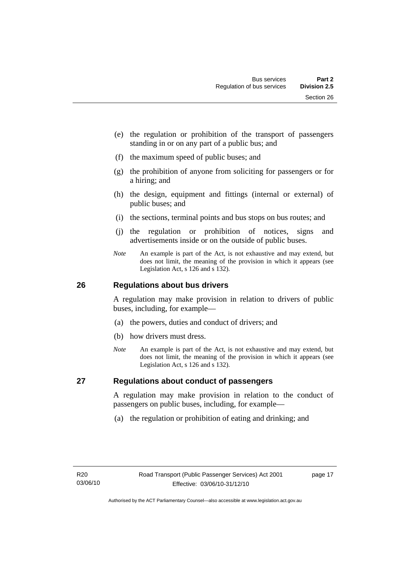- <span id="page-26-0"></span> (e) the regulation or prohibition of the transport of passengers standing in or on any part of a public bus; and
- (f) the maximum speed of public buses; and
- (g) the prohibition of anyone from soliciting for passengers or for a hiring; and
- (h) the design, equipment and fittings (internal or external) of public buses; and
- (i) the sections, terminal points and bus stops on bus routes; and
- (j) the regulation or prohibition of notices, signs and advertisements inside or on the outside of public buses.
- *Note* An example is part of the Act, is not exhaustive and may extend, but does not limit, the meaning of the provision in which it appears (see Legislation Act, s 126 and s 132).

#### **26 Regulations about bus drivers**

A regulation may make provision in relation to drivers of public buses, including, for example—

- (a) the powers, duties and conduct of drivers; and
- (b) how drivers must dress.
- *Note* An example is part of the Act, is not exhaustive and may extend, but does not limit, the meaning of the provision in which it appears (see Legislation Act, s 126 and s 132).

#### **27 Regulations about conduct of passengers**

A regulation may make provision in relation to the conduct of passengers on public buses, including, for example—

(a) the regulation or prohibition of eating and drinking; and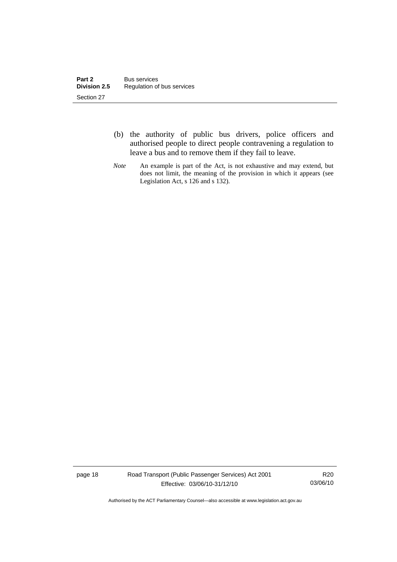- (b) the authority of public bus drivers, police officers and authorised people to direct people contravening a regulation to leave a bus and to remove them if they fail to leave.
- *Note* An example is part of the Act, is not exhaustive and may extend, but does not limit, the meaning of the provision in which it appears (see Legislation Act, s 126 and s 132).

page 18 Road Transport (Public Passenger Services) Act 2001 Effective: 03/06/10-31/12/10

R20 03/06/10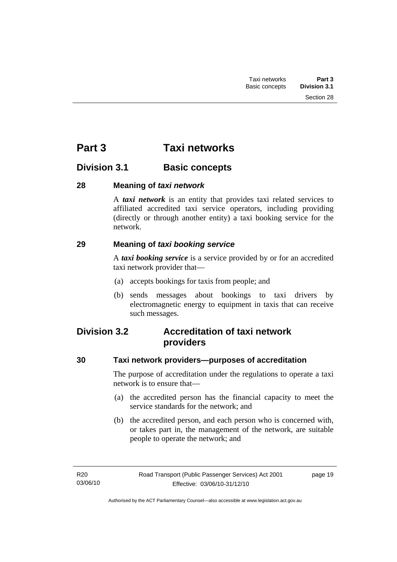Section 28

# <span id="page-28-0"></span>**Division 3.1 Basic concepts**

#### **28 Meaning of** *taxi network*

A *taxi network* is an entity that provides taxi related services to affiliated accredited taxi service operators, including providing (directly or through another entity) a taxi booking service for the network.

#### **29 Meaning of** *taxi booking service*

A *taxi booking service* is a service provided by or for an accredited taxi network provider that—

- (a) accepts bookings for taxis from people; and
- (b) sends messages about bookings to taxi drivers by electromagnetic energy to equipment in taxis that can receive such messages.

# **Division 3.2 Accreditation of taxi network providers**

#### **30 Taxi network providers—purposes of accreditation**

The purpose of accreditation under the regulations to operate a taxi network is to ensure that—

- (a) the accredited person has the financial capacity to meet the service standards for the network; and
- (b) the accredited person, and each person who is concerned with, or takes part in, the management of the network, are suitable people to operate the network; and

page 19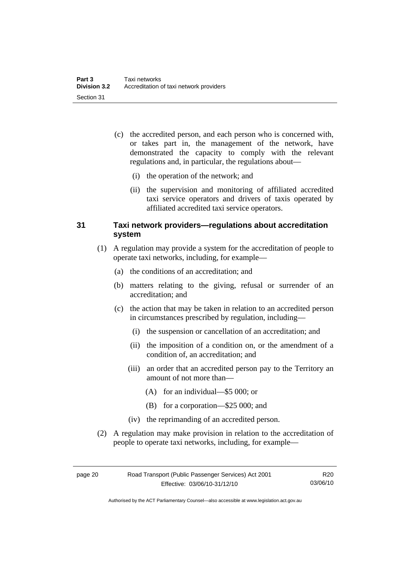- <span id="page-29-0"></span> (c) the accredited person, and each person who is concerned with, or takes part in, the management of the network, have demonstrated the capacity to comply with the relevant regulations and, in particular, the regulations about—
	- (i) the operation of the network; and
	- (ii) the supervision and monitoring of affiliated accredited taxi service operators and drivers of taxis operated by affiliated accredited taxi service operators.

#### **31 Taxi network providers—regulations about accreditation system**

- (1) A regulation may provide a system for the accreditation of people to operate taxi networks, including, for example—
	- (a) the conditions of an accreditation; and
	- (b) matters relating to the giving, refusal or surrender of an accreditation; and
	- (c) the action that may be taken in relation to an accredited person in circumstances prescribed by regulation, including—
		- (i) the suspension or cancellation of an accreditation; and
		- (ii) the imposition of a condition on, or the amendment of a condition of, an accreditation; and
		- (iii) an order that an accredited person pay to the Territory an amount of not more than—
			- (A) for an individual—\$5 000; or
			- (B) for a corporation—\$25 000; and
		- (iv) the reprimanding of an accredited person.
- (2) A regulation may make provision in relation to the accreditation of people to operate taxi networks, including, for example—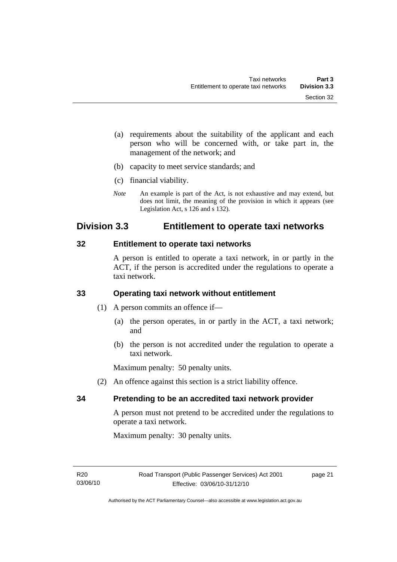- <span id="page-30-0"></span> (a) requirements about the suitability of the applicant and each person who will be concerned with, or take part in, the management of the network; and
- (b) capacity to meet service standards; and
- (c) financial viability.
- *Note* An example is part of the Act, is not exhaustive and may extend, but does not limit, the meaning of the provision in which it appears (see Legislation Act, s 126 and s 132).

# **Division 3.3 Entitlement to operate taxi networks**

#### **32 Entitlement to operate taxi networks**

A person is entitled to operate a taxi network, in or partly in the ACT, if the person is accredited under the regulations to operate a taxi network.

#### **33 Operating taxi network without entitlement**

- (1) A person commits an offence if—
	- (a) the person operates, in or partly in the ACT, a taxi network; and
	- (b) the person is not accredited under the regulation to operate a taxi network.

Maximum penalty: 50 penalty units.

(2) An offence against this section is a strict liability offence.

#### **34 Pretending to be an accredited taxi network provider**

A person must not pretend to be accredited under the regulations to operate a taxi network.

Maximum penalty: 30 penalty units.

page 21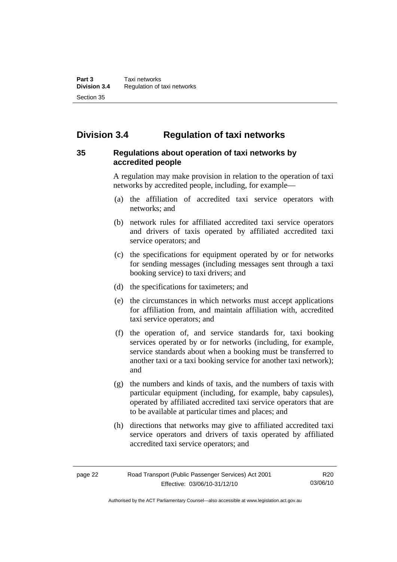# <span id="page-31-0"></span>**Division 3.4 Regulation of taxi networks**

#### **35 Regulations about operation of taxi networks by accredited people**

A regulation may make provision in relation to the operation of taxi networks by accredited people, including, for example—

- (a) the affiliation of accredited taxi service operators with networks; and
- (b) network rules for affiliated accredited taxi service operators and drivers of taxis operated by affiliated accredited taxi service operators; and
- (c) the specifications for equipment operated by or for networks for sending messages (including messages sent through a taxi booking service) to taxi drivers; and
- (d) the specifications for taximeters; and
- (e) the circumstances in which networks must accept applications for affiliation from, and maintain affiliation with, accredited taxi service operators; and
- (f) the operation of, and service standards for, taxi booking services operated by or for networks (including, for example, service standards about when a booking must be transferred to another taxi or a taxi booking service for another taxi network); and
- (g) the numbers and kinds of taxis, and the numbers of taxis with particular equipment (including, for example, baby capsules), operated by affiliated accredited taxi service operators that are to be available at particular times and places; and
- (h) directions that networks may give to affiliated accredited taxi service operators and drivers of taxis operated by affiliated accredited taxi service operators; and

Authorised by the ACT Parliamentary Counsel—also accessible at www.legislation.act.gov.au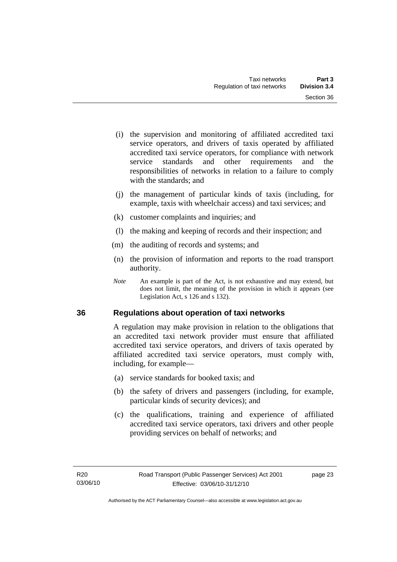- <span id="page-32-0"></span> (i) the supervision and monitoring of affiliated accredited taxi service operators, and drivers of taxis operated by affiliated accredited taxi service operators, for compliance with network service standards and other requirements and the responsibilities of networks in relation to a failure to comply with the standards: and
- (j) the management of particular kinds of taxis (including, for example, taxis with wheelchair access) and taxi services; and
- (k) customer complaints and inquiries; and
- (l) the making and keeping of records and their inspection; and
- (m) the auditing of records and systems; and
- (n) the provision of information and reports to the road transport authority.
- *Note* An example is part of the Act, is not exhaustive and may extend, but does not limit, the meaning of the provision in which it appears (see Legislation Act, s 126 and s 132).

#### **36 Regulations about operation of taxi networks**

A regulation may make provision in relation to the obligations that an accredited taxi network provider must ensure that affiliated accredited taxi service operators, and drivers of taxis operated by affiliated accredited taxi service operators, must comply with, including, for example—

- (a) service standards for booked taxis; and
- (b) the safety of drivers and passengers (including, for example, particular kinds of security devices); and
- (c) the qualifications, training and experience of affiliated accredited taxi service operators, taxi drivers and other people providing services on behalf of networks; and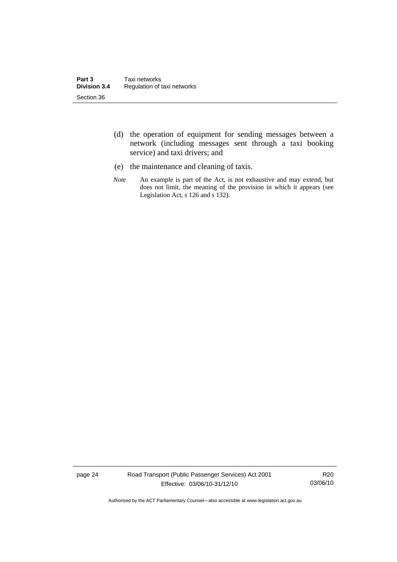- (d) the operation of equipment for sending messages between a network (including messages sent through a taxi booking service) and taxi drivers; and
- (e) the maintenance and cleaning of taxis.
- *Note* An example is part of the Act, is not exhaustive and may extend, but does not limit, the meaning of the provision in which it appears (see Legislation Act, s 126 and s 132).

page 24 Road Transport (Public Passenger Services) Act 2001 Effective: 03/06/10-31/12/10

R20 03/06/10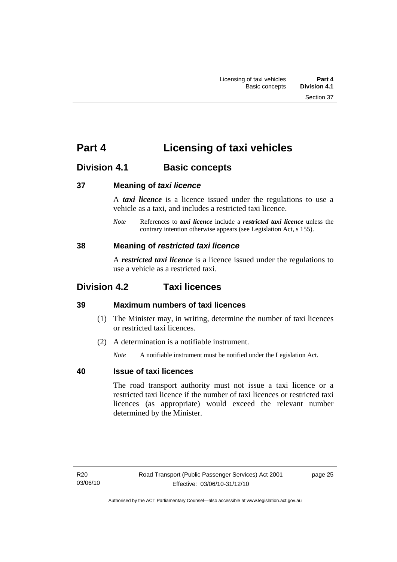# <span id="page-34-0"></span>**Part 4 Licensing of taxi vehicles**

# **Division 4.1 Basic concepts**

#### **37 Meaning of** *taxi licence*

A *taxi licence* is a licence issued under the regulations to use a vehicle as a taxi, and includes a restricted taxi licence.

*Note* References to *taxi licence* include a *restricted taxi licence* unless the contrary intention otherwise appears (see Legislation Act, s 155).

#### **38 Meaning of** *restricted taxi licence*

A *restricted taxi licence* is a licence issued under the regulations to use a vehicle as a restricted taxi.

# **Division 4.2 Taxi licences**

### **39 Maximum numbers of taxi licences**

- (1) The Minister may, in writing, determine the number of taxi licences or restricted taxi licences.
- (2) A determination is a notifiable instrument.

*Note* A notifiable instrument must be notified under the Legislation Act.

### **40 Issue of taxi licences**

The road transport authority must not issue a taxi licence or a restricted taxi licence if the number of taxi licences or restricted taxi licences (as appropriate) would exceed the relevant number determined by the Minister.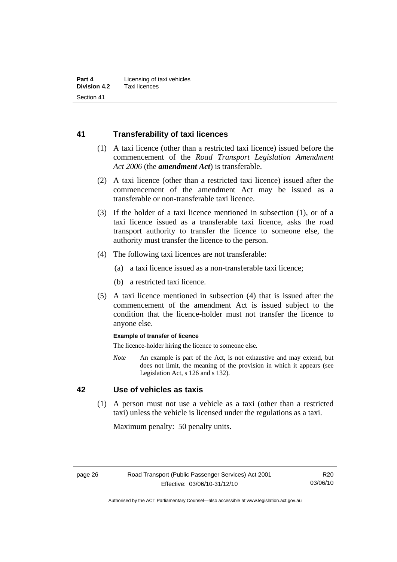#### <span id="page-35-0"></span>**41 Transferability of taxi licences**

- (1) A taxi licence (other than a restricted taxi licence) issued before the commencement of the *Road Transport Legislation Amendment Act 2006* (the *amendment Act*) is transferable.
- (2) A taxi licence (other than a restricted taxi licence) issued after the commencement of the amendment Act may be issued as a transferable or non-transferable taxi licence.
- (3) If the holder of a taxi licence mentioned in subsection (1), or of a taxi licence issued as a transferable taxi licence, asks the road transport authority to transfer the licence to someone else, the authority must transfer the licence to the person.
- (4) The following taxi licences are not transferable:
	- (a) a taxi licence issued as a non-transferable taxi licence;
	- (b) a restricted taxi licence.
- (5) A taxi licence mentioned in subsection (4) that is issued after the commencement of the amendment Act is issued subject to the condition that the licence-holder must not transfer the licence to anyone else.

#### **Example of transfer of licence**

The licence-holder hiring the licence to someone else.

*Note* An example is part of the Act, is not exhaustive and may extend, but does not limit, the meaning of the provision in which it appears (see Legislation Act, s 126 and s 132).

#### **42 Use of vehicles as taxis**

 (1) A person must not use a vehicle as a taxi (other than a restricted taxi) unless the vehicle is licensed under the regulations as a taxi.

Maximum penalty: 50 penalty units.

Authorised by the ACT Parliamentary Counsel—also accessible at www.legislation.act.gov.au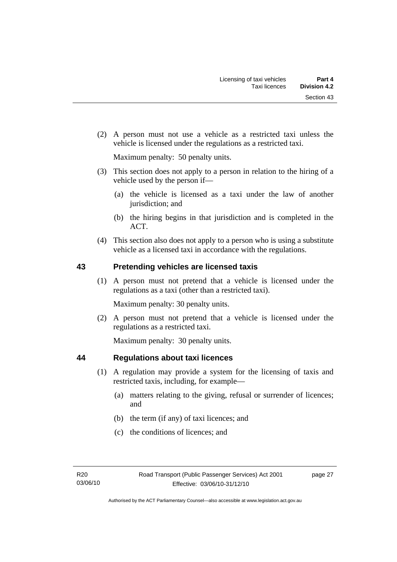(2) A person must not use a vehicle as a restricted taxi unless the vehicle is licensed under the regulations as a restricted taxi.

Maximum penalty: 50 penalty units.

- (3) This section does not apply to a person in relation to the hiring of a vehicle used by the person if—
	- (a) the vehicle is licensed as a taxi under the law of another jurisdiction; and
	- (b) the hiring begins in that jurisdiction and is completed in the ACT.
- (4) This section also does not apply to a person who is using a substitute vehicle as a licensed taxi in accordance with the regulations.

#### **43 Pretending vehicles are licensed taxis**

 (1) A person must not pretend that a vehicle is licensed under the regulations as a taxi (other than a restricted taxi).

Maximum penalty: 30 penalty units.

 (2) A person must not pretend that a vehicle is licensed under the regulations as a restricted taxi.

Maximum penalty: 30 penalty units.

#### **44 Regulations about taxi licences**

- (1) A regulation may provide a system for the licensing of taxis and restricted taxis, including, for example—
	- (a) matters relating to the giving, refusal or surrender of licences; and
	- (b) the term (if any) of taxi licences; and
	- (c) the conditions of licences; and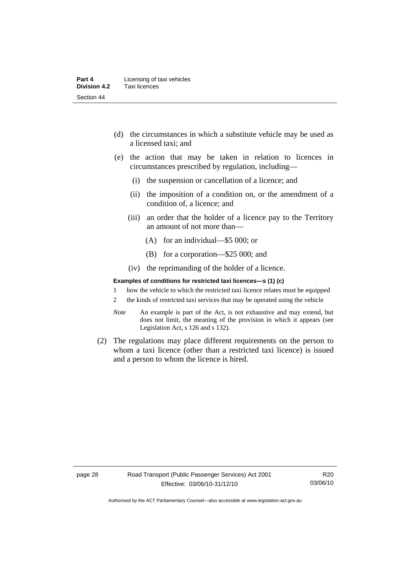- (d) the circumstances in which a substitute vehicle may be used as a licensed taxi; and
- (e) the action that may be taken in relation to licences in circumstances prescribed by regulation, including—
	- (i) the suspension or cancellation of a licence; and
	- (ii) the imposition of a condition on, or the amendment of a condition of, a licence; and
	- (iii) an order that the holder of a licence pay to the Territory an amount of not more than—
		- (A) for an individual—\$5 000; or
		- (B) for a corporation—\$25 000; and
	- (iv) the reprimanding of the holder of a licence.

#### **Examples of conditions for restricted taxi licences—s (1) (c)**

- 1 how the vehicle to which the restricted taxi licence relates must be equipped
- 2 the kinds of restricted taxi services that may be operated using the vehicle
- *Note* An example is part of the Act, is not exhaustive and may extend, but does not limit, the meaning of the provision in which it appears (see Legislation Act, s 126 and s 132).
- (2) The regulations may place different requirements on the person to whom a taxi licence (other than a restricted taxi licence) is issued and a person to whom the licence is hired.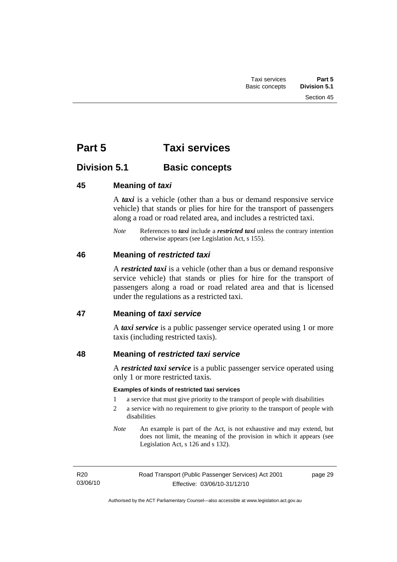# **Part 5 Taxi services**

# **Division 5.1 Basic concepts**

## **45 Meaning of** *taxi*

A *taxi* is a vehicle (other than a bus or demand responsive service vehicle) that stands or plies for hire for the transport of passengers along a road or road related area, and includes a restricted taxi.

*Note* References to *taxi* include a *restricted taxi* unless the contrary intention otherwise appears (see Legislation Act, s 155).

## **46 Meaning of** *restricted taxi*

A *restricted taxi* is a vehicle (other than a bus or demand responsive service vehicle) that stands or plies for hire for the transport of passengers along a road or road related area and that is licensed under the regulations as a restricted taxi.

## **47 Meaning of** *taxi service*

A *taxi service* is a public passenger service operated using 1 or more taxis (including restricted taxis).

# **48 Meaning of** *restricted taxi service*

A *restricted taxi service* is a public passenger service operated using only 1 or more restricted taxis.

#### **Examples of kinds of restricted taxi services**

- 1 a service that must give priority to the transport of people with disabilities
- 2 a service with no requirement to give priority to the transport of people with disabilities
- *Note* An example is part of the Act, is not exhaustive and may extend, but does not limit, the meaning of the provision in which it appears (see Legislation Act, s 126 and s 132).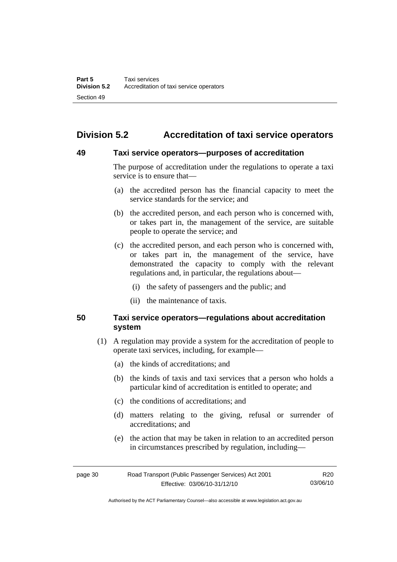# **Division 5.2 Accreditation of taxi service operators**

#### **49 Taxi service operators—purposes of accreditation**

The purpose of accreditation under the regulations to operate a taxi service is to ensure that—

- (a) the accredited person has the financial capacity to meet the service standards for the service; and
- (b) the accredited person, and each person who is concerned with, or takes part in, the management of the service, are suitable people to operate the service; and
- (c) the accredited person, and each person who is concerned with, or takes part in, the management of the service, have demonstrated the capacity to comply with the relevant regulations and, in particular, the regulations about—
	- (i) the safety of passengers and the public; and
	- (ii) the maintenance of taxis.

#### **50 Taxi service operators—regulations about accreditation system**

- (1) A regulation may provide a system for the accreditation of people to operate taxi services, including, for example—
	- (a) the kinds of accreditations; and
	- (b) the kinds of taxis and taxi services that a person who holds a particular kind of accreditation is entitled to operate; and
	- (c) the conditions of accreditations; and
	- (d) matters relating to the giving, refusal or surrender of accreditations; and
	- (e) the action that may be taken in relation to an accredited person in circumstances prescribed by regulation, including—

| page 30 | Road Transport (Public Passenger Services) Act 2001 |          |
|---------|-----------------------------------------------------|----------|
|         | Effective: 03/06/10-31/12/10                        | 03/06/10 |

Authorised by the ACT Parliamentary Counsel—also accessible at www.legislation.act.gov.au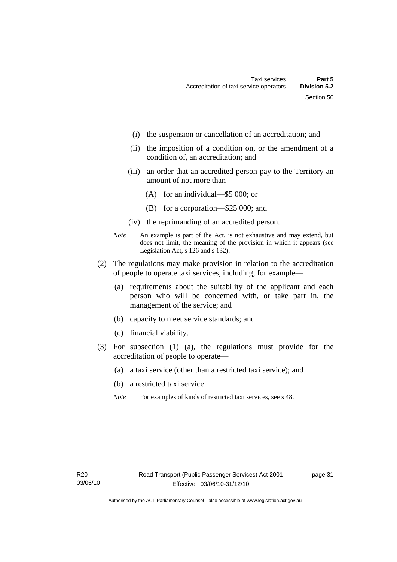- (i) the suspension or cancellation of an accreditation; and
- (ii) the imposition of a condition on, or the amendment of a condition of, an accreditation; and
- (iii) an order that an accredited person pay to the Territory an amount of not more than—
	- (A) for an individual—\$5 000; or
	- (B) for a corporation—\$25 000; and
- (iv) the reprimanding of an accredited person.
- *Note* An example is part of the Act, is not exhaustive and may extend, but does not limit, the meaning of the provision in which it appears (see Legislation Act, s 126 and s 132).
- (2) The regulations may make provision in relation to the accreditation of people to operate taxi services, including, for example—
	- (a) requirements about the suitability of the applicant and each person who will be concerned with, or take part in, the management of the service; and
	- (b) capacity to meet service standards; and
	- (c) financial viability.
- (3) For subsection (1) (a), the regulations must provide for the accreditation of people to operate—
	- (a) a taxi service (other than a restricted taxi service); and
	- (b) a restricted taxi service.
	- *Note* For examples of kinds of restricted taxi services, see s 48.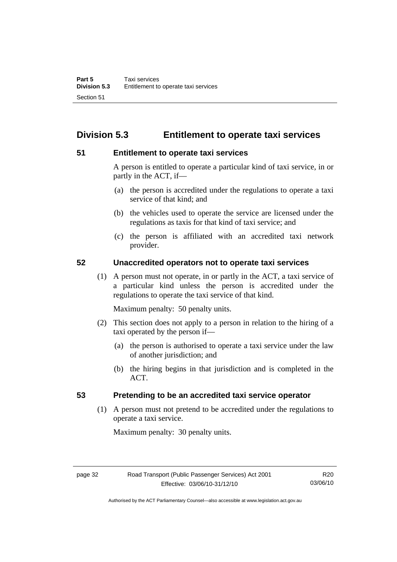# **Division 5.3 Entitlement to operate taxi services**

#### **51 Entitlement to operate taxi services**

A person is entitled to operate a particular kind of taxi service, in or partly in the ACT, if—

- (a) the person is accredited under the regulations to operate a taxi service of that kind; and
- (b) the vehicles used to operate the service are licensed under the regulations as taxis for that kind of taxi service; and
- (c) the person is affiliated with an accredited taxi network provider.

#### **52 Unaccredited operators not to operate taxi services**

 (1) A person must not operate, in or partly in the ACT, a taxi service of a particular kind unless the person is accredited under the regulations to operate the taxi service of that kind.

Maximum penalty: 50 penalty units.

- (2) This section does not apply to a person in relation to the hiring of a taxi operated by the person if—
	- (a) the person is authorised to operate a taxi service under the law of another jurisdiction; and
	- (b) the hiring begins in that jurisdiction and is completed in the ACT.

#### **53 Pretending to be an accredited taxi service operator**

 (1) A person must not pretend to be accredited under the regulations to operate a taxi service.

Maximum penalty: 30 penalty units.

Authorised by the ACT Parliamentary Counsel—also accessible at www.legislation.act.gov.au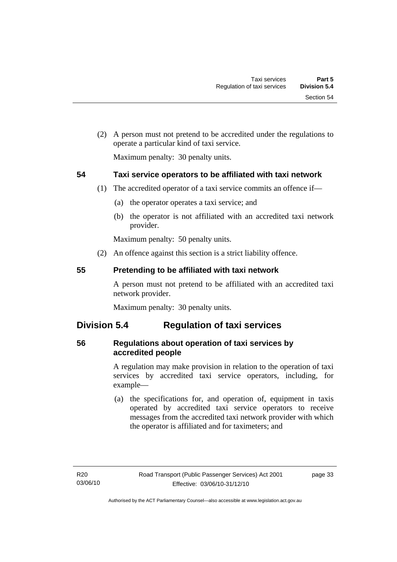(2) A person must not pretend to be accredited under the regulations to operate a particular kind of taxi service.

Maximum penalty: 30 penalty units.

## **54 Taxi service operators to be affiliated with taxi network**

- (1) The accredited operator of a taxi service commits an offence if—
	- (a) the operator operates a taxi service; and
	- (b) the operator is not affiliated with an accredited taxi network provider.

Maximum penalty: 50 penalty units.

(2) An offence against this section is a strict liability offence.

#### **55 Pretending to be affiliated with taxi network**

A person must not pretend to be affiliated with an accredited taxi network provider.

Maximum penalty: 30 penalty units.

# **Division 5.4 Regulation of taxi services**

## **56 Regulations about operation of taxi services by accredited people**

A regulation may make provision in relation to the operation of taxi services by accredited taxi service operators, including, for example—

 (a) the specifications for, and operation of, equipment in taxis operated by accredited taxi service operators to receive messages from the accredited taxi network provider with which the operator is affiliated and for taximeters; and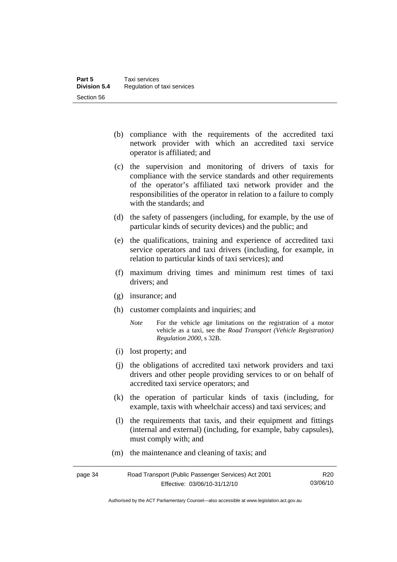- (b) compliance with the requirements of the accredited taxi network provider with which an accredited taxi service operator is affiliated; and
- (c) the supervision and monitoring of drivers of taxis for compliance with the service standards and other requirements of the operator's affiliated taxi network provider and the responsibilities of the operator in relation to a failure to comply with the standards; and
- (d) the safety of passengers (including, for example, by the use of particular kinds of security devices) and the public; and
- (e) the qualifications, training and experience of accredited taxi service operators and taxi drivers (including, for example, in relation to particular kinds of taxi services); and
- (f) maximum driving times and minimum rest times of taxi drivers; and
- (g) insurance; and
- (h) customer complaints and inquiries; and
	- *Note* For the vehicle age limitations on the registration of a motor vehicle as a taxi, see the *Road Transport (Vehicle Registration) Regulation 2000*, s 32B.
- (i) lost property; and
- (j) the obligations of accredited taxi network providers and taxi drivers and other people providing services to or on behalf of accredited taxi service operators; and
- (k) the operation of particular kinds of taxis (including, for example, taxis with wheelchair access) and taxi services; and
- (l) the requirements that taxis, and their equipment and fittings (internal and external) (including, for example, baby capsules), must comply with; and
- (m) the maintenance and cleaning of taxis; and

| page 34 | Road Transport (Public Passenger Services) Act 2001 |          |
|---------|-----------------------------------------------------|----------|
|         | Effective: 03/06/10-31/12/10                        | 03/06/10 |

Authorised by the ACT Parliamentary Counsel—also accessible at www.legislation.act.gov.au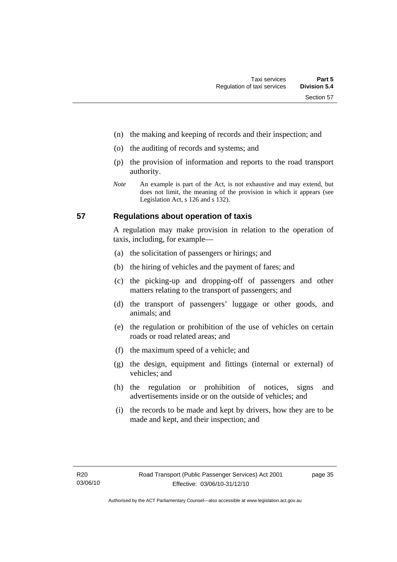- (n) the making and keeping of records and their inspection; and
- (o) the auditing of records and systems; and
- (p) the provision of information and reports to the road transport authority.
- *Note* An example is part of the Act, is not exhaustive and may extend, but does not limit, the meaning of the provision in which it appears (see Legislation Act, s 126 and s 132).

#### **57 Regulations about operation of taxis**

A regulation may make provision in relation to the operation of taxis, including, for example—

- (a) the solicitation of passengers or hirings; and
- (b) the hiring of vehicles and the payment of fares; and
- (c) the picking-up and dropping-off of passengers and other matters relating to the transport of passengers; and
- (d) the transport of passengers' luggage or other goods, and animals; and
- (e) the regulation or prohibition of the use of vehicles on certain roads or road related areas; and
- (f) the maximum speed of a vehicle; and
- (g) the design, equipment and fittings (internal or external) of vehicles; and
- (h) the regulation or prohibition of notices, signs and advertisements inside or on the outside of vehicles; and
- (i) the records to be made and kept by drivers, how they are to be made and kept, and their inspection; and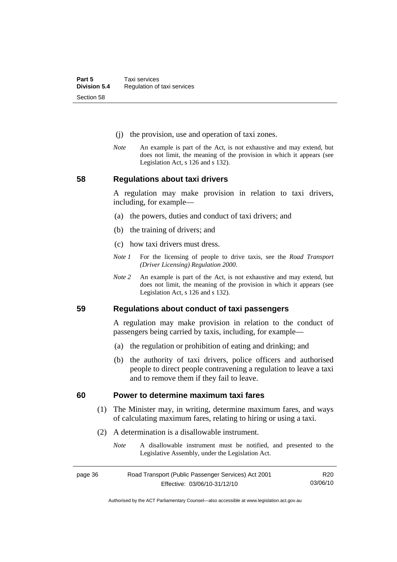- (j) the provision, use and operation of taxi zones.
- *Note* An example is part of the Act, is not exhaustive and may extend, but does not limit, the meaning of the provision in which it appears (see Legislation Act, s 126 and s 132).

**58 Regulations about taxi drivers** 

A regulation may make provision in relation to taxi drivers, including, for example—

- (a) the powers, duties and conduct of taxi drivers; and
- (b) the training of drivers; and
- (c) how taxi drivers must dress.
- *Note 1* For the licensing of people to drive taxis, see the *Road Transport (Driver Licensing) Regulation 2000*.
- *Note 2* An example is part of the Act, is not exhaustive and may extend, but does not limit, the meaning of the provision in which it appears (see Legislation Act, s 126 and s 132).

**59 Regulations about conduct of taxi passengers** 

A regulation may make provision in relation to the conduct of passengers being carried by taxis, including, for example—

- (a) the regulation or prohibition of eating and drinking; and
- (b) the authority of taxi drivers, police officers and authorised people to direct people contravening a regulation to leave a taxi and to remove them if they fail to leave.

#### **60 Power to determine maximum taxi fares**

- (1) The Minister may, in writing, determine maximum fares, and ways of calculating maximum fares, relating to hiring or using a taxi.
- (2) A determination is a disallowable instrument.
	- *Note* A disallowable instrument must be notified, and presented to the Legislative Assembly, under the Legislation Act.

| page 36 | Road Transport (Public Passenger Services) Act 2001 |          |
|---------|-----------------------------------------------------|----------|
|         | Effective: 03/06/10-31/12/10                        | 03/06/10 |

Authorised by the ACT Parliamentary Counsel—also accessible at www.legislation.act.gov.au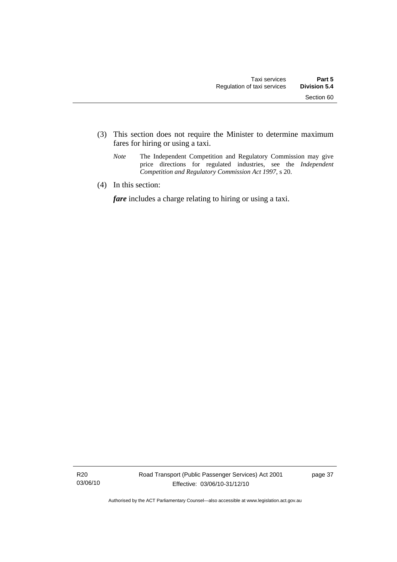- (3) This section does not require the Minister to determine maximum fares for hiring or using a taxi.
	- *Note* The Independent Competition and Regulatory Commission may give price directions for regulated industries, see the *Independent Competition and Regulatory Commission Act 1997*, s 20.
- (4) In this section:

*fare* includes a charge relating to hiring or using a taxi.

R20 03/06/10 page 37

Authorised by the ACT Parliamentary Counsel—also accessible at www.legislation.act.gov.au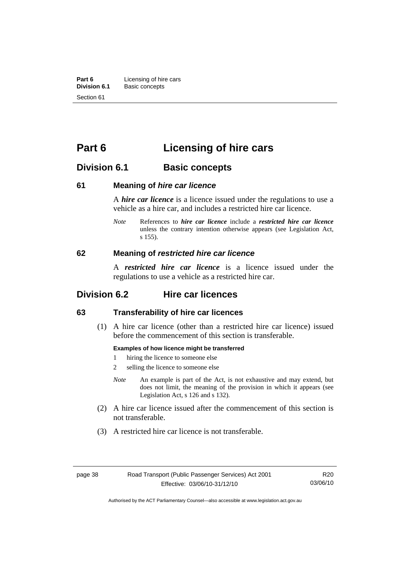**Part 6 Licensing of hire cars**<br>**Division 6.1 Basic concepts Division 6.1** Basic concepts Section 61

# **Part 6 Licensing of hire cars**

# **Division 6.1 Basic concepts**

#### **61 Meaning of** *hire car licence*

A *hire car licence* is a licence issued under the regulations to use a vehicle as a hire car, and includes a restricted hire car licence.

*Note* References to *hire car licence* include a *restricted hire car licence* unless the contrary intention otherwise appears (see Legislation Act, s 155).

#### **62 Meaning of** *restricted hire car licence*

A *restricted hire car licence* is a licence issued under the regulations to use a vehicle as a restricted hire car.

# **Division 6.2 Hire car licences**

#### **63 Transferability of hire car licences**

 (1) A hire car licence (other than a restricted hire car licence) issued before the commencement of this section is transferable.

#### **Examples of how licence might be transferred**

- 1 hiring the licence to someone else
- 2 selling the licence to someone else
- *Note* An example is part of the Act, is not exhaustive and may extend, but does not limit, the meaning of the provision in which it appears (see Legislation Act, s 126 and s 132).
- (2) A hire car licence issued after the commencement of this section is not transferable.
- (3) A restricted hire car licence is not transferable.

Authorised by the ACT Parliamentary Counsel—also accessible at www.legislation.act.gov.au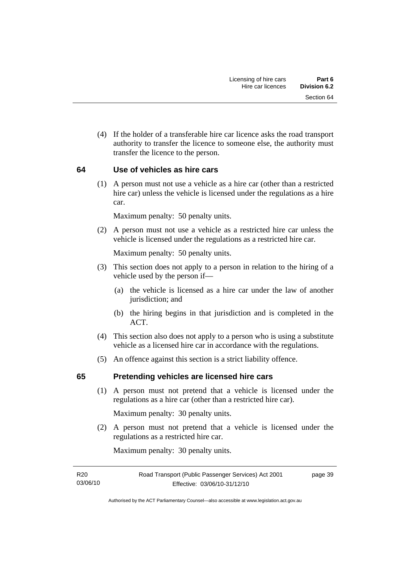(4) If the holder of a transferable hire car licence asks the road transport authority to transfer the licence to someone else, the authority must transfer the licence to the person.

#### **64 Use of vehicles as hire cars**

 (1) A person must not use a vehicle as a hire car (other than a restricted hire car) unless the vehicle is licensed under the regulations as a hire car.

Maximum penalty: 50 penalty units.

 (2) A person must not use a vehicle as a restricted hire car unless the vehicle is licensed under the regulations as a restricted hire car.

Maximum penalty: 50 penalty units.

- (3) This section does not apply to a person in relation to the hiring of a vehicle used by the person if—
	- (a) the vehicle is licensed as a hire car under the law of another jurisdiction; and
	- (b) the hiring begins in that jurisdiction and is completed in the ACT.
- (4) This section also does not apply to a person who is using a substitute vehicle as a licensed hire car in accordance with the regulations.
- (5) An offence against this section is a strict liability offence.

#### **65 Pretending vehicles are licensed hire cars**

 (1) A person must not pretend that a vehicle is licensed under the regulations as a hire car (other than a restricted hire car).

Maximum penalty: 30 penalty units.

 (2) A person must not pretend that a vehicle is licensed under the regulations as a restricted hire car.

Maximum penalty: 30 penalty units.

R20 03/06/10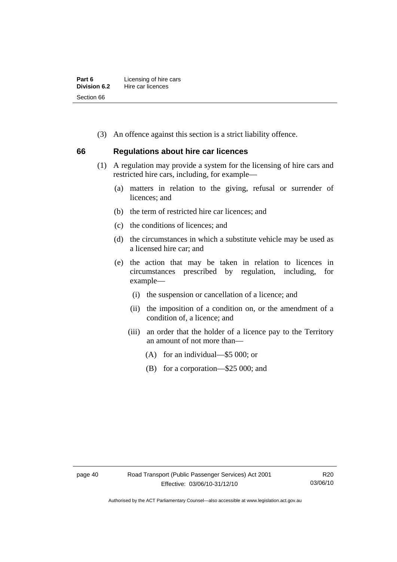| Part 6       | Licensing of hire cars |
|--------------|------------------------|
| Division 6.2 | Hire car licences      |
| Section 66   |                        |

(3) An offence against this section is a strict liability offence.

#### **66 Regulations about hire car licences**

- (1) A regulation may provide a system for the licensing of hire cars and restricted hire cars, including, for example—
	- (a) matters in relation to the giving, refusal or surrender of licences; and
	- (b) the term of restricted hire car licences; and
	- (c) the conditions of licences; and
	- (d) the circumstances in which a substitute vehicle may be used as a licensed hire car; and
	- (e) the action that may be taken in relation to licences in circumstances prescribed by regulation, including, for example—
		- (i) the suspension or cancellation of a licence; and
		- (ii) the imposition of a condition on, or the amendment of a condition of, a licence; and
		- (iii) an order that the holder of a licence pay to the Territory an amount of not more than—
			- (A) for an individual—\$5 000; or
			- (B) for a corporation—\$25 000; and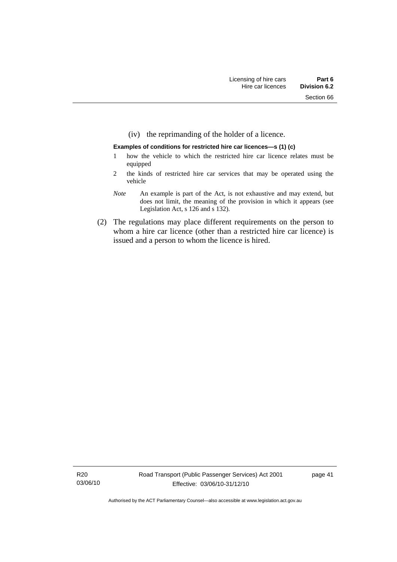(iv) the reprimanding of the holder of a licence.

#### **Examples of conditions for restricted hire car licences—s (1) (c)**

- 1 how the vehicle to which the restricted hire car licence relates must be equipped
- 2 the kinds of restricted hire car services that may be operated using the vehicle
- *Note* An example is part of the Act, is not exhaustive and may extend, but does not limit, the meaning of the provision in which it appears (see Legislation Act, s 126 and s 132).
- (2) The regulations may place different requirements on the person to whom a hire car licence (other than a restricted hire car licence) is issued and a person to whom the licence is hired.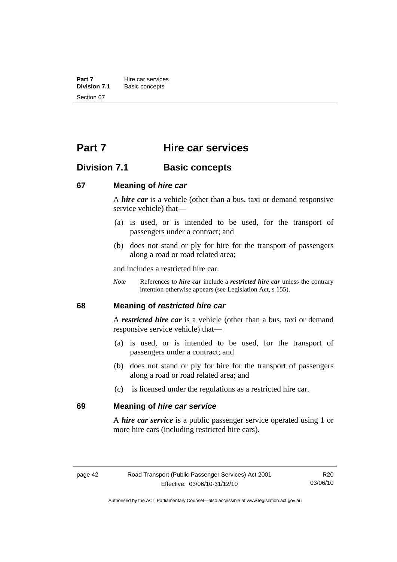**Part 7 Hire car services**<br>**Division 7.1 Basic concepts Division 7.1** Basic concepts Section 67

# **Part 7 Hire car services**

# **Division 7.1 Basic concepts**

#### **67 Meaning of** *hire car*

A *hire car* is a vehicle (other than a bus, taxi or demand responsive service vehicle) that—

- (a) is used, or is intended to be used, for the transport of passengers under a contract; and
- (b) does not stand or ply for hire for the transport of passengers along a road or road related area;

and includes a restricted hire car.

*Note* References to *hire car* include a *restricted hire car* unless the contrary intention otherwise appears (see Legislation Act, s 155).

#### **68 Meaning of** *restricted hire car*

A *restricted hire car* is a vehicle (other than a bus, taxi or demand responsive service vehicle) that—

- (a) is used, or is intended to be used, for the transport of passengers under a contract; and
- (b) does not stand or ply for hire for the transport of passengers along a road or road related area; and
- (c) is licensed under the regulations as a restricted hire car.

#### **69 Meaning of** *hire car service*

A *hire car service* is a public passenger service operated using 1 or more hire cars (including restricted hire cars).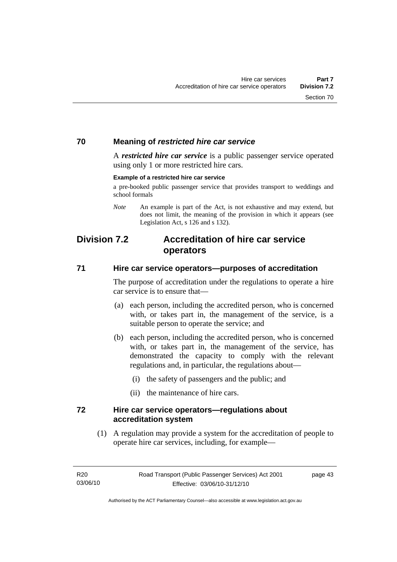#### **70 Meaning of** *restricted hire car service*

A *restricted hire car service* is a public passenger service operated using only 1 or more restricted hire cars.

#### **Example of a restricted hire car service**

a pre-booked public passenger service that provides transport to weddings and school formals

*Note* An example is part of the Act, is not exhaustive and may extend, but does not limit, the meaning of the provision in which it appears (see Legislation Act, s 126 and s 132).

# **Division 7.2 Accreditation of hire car service operators**

#### **71 Hire car service operators—purposes of accreditation**

The purpose of accreditation under the regulations to operate a hire car service is to ensure that—

- (a) each person, including the accredited person, who is concerned with, or takes part in, the management of the service, is a suitable person to operate the service; and
- (b) each person, including the accredited person, who is concerned with, or takes part in, the management of the service, has demonstrated the capacity to comply with the relevant regulations and, in particular, the regulations about—
	- (i) the safety of passengers and the public; and
	- (ii) the maintenance of hire cars.

#### **72 Hire car service operators—regulations about accreditation system**

 (1) A regulation may provide a system for the accreditation of people to operate hire car services, including, for example—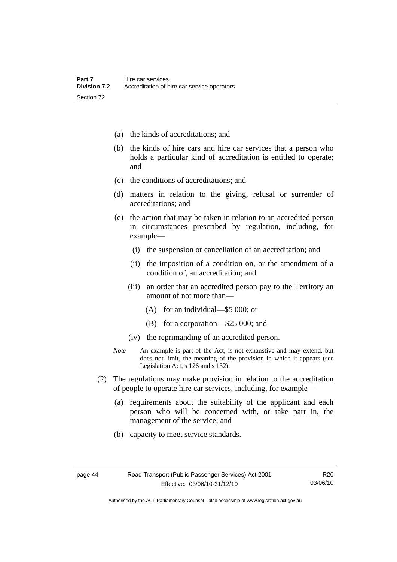- (a) the kinds of accreditations; and
- (b) the kinds of hire cars and hire car services that a person who holds a particular kind of accreditation is entitled to operate; and
- (c) the conditions of accreditations; and
- (d) matters in relation to the giving, refusal or surrender of accreditations; and
- (e) the action that may be taken in relation to an accredited person in circumstances prescribed by regulation, including, for example—
	- (i) the suspension or cancellation of an accreditation; and
	- (ii) the imposition of a condition on, or the amendment of a condition of, an accreditation; and
	- (iii) an order that an accredited person pay to the Territory an amount of not more than—
		- (A) for an individual—\$5 000; or
		- (B) for a corporation—\$25 000; and
	- (iv) the reprimanding of an accredited person.
- *Note* An example is part of the Act, is not exhaustive and may extend, but does not limit, the meaning of the provision in which it appears (see Legislation Act, s 126 and s 132).
- (2) The regulations may make provision in relation to the accreditation of people to operate hire car services, including, for example—
	- (a) requirements about the suitability of the applicant and each person who will be concerned with, or take part in, the management of the service; and
	- (b) capacity to meet service standards.

Authorised by the ACT Parliamentary Counsel—also accessible at www.legislation.act.gov.au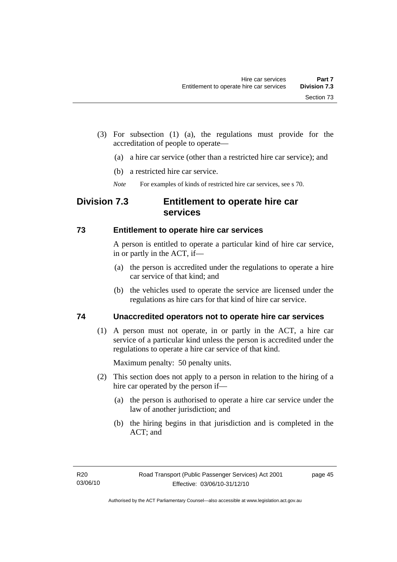(3) For subsection (1) (a), the regulations must provide for the accreditation of people to operate—

- (a) a hire car service (other than a restricted hire car service); and
- (b) a restricted hire car service.
- *Note* For examples of kinds of restricted hire car services, see s 70.

# **Division 7.3 Entitlement to operate hire car services**

#### **73 Entitlement to operate hire car services**

A person is entitled to operate a particular kind of hire car service, in or partly in the ACT, if—

- (a) the person is accredited under the regulations to operate a hire car service of that kind; and
- (b) the vehicles used to operate the service are licensed under the regulations as hire cars for that kind of hire car service.

## **74 Unaccredited operators not to operate hire car services**

 (1) A person must not operate, in or partly in the ACT, a hire car service of a particular kind unless the person is accredited under the regulations to operate a hire car service of that kind.

Maximum penalty: 50 penalty units.

- (2) This section does not apply to a person in relation to the hiring of a hire car operated by the person if—
	- (a) the person is authorised to operate a hire car service under the law of another jurisdiction; and
	- (b) the hiring begins in that jurisdiction and is completed in the ACT; and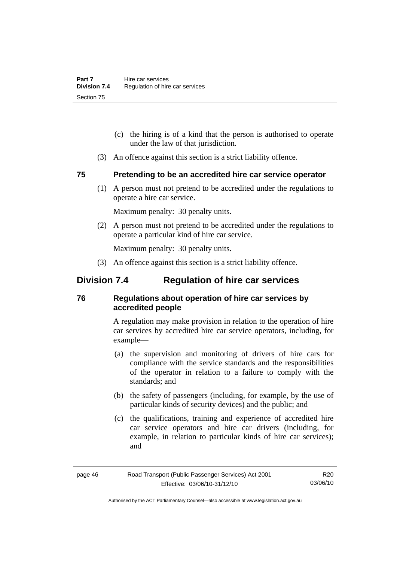- (c) the hiring is of a kind that the person is authorised to operate under the law of that jurisdiction.
- (3) An offence against this section is a strict liability offence.

#### **75 Pretending to be an accredited hire car service operator**

 (1) A person must not pretend to be accredited under the regulations to operate a hire car service.

Maximum penalty: 30 penalty units.

 (2) A person must not pretend to be accredited under the regulations to operate a particular kind of hire car service.

Maximum penalty: 30 penalty units.

(3) An offence against this section is a strict liability offence.

# **Division 7.4 Regulation of hire car services**

#### **76 Regulations about operation of hire car services by accredited people**

A regulation may make provision in relation to the operation of hire car services by accredited hire car service operators, including, for example—

- (a) the supervision and monitoring of drivers of hire cars for compliance with the service standards and the responsibilities of the operator in relation to a failure to comply with the standards; and
- (b) the safety of passengers (including, for example, by the use of particular kinds of security devices) and the public; and
- (c) the qualifications, training and experience of accredited hire car service operators and hire car drivers (including, for example, in relation to particular kinds of hire car services); and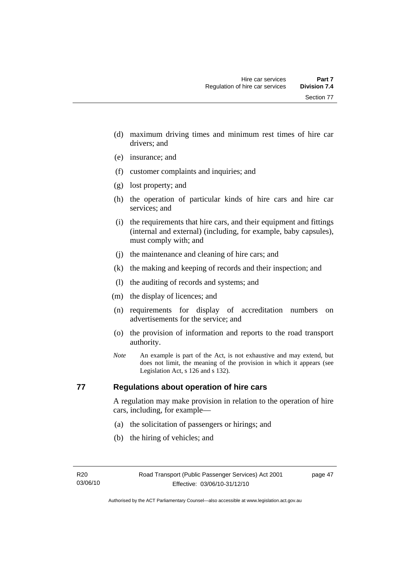Section 77

- (d) maximum driving times and minimum rest times of hire car drivers; and
- (e) insurance; and
- (f) customer complaints and inquiries; and
- (g) lost property; and
- (h) the operation of particular kinds of hire cars and hire car services; and
- (i) the requirements that hire cars, and their equipment and fittings (internal and external) (including, for example, baby capsules), must comply with; and
- (j) the maintenance and cleaning of hire cars; and
- (k) the making and keeping of records and their inspection; and
- (l) the auditing of records and systems; and
- (m) the display of licences; and
- (n) requirements for display of accreditation numbers on advertisements for the service; and
- (o) the provision of information and reports to the road transport authority.
- *Note* An example is part of the Act, is not exhaustive and may extend, but does not limit, the meaning of the provision in which it appears (see Legislation Act, s 126 and s 132).

## **77 Regulations about operation of hire cars**

A regulation may make provision in relation to the operation of hire cars, including, for example—

- (a) the solicitation of passengers or hirings; and
- (b) the hiring of vehicles; and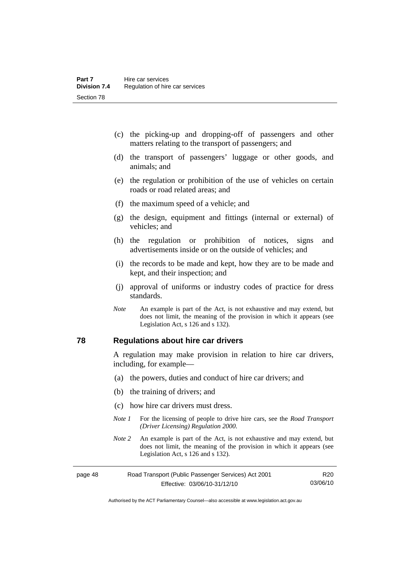- (c) the picking-up and dropping-off of passengers and other matters relating to the transport of passengers; and
- (d) the transport of passengers' luggage or other goods, and animals; and
- (e) the regulation or prohibition of the use of vehicles on certain roads or road related areas; and
- (f) the maximum speed of a vehicle; and
- (g) the design, equipment and fittings (internal or external) of vehicles; and
- (h) the regulation or prohibition of notices, signs and advertisements inside or on the outside of vehicles; and
- (i) the records to be made and kept, how they are to be made and kept, and their inspection; and
- (j) approval of uniforms or industry codes of practice for dress standards.
- *Note* An example is part of the Act, is not exhaustive and may extend, but does not limit, the meaning of the provision in which it appears (see Legislation Act, s 126 and s 132).

#### **78 Regulations about hire car drivers**

A regulation may make provision in relation to hire car drivers, including, for example—

- (a) the powers, duties and conduct of hire car drivers; and
- (b) the training of drivers; and
- (c) how hire car drivers must dress.
- *Note 1* For the licensing of people to drive hire cars, see the *Road Transport (Driver Licensing) Regulation 2000*.
- *Note 2* An example is part of the Act, is not exhaustive and may extend, but does not limit, the meaning of the provision in which it appears (see Legislation Act, s 126 and s 132).

| page 48 | Road Transport (Public Passenger Services) Act 2001 |          |
|---------|-----------------------------------------------------|----------|
|         | Effective: 03/06/10-31/12/10                        | 03/06/10 |

Authorised by the ACT Parliamentary Counsel—also accessible at www.legislation.act.gov.au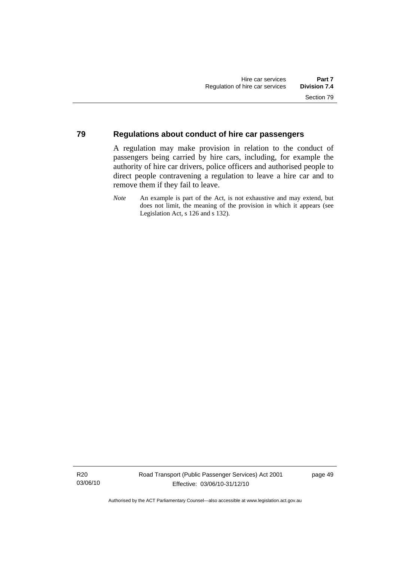#### **79 Regulations about conduct of hire car passengers**

A regulation may make provision in relation to the conduct of passengers being carried by hire cars, including, for example the authority of hire car drivers, police officers and authorised people to direct people contravening a regulation to leave a hire car and to remove them if they fail to leave.

*Note* An example is part of the Act, is not exhaustive and may extend, but does not limit, the meaning of the provision in which it appears (see Legislation Act, s 126 and s 132).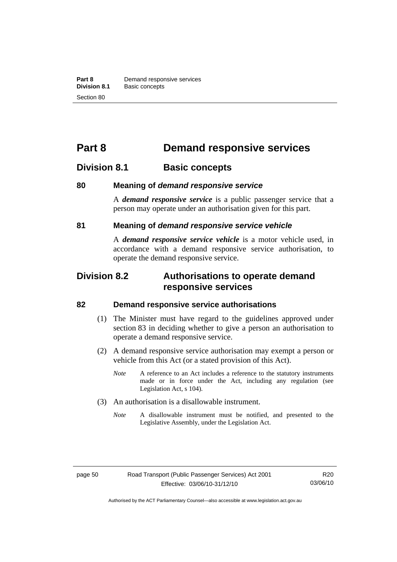# **Part 8 Demand responsive services**

# **Division 8.1 Basic concepts**

#### **80 Meaning of** *demand responsive service*

A *demand responsive service* is a public passenger service that a person may operate under an authorisation given for this part.

#### **81 Meaning of** *demand responsive service vehicle*

A *demand responsive service vehicle* is a motor vehicle used, in accordance with a demand responsive service authorisation, to operate the demand responsive service.

# **Division 8.2 Authorisations to operate demand responsive services**

#### **82 Demand responsive service authorisations**

- (1) The Minister must have regard to the guidelines approved under section 83 in deciding whether to give a person an authorisation to operate a demand responsive service.
- (2) A demand responsive service authorisation may exempt a person or vehicle from this Act (or a stated provision of this Act).
	- *Note* A reference to an Act includes a reference to the statutory instruments made or in force under the Act, including any regulation (see Legislation Act, s 104).
- (3) An authorisation is a disallowable instrument.
	- *Note* A disallowable instrument must be notified, and presented to the Legislative Assembly, under the Legislation Act.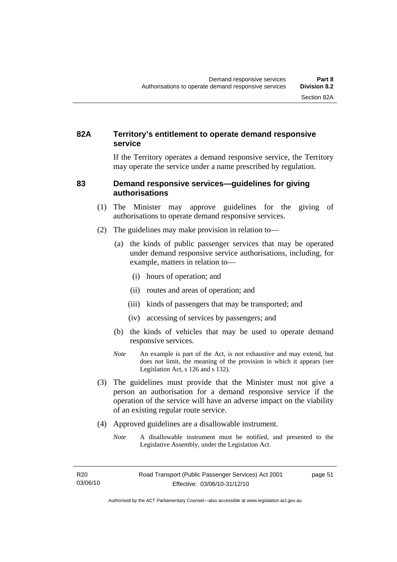#### **82A Territory's entitlement to operate demand responsive service**

If the Territory operates a demand responsive service, the Territory may operate the service under a name prescribed by regulation.

#### **83 Demand responsive services—guidelines for giving authorisations**

- (1) The Minister may approve guidelines for the giving of authorisations to operate demand responsive services.
- (2) The guidelines may make provision in relation to—
	- (a) the kinds of public passenger services that may be operated under demand responsive service authorisations, including, for example, matters in relation to—
		- (i) hours of operation; and
		- (ii) routes and areas of operation; and
		- (iii) kinds of passengers that may be transported; and
		- (iv) accessing of services by passengers; and
	- (b) the kinds of vehicles that may be used to operate demand responsive services.
	- *Note* An example is part of the Act, is not exhaustive and may extend, but does not limit, the meaning of the provision in which it appears (see Legislation Act, s 126 and s 132).
- (3) The guidelines must provide that the Minister must not give a person an authorisation for a demand responsive service if the operation of the service will have an adverse impact on the viability of an existing regular route service.
- (4) Approved guidelines are a disallowable instrument.
	- *Note* A disallowable instrument must be notified, and presented to the Legislative Assembly, under the Legislation Act.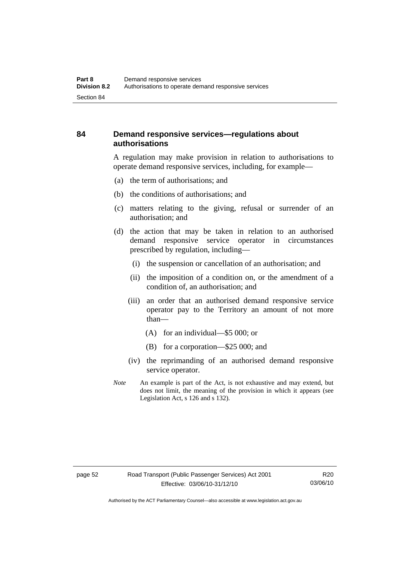#### **84 Demand responsive services—regulations about authorisations**

A regulation may make provision in relation to authorisations to operate demand responsive services, including, for example—

- (a) the term of authorisations; and
- (b) the conditions of authorisations; and
- (c) matters relating to the giving, refusal or surrender of an authorisation; and
- (d) the action that may be taken in relation to an authorised demand responsive service operator in circumstances prescribed by regulation, including—
	- (i) the suspension or cancellation of an authorisation; and
	- (ii) the imposition of a condition on, or the amendment of a condition of, an authorisation; and
	- (iii) an order that an authorised demand responsive service operator pay to the Territory an amount of not more than—
		- (A) for an individual—\$5 000; or
		- (B) for a corporation—\$25 000; and
	- (iv) the reprimanding of an authorised demand responsive service operator.
- *Note* An example is part of the Act, is not exhaustive and may extend, but does not limit, the meaning of the provision in which it appears (see Legislation Act, s 126 and s 132).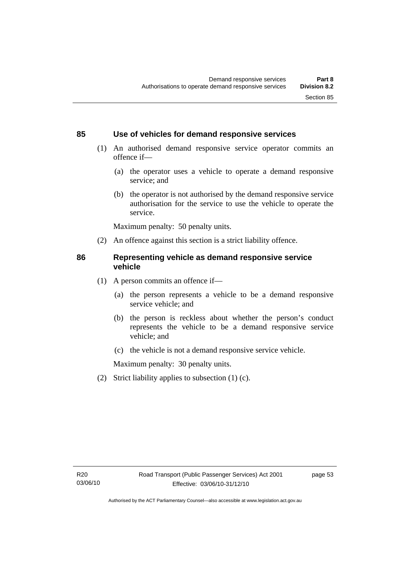#### **85 Use of vehicles for demand responsive services**

- (1) An authorised demand responsive service operator commits an offence if—
	- (a) the operator uses a vehicle to operate a demand responsive service; and
	- (b) the operator is not authorised by the demand responsive service authorisation for the service to use the vehicle to operate the service.

Maximum penalty: 50 penalty units.

(2) An offence against this section is a strict liability offence.

#### **86 Representing vehicle as demand responsive service vehicle**

- (1) A person commits an offence if—
	- (a) the person represents a vehicle to be a demand responsive service vehicle; and
	- (b) the person is reckless about whether the person's conduct represents the vehicle to be a demand responsive service vehicle; and
	- (c) the vehicle is not a demand responsive service vehicle.

Maximum penalty: 30 penalty units.

(2) Strict liability applies to subsection (1) (c).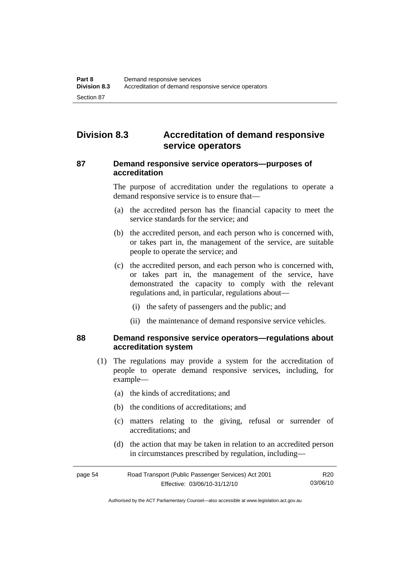# **Division 8.3 Accreditation of demand responsive service operators**

#### **87 Demand responsive service operators—purposes of accreditation**

The purpose of accreditation under the regulations to operate a demand responsive service is to ensure that—

- (a) the accredited person has the financial capacity to meet the service standards for the service; and
- (b) the accredited person, and each person who is concerned with, or takes part in, the management of the service, are suitable people to operate the service; and
- (c) the accredited person, and each person who is concerned with, or takes part in, the management of the service, have demonstrated the capacity to comply with the relevant regulations and, in particular, regulations about—
	- (i) the safety of passengers and the public; and
	- (ii) the maintenance of demand responsive service vehicles.

#### **88 Demand responsive service operators—regulations about accreditation system**

- (1) The regulations may provide a system for the accreditation of people to operate demand responsive services, including, for example—
	- (a) the kinds of accreditations; and
	- (b) the conditions of accreditations; and
	- (c) matters relating to the giving, refusal or surrender of accreditations; and
	- (d) the action that may be taken in relation to an accredited person in circumstances prescribed by regulation, including—

| page 54 | Road Transport (Public Passenger Services) Act 2001 |          |
|---------|-----------------------------------------------------|----------|
|         | Effective: 03/06/10-31/12/10                        | 03/06/10 |

Authorised by the ACT Parliamentary Counsel—also accessible at www.legislation.act.gov.au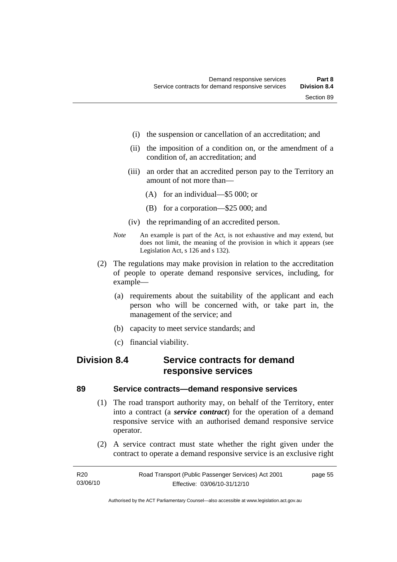- (i) the suspension or cancellation of an accreditation; and
- (ii) the imposition of a condition on, or the amendment of a condition of, an accreditation; and
- (iii) an order that an accredited person pay to the Territory an amount of not more than—
	- (A) for an individual—\$5 000; or
	- (B) for a corporation—\$25 000; and
- (iv) the reprimanding of an accredited person.
- *Note* An example is part of the Act, is not exhaustive and may extend, but does not limit, the meaning of the provision in which it appears (see Legislation Act, s 126 and s 132).
- (2) The regulations may make provision in relation to the accreditation of people to operate demand responsive services, including, for example—
	- (a) requirements about the suitability of the applicant and each person who will be concerned with, or take part in, the management of the service; and
	- (b) capacity to meet service standards; and
	- (c) financial viability.

# **Division 8.4 Service contracts for demand responsive services**

#### **89 Service contracts—demand responsive services**

- (1) The road transport authority may, on behalf of the Territory, enter into a contract (a *service contract*) for the operation of a demand responsive service with an authorised demand responsive service operator.
- (2) A service contract must state whether the right given under the contract to operate a demand responsive service is an exclusive right

Authorised by the ACT Parliamentary Counsel—also accessible at www.legislation.act.gov.au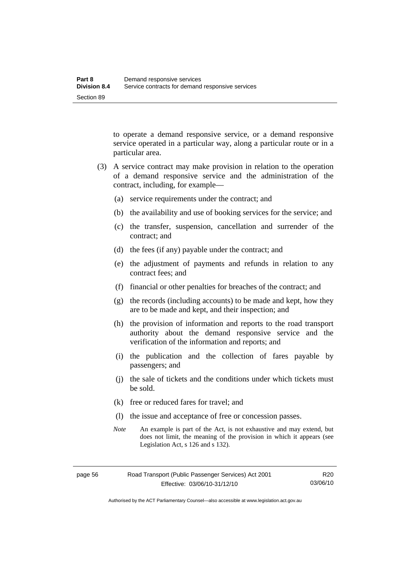to operate a demand responsive service, or a demand responsive service operated in a particular way, along a particular route or in a particular area.

- (3) A service contract may make provision in relation to the operation of a demand responsive service and the administration of the contract, including, for example—
	- (a) service requirements under the contract; and
	- (b) the availability and use of booking services for the service; and
	- (c) the transfer, suspension, cancellation and surrender of the contract; and
	- (d) the fees (if any) payable under the contract; and
	- (e) the adjustment of payments and refunds in relation to any contract fees; and
	- (f) financial or other penalties for breaches of the contract; and
	- (g) the records (including accounts) to be made and kept, how they are to be made and kept, and their inspection; and
	- (h) the provision of information and reports to the road transport authority about the demand responsive service and the verification of the information and reports; and
	- (i) the publication and the collection of fares payable by passengers; and
	- (j) the sale of tickets and the conditions under which tickets must be sold.
	- (k) free or reduced fares for travel; and
	- (l) the issue and acceptance of free or concession passes.
	- *Note* An example is part of the Act, is not exhaustive and may extend, but does not limit, the meaning of the provision in which it appears (see Legislation Act, s 126 and s 132).

Authorised by the ACT Parliamentary Counsel—also accessible at www.legislation.act.gov.au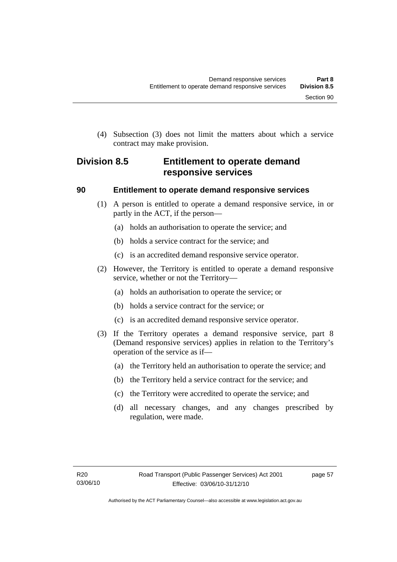(4) Subsection (3) does not limit the matters about which a service contract may make provision.

# **Division 8.5 Entitlement to operate demand responsive services**

#### **90 Entitlement to operate demand responsive services**

- (1) A person is entitled to operate a demand responsive service, in or partly in the ACT, if the person—
	- (a) holds an authorisation to operate the service; and
	- (b) holds a service contract for the service; and
	- (c) is an accredited demand responsive service operator.
- (2) However, the Territory is entitled to operate a demand responsive service, whether or not the Territory—
	- (a) holds an authorisation to operate the service; or
	- (b) holds a service contract for the service; or
	- (c) is an accredited demand responsive service operator.
- (3) If the Territory operates a demand responsive service, part 8 (Demand responsive services) applies in relation to the Territory's operation of the service as if—
	- (a) the Territory held an authorisation to operate the service; and
	- (b) the Territory held a service contract for the service; and
	- (c) the Territory were accredited to operate the service; and
	- (d) all necessary changes, and any changes prescribed by regulation, were made.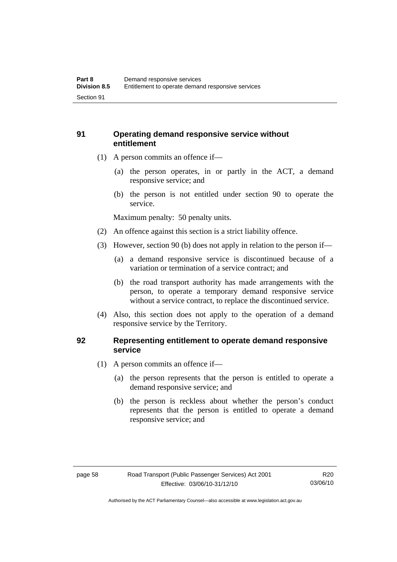### **91 Operating demand responsive service without entitlement**

- (1) A person commits an offence if—
	- (a) the person operates, in or partly in the ACT, a demand responsive service; and
	- (b) the person is not entitled under section 90 to operate the service.

Maximum penalty: 50 penalty units.

- (2) An offence against this section is a strict liability offence.
- (3) However, section 90 (b) does not apply in relation to the person if—
	- (a) a demand responsive service is discontinued because of a variation or termination of a service contract; and
	- (b) the road transport authority has made arrangements with the person, to operate a temporary demand responsive service without a service contract, to replace the discontinued service.
- (4) Also, this section does not apply to the operation of a demand responsive service by the Territory.

#### **92 Representing entitlement to operate demand responsive service**

- (1) A person commits an offence if—
	- (a) the person represents that the person is entitled to operate a demand responsive service; and
	- (b) the person is reckless about whether the person's conduct represents that the person is entitled to operate a demand responsive service; and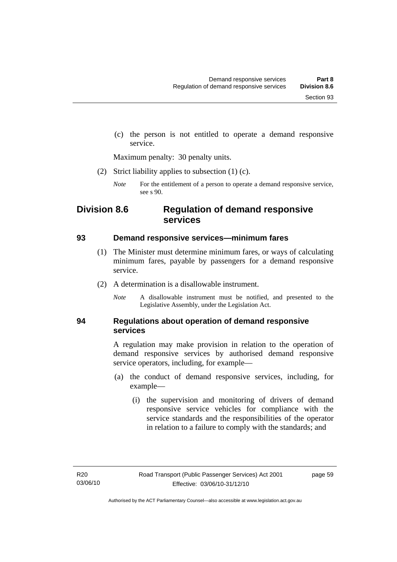(c) the person is not entitled to operate a demand responsive service.

Maximum penalty: 30 penalty units.

(2) Strict liability applies to subsection (1) (c).

*Note* For the entitlement of a person to operate a demand responsive service, see s 90.

# **Division 8.6 Regulation of demand responsive services**

#### **93 Demand responsive services—minimum fares**

- (1) The Minister must determine minimum fares, or ways of calculating minimum fares, payable by passengers for a demand responsive service.
- (2) A determination is a disallowable instrument.
	- *Note* A disallowable instrument must be notified, and presented to the Legislative Assembly, under the Legislation Act.

#### **94 Regulations about operation of demand responsive services**

A regulation may make provision in relation to the operation of demand responsive services by authorised demand responsive service operators, including, for example—

- (a) the conduct of demand responsive services, including, for example—
	- (i) the supervision and monitoring of drivers of demand responsive service vehicles for compliance with the service standards and the responsibilities of the operator in relation to a failure to comply with the standards; and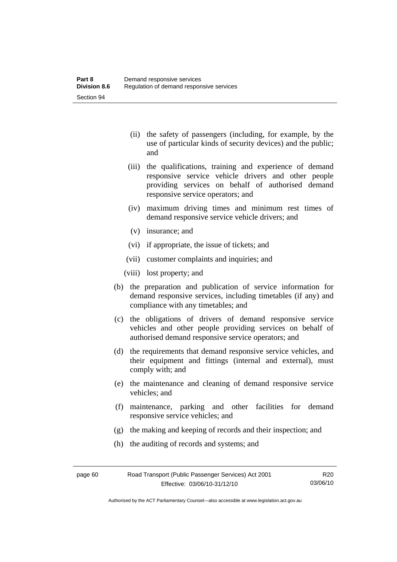- (ii) the safety of passengers (including, for example, by the use of particular kinds of security devices) and the public; and
- (iii) the qualifications, training and experience of demand responsive service vehicle drivers and other people providing services on behalf of authorised demand responsive service operators; and
- (iv) maximum driving times and minimum rest times of demand responsive service vehicle drivers; and
- (v) insurance; and
- (vi) if appropriate, the issue of tickets; and
- (vii) customer complaints and inquiries; and
- (viii) lost property; and
- (b) the preparation and publication of service information for demand responsive services, including timetables (if any) and compliance with any timetables; and
- (c) the obligations of drivers of demand responsive service vehicles and other people providing services on behalf of authorised demand responsive service operators; and
- (d) the requirements that demand responsive service vehicles, and their equipment and fittings (internal and external), must comply with; and
- (e) the maintenance and cleaning of demand responsive service vehicles; and
- (f) maintenance, parking and other facilities for demand responsive service vehicles; and
- (g) the making and keeping of records and their inspection; and
- (h) the auditing of records and systems; and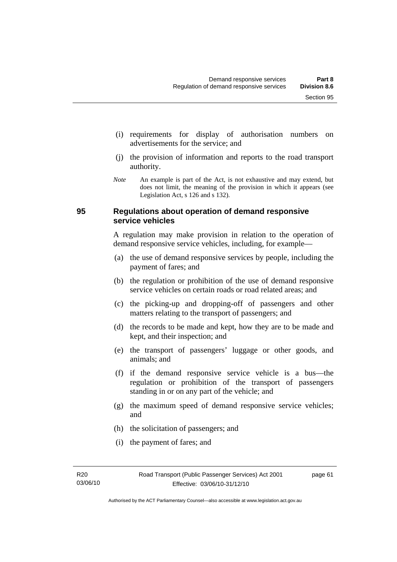- (i) requirements for display of authorisation numbers on advertisements for the service; and
- (j) the provision of information and reports to the road transport authority.
- *Note* An example is part of the Act, is not exhaustive and may extend, but does not limit, the meaning of the provision in which it appears (see Legislation Act, s 126 and s 132).

#### **95 Regulations about operation of demand responsive service vehicles**

A regulation may make provision in relation to the operation of demand responsive service vehicles, including, for example—

- (a) the use of demand responsive services by people, including the payment of fares; and
- (b) the regulation or prohibition of the use of demand responsive service vehicles on certain roads or road related areas; and
- (c) the picking-up and dropping-off of passengers and other matters relating to the transport of passengers; and
- (d) the records to be made and kept, how they are to be made and kept, and their inspection; and
- (e) the transport of passengers' luggage or other goods, and animals; and
- (f) if the demand responsive service vehicle is a bus—the regulation or prohibition of the transport of passengers standing in or on any part of the vehicle; and
- (g) the maximum speed of demand responsive service vehicles; and
- (h) the solicitation of passengers; and
- (i) the payment of fares; and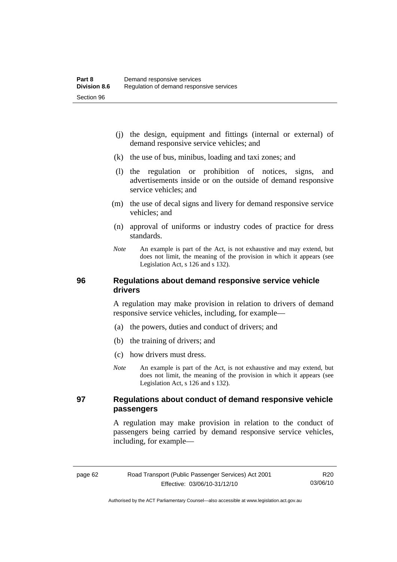- (j) the design, equipment and fittings (internal or external) of demand responsive service vehicles; and
- (k) the use of bus, minibus, loading and taxi zones; and
- (l) the regulation or prohibition of notices, signs, and advertisements inside or on the outside of demand responsive service vehicles; and
- (m) the use of decal signs and livery for demand responsive service vehicles; and
- (n) approval of uniforms or industry codes of practice for dress standards.
- *Note* An example is part of the Act, is not exhaustive and may extend, but does not limit, the meaning of the provision in which it appears (see Legislation Act, s 126 and s 132).

#### **96 Regulations about demand responsive service vehicle drivers**

A regulation may make provision in relation to drivers of demand responsive service vehicles, including, for example—

- (a) the powers, duties and conduct of drivers; and
- (b) the training of drivers; and
- (c) how drivers must dress.
- *Note* An example is part of the Act, is not exhaustive and may extend, but does not limit, the meaning of the provision in which it appears (see Legislation Act, s 126 and s 132).

#### **97 Regulations about conduct of demand responsive vehicle passengers**

A regulation may make provision in relation to the conduct of passengers being carried by demand responsive service vehicles, including, for example—

R20 03/06/10

Authorised by the ACT Parliamentary Counsel—also accessible at www.legislation.act.gov.au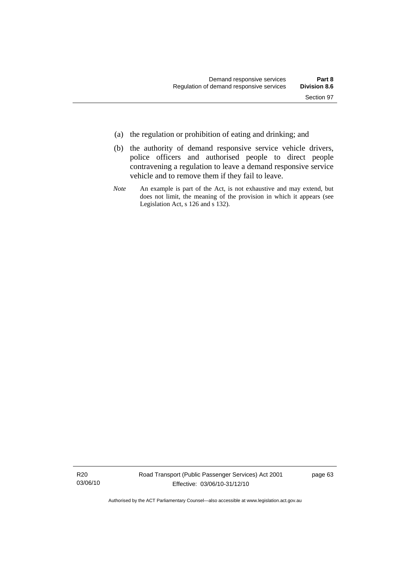- (a) the regulation or prohibition of eating and drinking; and
- (b) the authority of demand responsive service vehicle drivers, police officers and authorised people to direct people contravening a regulation to leave a demand responsive service vehicle and to remove them if they fail to leave.
- *Note* An example is part of the Act, is not exhaustive and may extend, but does not limit, the meaning of the provision in which it appears (see Legislation Act, s 126 and s 132).

R20 03/06/10 page 63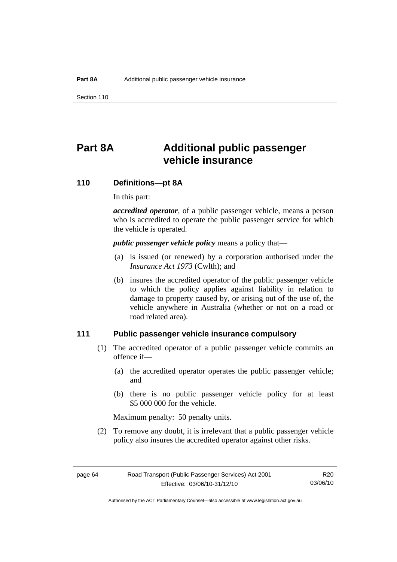Section 110

## **Part 8A Additional public passenger vehicle insurance**

## **110 Definitions—pt 8A**

In this part:

*accredited operator*, of a public passenger vehicle, means a person who is accredited to operate the public passenger service for which the vehicle is operated.

*public passenger vehicle policy* means a policy that—

- (a) is issued (or renewed) by a corporation authorised under the *Insurance Act 1973* (Cwlth); and
- (b) insures the accredited operator of the public passenger vehicle to which the policy applies against liability in relation to damage to property caused by, or arising out of the use of, the vehicle anywhere in Australia (whether or not on a road or road related area).

## **111 Public passenger vehicle insurance compulsory**

- (1) The accredited operator of a public passenger vehicle commits an offence if—
	- (a) the accredited operator operates the public passenger vehicle; and
	- (b) there is no public passenger vehicle policy for at least \$5 000 000 for the vehicle.

Maximum penalty: 50 penalty units.

 (2) To remove any doubt, it is irrelevant that a public passenger vehicle policy also insures the accredited operator against other risks.

R20 03/06/10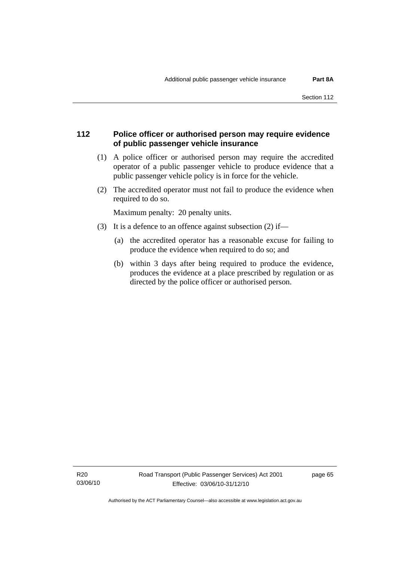## **112 Police officer or authorised person may require evidence of public passenger vehicle insurance**

- (1) A police officer or authorised person may require the accredited operator of a public passenger vehicle to produce evidence that a public passenger vehicle policy is in force for the vehicle.
- (2) The accredited operator must not fail to produce the evidence when required to do so.

Maximum penalty: 20 penalty units.

- (3) It is a defence to an offence against subsection (2) if—
	- (a) the accredited operator has a reasonable excuse for failing to produce the evidence when required to do so; and
	- (b) within 3 days after being required to produce the evidence, produces the evidence at a place prescribed by regulation or as directed by the police officer or authorised person.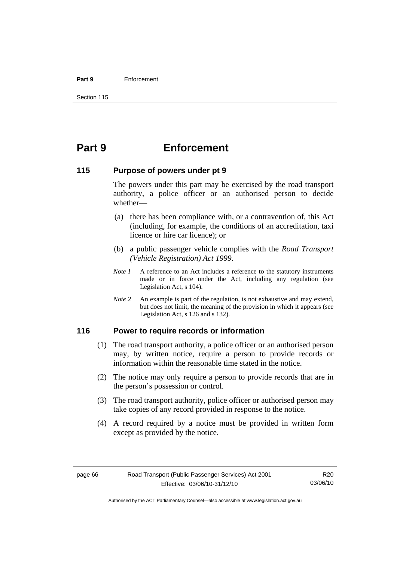#### **Part 9** Enforcement

## **Part 9 Enforcement**

## **115 Purpose of powers under pt 9**

The powers under this part may be exercised by the road transport authority, a police officer or an authorised person to decide whether—

- (a) there has been compliance with, or a contravention of, this Act (including, for example, the conditions of an accreditation, taxi licence or hire car licence); or
- (b) a public passenger vehicle complies with the *Road Transport (Vehicle Registration) Act 1999*.
- *Note 1* A reference to an Act includes a reference to the statutory instruments made or in force under the Act, including any regulation (see Legislation Act, s 104).
- *Note 2* An example is part of the regulation, is not exhaustive and may extend, but does not limit, the meaning of the provision in which it appears (see Legislation Act, s 126 and s 132).

## **116 Power to require records or information**

- (1) The road transport authority, a police officer or an authorised person may, by written notice, require a person to provide records or information within the reasonable time stated in the notice.
- (2) The notice may only require a person to provide records that are in the person's possession or control.
- (3) The road transport authority, police officer or authorised person may take copies of any record provided in response to the notice.
- (4) A record required by a notice must be provided in written form except as provided by the notice.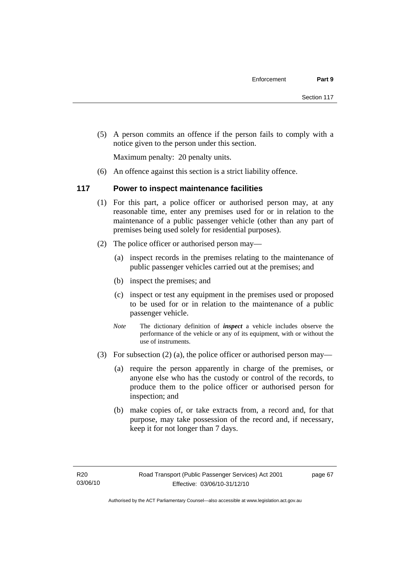(5) A person commits an offence if the person fails to comply with a notice given to the person under this section.

Maximum penalty: 20 penalty units.

(6) An offence against this section is a strict liability offence.

## **117 Power to inspect maintenance facilities**

- (1) For this part, a police officer or authorised person may, at any reasonable time, enter any premises used for or in relation to the maintenance of a public passenger vehicle (other than any part of premises being used solely for residential purposes).
- (2) The police officer or authorised person may—
	- (a) inspect records in the premises relating to the maintenance of public passenger vehicles carried out at the premises; and
	- (b) inspect the premises; and
	- (c) inspect or test any equipment in the premises used or proposed to be used for or in relation to the maintenance of a public passenger vehicle.
	- *Note* The dictionary definition of *inspect* a vehicle includes observe the performance of the vehicle or any of its equipment, with or without the use of instruments.
- (3) For subsection (2) (a), the police officer or authorised person may—
	- (a) require the person apparently in charge of the premises, or anyone else who has the custody or control of the records, to produce them to the police officer or authorised person for inspection; and
	- (b) make copies of, or take extracts from, a record and, for that purpose, may take possession of the record and, if necessary, keep it for not longer than 7 days.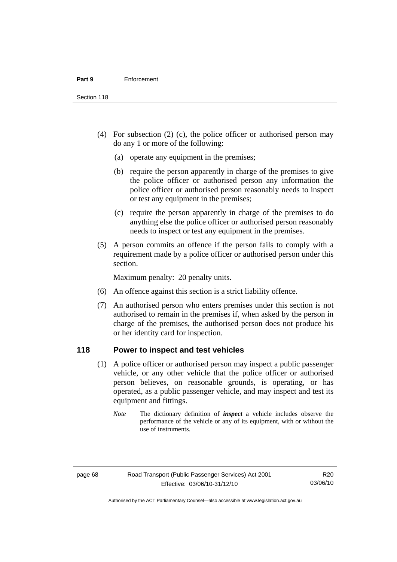Section 118

- (4) For subsection (2) (c), the police officer or authorised person may do any 1 or more of the following:
	- (a) operate any equipment in the premises;
	- (b) require the person apparently in charge of the premises to give the police officer or authorised person any information the police officer or authorised person reasonably needs to inspect or test any equipment in the premises;
	- (c) require the person apparently in charge of the premises to do anything else the police officer or authorised person reasonably needs to inspect or test any equipment in the premises.
- (5) A person commits an offence if the person fails to comply with a requirement made by a police officer or authorised person under this section.

Maximum penalty: 20 penalty units.

- (6) An offence against this section is a strict liability offence.
- (7) An authorised person who enters premises under this section is not authorised to remain in the premises if, when asked by the person in charge of the premises, the authorised person does not produce his or her identity card for inspection.

## **118 Power to inspect and test vehicles**

- (1) A police officer or authorised person may inspect a public passenger vehicle, or any other vehicle that the police officer or authorised person believes, on reasonable grounds, is operating, or has operated, as a public passenger vehicle, and may inspect and test its equipment and fittings.
	- *Note* The dictionary definition of *inspect* a vehicle includes observe the performance of the vehicle or any of its equipment, with or without the use of instruments.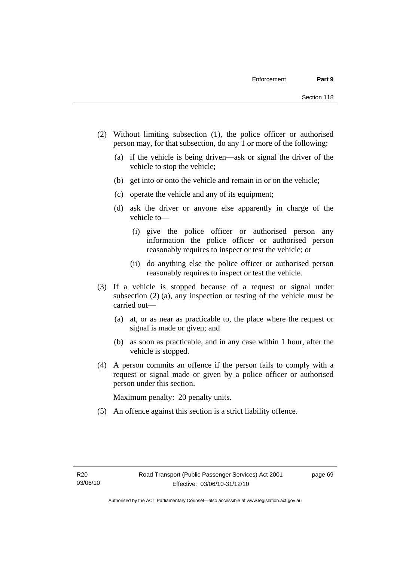- (2) Without limiting subsection (1), the police officer or authorised person may, for that subsection, do any 1 or more of the following:
	- (a) if the vehicle is being driven—ask or signal the driver of the vehicle to stop the vehicle;
	- (b) get into or onto the vehicle and remain in or on the vehicle;
	- (c) operate the vehicle and any of its equipment;
	- (d) ask the driver or anyone else apparently in charge of the vehicle to—
		- (i) give the police officer or authorised person any information the police officer or authorised person reasonably requires to inspect or test the vehicle; or
		- (ii) do anything else the police officer or authorised person reasonably requires to inspect or test the vehicle.
- (3) If a vehicle is stopped because of a request or signal under subsection (2) (a), any inspection or testing of the vehicle must be carried out—
	- (a) at, or as near as practicable to, the place where the request or signal is made or given; and
	- (b) as soon as practicable, and in any case within 1 hour, after the vehicle is stopped.
- (4) A person commits an offence if the person fails to comply with a request or signal made or given by a police officer or authorised person under this section.

Maximum penalty: 20 penalty units.

(5) An offence against this section is a strict liability offence.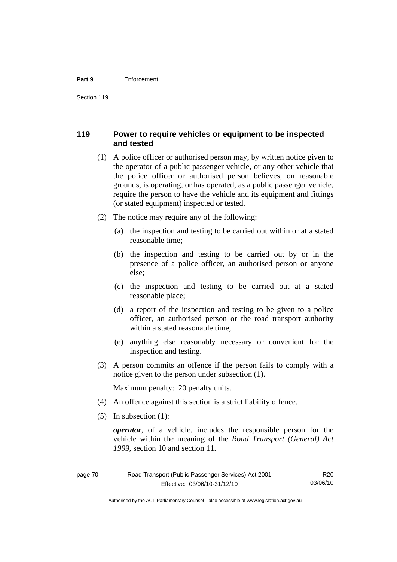#### **Part 9** Enforcement

## **119 Power to require vehicles or equipment to be inspected and tested**

- (1) A police officer or authorised person may, by written notice given to the operator of a public passenger vehicle, or any other vehicle that the police officer or authorised person believes, on reasonable grounds, is operating, or has operated, as a public passenger vehicle, require the person to have the vehicle and its equipment and fittings (or stated equipment) inspected or tested.
- (2) The notice may require any of the following:
	- (a) the inspection and testing to be carried out within or at a stated reasonable time;
	- (b) the inspection and testing to be carried out by or in the presence of a police officer, an authorised person or anyone else;
	- (c) the inspection and testing to be carried out at a stated reasonable place;
	- (d) a report of the inspection and testing to be given to a police officer, an authorised person or the road transport authority within a stated reasonable time;
	- (e) anything else reasonably necessary or convenient for the inspection and testing.
- (3) A person commits an offence if the person fails to comply with a notice given to the person under subsection (1).

Maximum penalty: 20 penalty units.

- (4) An offence against this section is a strict liability offence.
- (5) In subsection (1):

*operator*, of a vehicle, includes the responsible person for the vehicle within the meaning of the *Road Transport (General) Act 1999*, section 10 and section 11.

Authorised by the ACT Parliamentary Counsel—also accessible at www.legislation.act.gov.au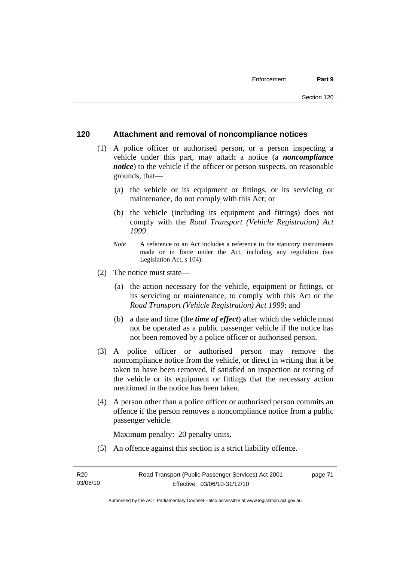## **120 Attachment and removal of noncompliance notices**

- (1) A police officer or authorised person, or a person inspecting a vehicle under this part, may attach a notice (a *noncompliance notice*) to the vehicle if the officer or person suspects, on reasonable grounds, that—
	- (a) the vehicle or its equipment or fittings, or its servicing or maintenance, do not comply with this Act; or
	- (b) the vehicle (including its equipment and fittings) does not comply with the *Road Transport (Vehicle Registration) Act 1999*.
	- *Note* A reference to an Act includes a reference to the statutory instruments made or in force under the Act, including any regulation (see Legislation Act, s 104).
- (2) The notice must state—
	- (a) the action necessary for the vehicle, equipment or fittings, or its servicing or maintenance, to comply with this Act or the *Road Transport (Vehicle Registration) Act 1999*; and
	- (b) a date and time (the *time of effect*) after which the vehicle must not be operated as a public passenger vehicle if the notice has not been removed by a police officer or authorised person.
- (3) A police officer or authorised person may remove the noncompliance notice from the vehicle, or direct in writing that it be taken to have been removed, if satisfied on inspection or testing of the vehicle or its equipment or fittings that the necessary action mentioned in the notice has been taken.
- (4) A person other than a police officer or authorised person commits an offence if the person removes a noncompliance notice from a public passenger vehicle.

Maximum penalty: 20 penalty units.

(5) An offence against this section is a strict liability offence.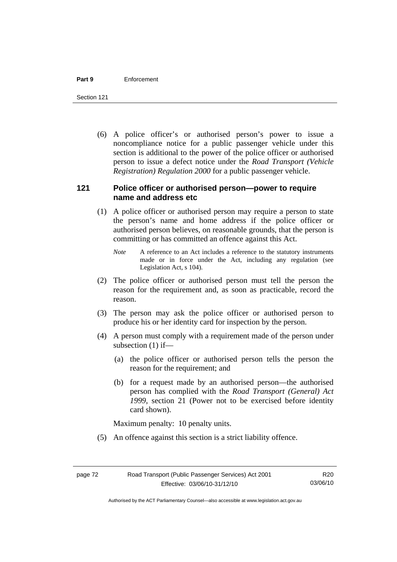#### **Part 9** Enforcement

Section 121

 (6) A police officer's or authorised person's power to issue a noncompliance notice for a public passenger vehicle under this section is additional to the power of the police officer or authorised person to issue a defect notice under the *Road Transport (Vehicle Registration) Regulation 2000* for a public passenger vehicle.

## **121 Police officer or authorised person—power to require name and address etc**

- (1) A police officer or authorised person may require a person to state the person's name and home address if the police officer or authorised person believes, on reasonable grounds, that the person is committing or has committed an offence against this Act.
	- *Note* A reference to an Act includes a reference to the statutory instruments made or in force under the Act, including any regulation (see Legislation Act, s 104).
- (2) The police officer or authorised person must tell the person the reason for the requirement and, as soon as practicable, record the reason.
- (3) The person may ask the police officer or authorised person to produce his or her identity card for inspection by the person.
- (4) A person must comply with a requirement made of the person under subsection (1) if—
	- (a) the police officer or authorised person tells the person the reason for the requirement; and
	- (b) for a request made by an authorised person—the authorised person has complied with the *Road Transport (General) Act 1999*, section 21 (Power not to be exercised before identity card shown).

Maximum penalty: 10 penalty units.

(5) An offence against this section is a strict liability offence.

R20 03/06/10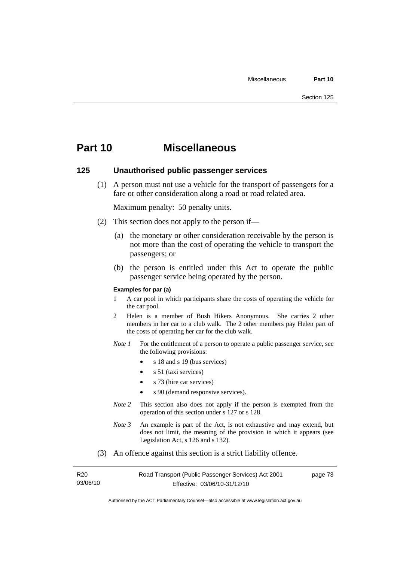## **Part 10 Miscellaneous**

## **125 Unauthorised public passenger services**

 (1) A person must not use a vehicle for the transport of passengers for a fare or other consideration along a road or road related area.

Maximum penalty: 50 penalty units.

- (2) This section does not apply to the person if—
	- (a) the monetary or other consideration receivable by the person is not more than the cost of operating the vehicle to transport the passengers; or
	- (b) the person is entitled under this Act to operate the public passenger service being operated by the person.

#### **Examples for par (a)**

- 1 A car pool in which participants share the costs of operating the vehicle for the car pool.
- 2 Helen is a member of Bush Hikers Anonymous. She carries 2 other members in her car to a club walk. The 2 other members pay Helen part of the costs of operating her car for the club walk.
- *Note 1* For the entitlement of a person to operate a public passenger service, see the following provisions:
	- s 18 and s 19 (bus services)
	- $s$  51 (taxi services)
	- s 73 (hire car services)
	- s 90 (demand responsive services).
- *Note* 2 This section also does not apply if the person is exempted from the operation of this section under s 127 or s 128.
- *Note 3* An example is part of the Act, is not exhaustive and may extend, but does not limit, the meaning of the provision in which it appears (see Legislation Act, s 126 and s 132).
- (3) An offence against this section is a strict liability offence.

| R20      | Road Transport (Public Passenger Services) Act 2001 | page 73 |
|----------|-----------------------------------------------------|---------|
| 03/06/10 | Effective: 03/06/10-31/12/10                        |         |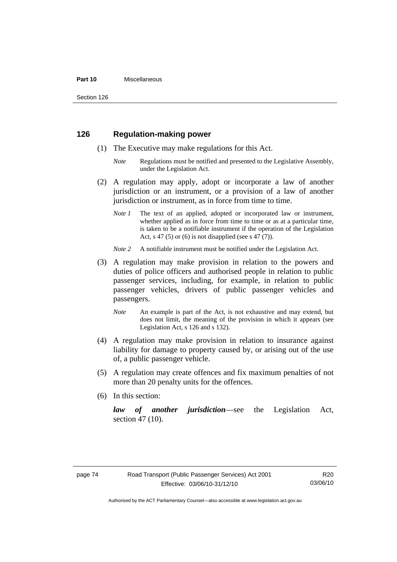#### **Part 10** Miscellaneous

Section 126

## **126 Regulation-making power**

- (1) The Executive may make regulations for this Act.
	- *Note* Regulations must be notified and presented to the Legislative Assembly, under the Legislation Act.
- (2) A regulation may apply, adopt or incorporate a law of another jurisdiction or an instrument, or a provision of a law of another jurisdiction or instrument, as in force from time to time.
	- *Note 1* The text of an applied, adopted or incorporated law or instrument, whether applied as in force from time to time or as at a particular time, is taken to be a notifiable instrument if the operation of the Legislation Act, s 47 (5) or (6) is not disapplied (see s 47 (7)).
	- *Note 2* A notifiable instrument must be notified under the Legislation Act.
- (3) A regulation may make provision in relation to the powers and duties of police officers and authorised people in relation to public passenger services, including, for example, in relation to public passenger vehicles, drivers of public passenger vehicles and passengers.
	- *Note* An example is part of the Act, is not exhaustive and may extend, but does not limit, the meaning of the provision in which it appears (see Legislation Act, s 126 and s 132).
- (4) A regulation may make provision in relation to insurance against liability for damage to property caused by, or arising out of the use of, a public passenger vehicle.
- (5) A regulation may create offences and fix maximum penalties of not more than 20 penalty units for the offences.
- (6) In this section:

*law of another jurisdiction*—see the Legislation Act, section 47 (10).

Authorised by the ACT Parliamentary Counsel—also accessible at www.legislation.act.gov.au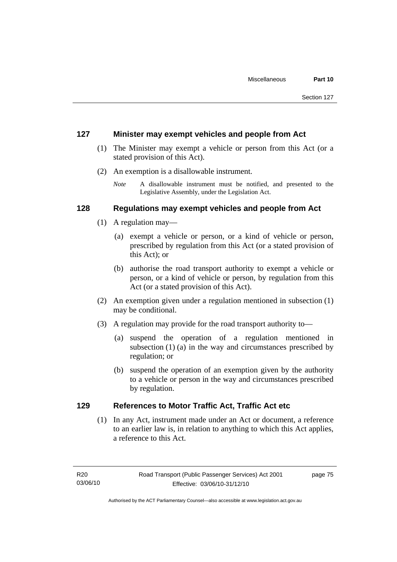## **127 Minister may exempt vehicles and people from Act**

- (1) The Minister may exempt a vehicle or person from this Act (or a stated provision of this Act).
- (2) An exemption is a disallowable instrument.
	- *Note* A disallowable instrument must be notified, and presented to the Legislative Assembly, under the Legislation Act.

## **128 Regulations may exempt vehicles and people from Act**

- (1) A regulation may—
	- (a) exempt a vehicle or person, or a kind of vehicle or person, prescribed by regulation from this Act (or a stated provision of this Act); or
	- (b) authorise the road transport authority to exempt a vehicle or person, or a kind of vehicle or person, by regulation from this Act (or a stated provision of this Act).
- (2) An exemption given under a regulation mentioned in subsection (1) may be conditional.
- (3) A regulation may provide for the road transport authority to—
	- (a) suspend the operation of a regulation mentioned in subsection (1) (a) in the way and circumstances prescribed by regulation; or
	- (b) suspend the operation of an exemption given by the authority to a vehicle or person in the way and circumstances prescribed by regulation.

## **129 References to Motor Traffic Act, Traffic Act etc**

 (1) In any Act, instrument made under an Act or document, a reference to an earlier law is, in relation to anything to which this Act applies, a reference to this Act.

page 75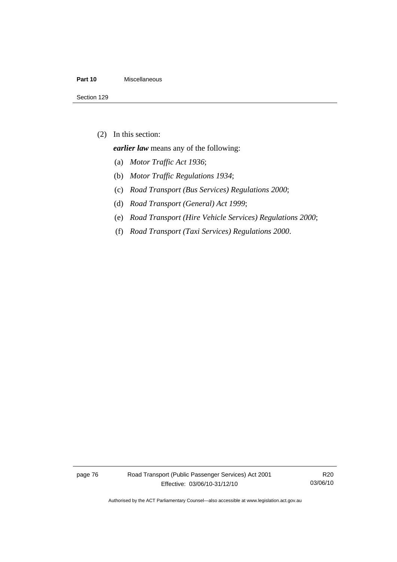#### **Part 10** Miscellaneous

(2) In this section:

*earlier law* means any of the following:

- (a) *Motor Traffic Act 1936*;
- (b) *Motor Traffic Regulations 1934*;
- (c) *Road Transport (Bus Services) Regulations 2000*;
- (d) *Road Transport (General) Act 1999*;
- (e) *Road Transport (Hire Vehicle Services) Regulations 2000*;
- (f) *Road Transport (Taxi Services) Regulations 2000*.

page 76 Road Transport (Public Passenger Services) Act 2001 Effective: 03/06/10-31/12/10

R20 03/06/10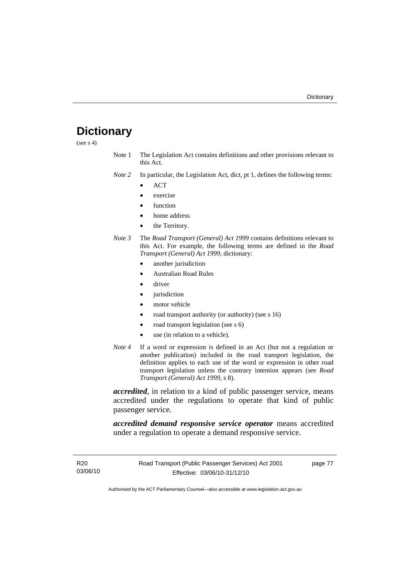## **Dictionary**

(see  $s$  4)

Note 1 The Legislation Act contains definitions and other provisions relevant to this Act.

*Note 2* In particular, the Legislation Act, dict, pt 1, defines the following terms:

- ACT
- exercise
- function
- home address
- the Territory.
- *Note 3* The *Road Transport (General) Act 1999* contains definitions relevant to this Act. For example, the following terms are defined in the *Road Transport (General) Act 1999*, dictionary:
	- another jurisdiction
	- Australian Road Rules
	- driver
	- *jurisdiction*
	- motor vehicle
	- road transport authority (or authority) (see s 16)
	- road transport legislation (see s 6)
	- use (in relation to a vehicle).
- *Note 4* If a word or expression is defined in an Act (but not a regulation or another publication) included in the road transport legislation, the definition applies to each use of the word or expression in other road transport legislation unless the contrary intention appears (see *Road Transport (General) Act 1999*, s 8).

*accredited*, in relation to a kind of public passenger service, means accredited under the regulations to operate that kind of public passenger service.

*accredited demand responsive service operator* means accredited under a regulation to operate a demand responsive service.

R20 03/06/10 page 77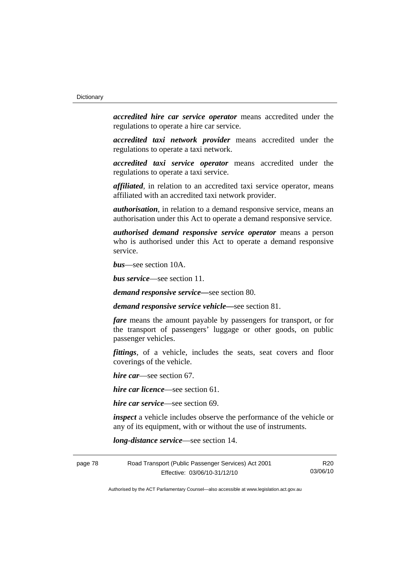*accredited hire car service operator* means accredited under the regulations to operate a hire car service.

*accredited taxi network provider* means accredited under the regulations to operate a taxi network.

*accredited taxi service operator* means accredited under the regulations to operate a taxi service.

*affiliated*, in relation to an accredited taxi service operator, means affiliated with an accredited taxi network provider.

*authorisation*, in relation to a demand responsive service, means an authorisation under this Act to operate a demand responsive service.

*authorised demand responsive service operator* means a person who is authorised under this Act to operate a demand responsive service.

*bus*—see section 10A.

*bus service*—see section 11.

*demand responsive service—*see section 80.

*demand responsive service vehicle—*see section 81.

*fare* means the amount payable by passengers for transport, or for the transport of passengers' luggage or other goods, on public passenger vehicles.

*fittings*, of a vehicle, includes the seats, seat covers and floor coverings of the vehicle.

*hire car*—see section 67.

*hire car licence*—see section 61.

*hire car service*—see section 69.

*inspect* a vehicle includes observe the performance of the vehicle or any of its equipment, with or without the use of instruments.

*long-distance service*—see section 14.

| page 78 | Road Transport (Public Passenger Services) Act 2001 | R20      |
|---------|-----------------------------------------------------|----------|
|         | Effective: 03/06/10-31/12/10                        | 03/06/10 |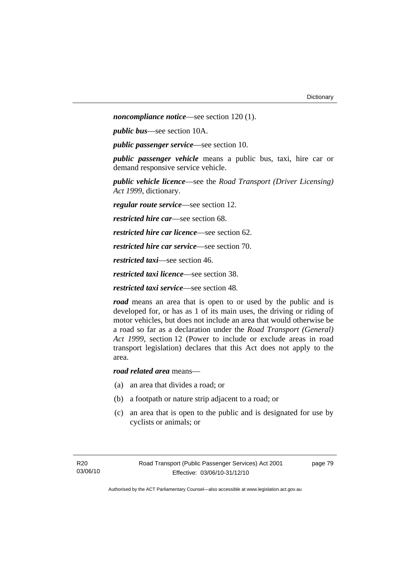*noncompliance notice*—see section 120 (1).

*public bus*—see section 10A.

*public passenger service*—see section 10.

*public passenger vehicle* means a public bus, taxi, hire car or demand responsive service vehicle.

*public vehicle licence*—see the *Road Transport (Driver Licensing) Act 1999*, dictionary.

*regular route service*—see section 12.

*restricted hire car*—see section 68.

*restricted hire car licence*—see section 62.

*restricted hire car service*—see section 70.

*restricted taxi*—see section 46.

*restricted taxi licence*—see section 38.

*restricted taxi service*—see section 48.

*road* means an area that is open to or used by the public and is developed for, or has as 1 of its main uses, the driving or riding of motor vehicles, but does not include an area that would otherwise be a road so far as a declaration under the *Road Transport (General) Act 1999*, section 12 (Power to include or exclude areas in road transport legislation) declares that this Act does not apply to the area.

*road related area* means—

- (a) an area that divides a road; or
- (b) a footpath or nature strip adjacent to a road; or
- (c) an area that is open to the public and is designated for use by cyclists or animals; or

page 79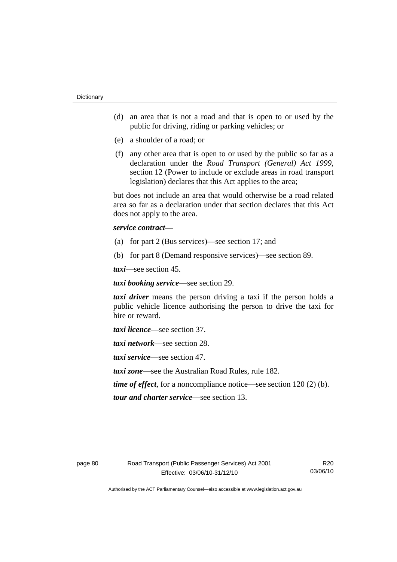- (d) an area that is not a road and that is open to or used by the public for driving, riding or parking vehicles; or
- (e) a shoulder of a road; or
- (f) any other area that is open to or used by the public so far as a declaration under the *Road Transport (General) Act 1999*, section 12 (Power to include or exclude areas in road transport legislation) declares that this Act applies to the area;

but does not include an area that would otherwise be a road related area so far as a declaration under that section declares that this Act does not apply to the area.

### *service contract—*

- (a) for part 2 (Bus services)—see section 17; and
- (b) for part 8 (Demand responsive services)—see section 89.

*taxi*—see section 45.

*taxi booking service*—see section 29.

*taxi driver* means the person driving a taxi if the person holds a public vehicle licence authorising the person to drive the taxi for hire or reward.

*taxi licence*—see section 37.

*taxi network*—see section 28.

*taxi service*—see section 47.

*taxi zone*—see the Australian Road Rules, rule 182.

*time of effect*, for a noncompliance notice—see section 120 (2) (b).

*tour and charter service*—see section 13.

R20 03/06/10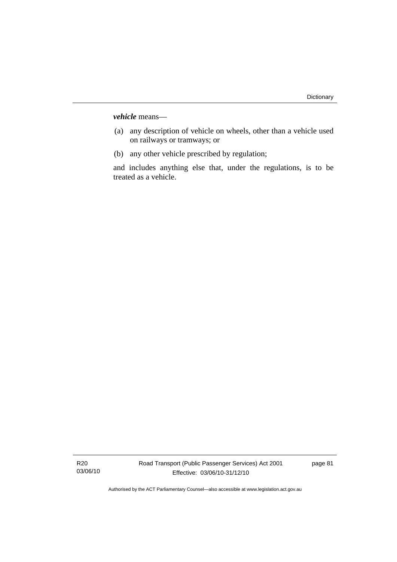*vehicle* means—

- (a) any description of vehicle on wheels, other than a vehicle used on railways or tramways; or
- (b) any other vehicle prescribed by regulation;

and includes anything else that, under the regulations, is to be treated as a vehicle.

R20 03/06/10 page 81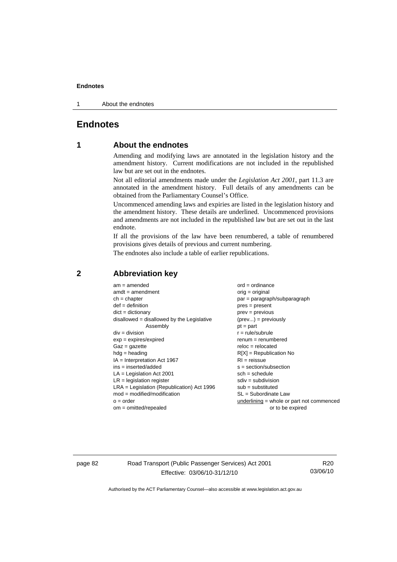1 About the endnotes

## **Endnotes**

## **1 About the endnotes**

Amending and modifying laws are annotated in the legislation history and the amendment history. Current modifications are not included in the republished law but are set out in the endnotes.

Not all editorial amendments made under the *Legislation Act 2001*, part 11.3 are annotated in the amendment history. Full details of any amendments can be obtained from the Parliamentary Counsel's Office.

Uncommenced amending laws and expiries are listed in the legislation history and the amendment history. These details are underlined. Uncommenced provisions and amendments are not included in the republished law but are set out in the last endnote.

If all the provisions of the law have been renumbered, a table of renumbered provisions gives details of previous and current numbering.

The endnotes also include a table of earlier republications.

| $am = amended$                               | $ord = ordinance$                         |
|----------------------------------------------|-------------------------------------------|
| $amdt = amendment$                           | $orig = original$                         |
| $ch = chapter$                               | par = paragraph/subparagraph              |
| $def = definition$                           | $pres = present$                          |
| $dict = dictionary$                          | $prev = previous$                         |
| disallowed = disallowed by the Legislative   | $(\text{prev}) = \text{previously}$       |
| Assembly                                     | $pt = part$                               |
| $div = division$                             | $r = rule/subrule$                        |
| $exp = expires/expired$                      | $renum = renumbered$                      |
| $Gaz = gazette$                              | $reloc = relocated$                       |
| $hdg =$ heading                              | $R[X]$ = Republication No                 |
| $IA = Interpretation Act 1967$               | $RI = reissue$                            |
| $ins = inserted/added$                       | $s = section/subsection$                  |
| $LA =$ Legislation Act 2001                  | $sch = schedule$                          |
| $LR =$ legislation register                  | $sdiv = subdivision$                      |
| $LRA =$ Legislation (Republication) Act 1996 | $sub =$ substituted                       |
| $mod = modified/modification$                | $SL = Subordinate$ Law                    |
| $o = order$                                  | underlining = whole or part not commenced |
| $om = omitted/repealed$                      | or to be expired                          |
|                                              |                                           |

## **2 Abbreviation key**

page 82 Road Transport (Public Passenger Services) Act 2001 Effective: 03/06/10-31/12/10

R20 03/06/10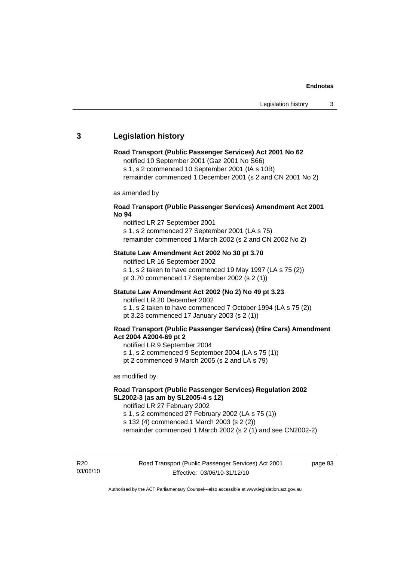## **3 Legislation history**

#### **Road Transport (Public Passenger Services) Act 2001 No 62**

notified 10 September 2001 (Gaz 2001 No S66)

s 1, s 2 commenced 10 September 2001 (IA s 10B)

remainder commenced 1 December 2001 (s 2 and CN 2001 No 2)

as amended by

#### **Road Transport (Public Passenger Services) Amendment Act 2001 No 94**

notified LR 27 September 2001

s 1, s 2 commenced 27 September 2001 (LA s 75) remainder commenced 1 March 2002 (s 2 and CN 2002 No 2)

#### **Statute Law Amendment Act 2002 No 30 pt 3.70**

notified LR 16 September 2002 s 1, s 2 taken to have commenced 19 May 1997 (LA s 75 (2)) pt 3.70 commenced 17 September 2002 (s 2 (1))

### **Statute Law Amendment Act 2002 (No 2) No 49 pt 3.23**

notified LR 20 December 2002

s 1, s 2 taken to have commenced 7 October 1994 (LA s 75 (2)) pt 3.23 commenced 17 January 2003 (s 2 (1))

#### **Road Transport (Public Passenger Services) (Hire Cars) Amendment Act 2004 A2004-69 pt 2**

notified LR 9 September 2004

s 1, s 2 commenced 9 September 2004 (LA s 75 (1))

pt 2 commenced 9 March 2005 (s 2 and LA s 79)

as modified by

## **Road Transport (Public Passenger Services) Regulation 2002 SL2002-3 (as am by SL2005-4 s 12)**

notified LR 27 February 2002 s 1, s 2 commenced 27 February 2002 (LA s 75 (1)) s 132 (4) commenced 1 March 2003 (s 2 (2))

remainder commenced 1 March 2002 (s 2 (1) and see CN2002-2)

R20 03/06/10 page 83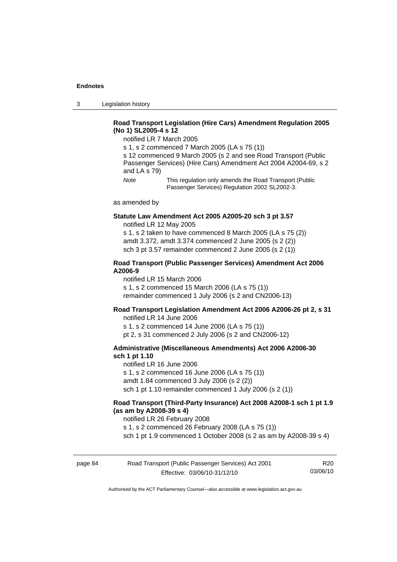3 Legislation history

## **Road Transport Legislation (Hire Cars) Amendment Regulation 2005 (No 1) SL2005-4 s 12**

notified LR 7 March 2005

s 1, s 2 commenced 7 March 2005 (LA s 75 (1))

s 12 commenced 9 March 2005 (s 2 and see Road Transport (Public Passenger Services) (Hire Cars) Amendment Act 2004 A2004-69, s 2 and LA s 79)

*Note* This regulation only amends the Road Transport (Public Passenger Services) Regulation 2002 SL2002-3.

as amended by

#### **Statute Law Amendment Act 2005 A2005-20 sch 3 pt 3.57**  notified LR 12 May 2005

s 1, s 2 taken to have commenced 8 March 2005 (LA s 75 (2)) amdt 3.372, amdt 3.374 commenced 2 June 2005 (s 2 (2)) sch 3 pt 3.57 remainder commenced 2 June 2005 (s 2 (1))

#### **Road Transport (Public Passenger Services) Amendment Act 2006 A2006-9**

notified LR 15 March 2006 s 1, s 2 commenced 15 March 2006 (LA s 75 (1)) remainder commenced 1 July 2006 (s 2 and CN2006-13)

### **Road Transport Legislation Amendment Act 2006 A2006-26 pt 2, s 31**

notified LR 14 June 2006 s 1, s 2 commenced 14 June 2006 (LA s 75 (1)) pt 2, s 31 commenced 2 July 2006 (s 2 and CN2006-12)

#### **Administrative (Miscellaneous Amendments) Act 2006 A2006-30 sch 1 pt 1.10**

notified LR 16 June 2006 s 1, s 2 commenced 16 June 2006 (LA s 75 (1)) amdt 1.84 commenced 3 July 2006 (s 2 (2)) sch 1 pt 1.10 remainder commenced 1 July 2006 (s 2 (1))

### **Road Transport (Third-Party Insurance) Act 2008 A2008-1 sch 1 pt 1.9 (as am by A2008-39 s 4)**

notified LR 26 February 2008

s 1, s 2 commenced 26 February 2008 (LA s 75 (1))

sch 1 pt 1.9 commenced 1 October 2008 (s 2 as am by A2008-39 s 4)

| page 84 | Road Transport (Public Passenger Services) Act 2001 | R20      |
|---------|-----------------------------------------------------|----------|
|         | Effective: 03/06/10-31/12/10                        | 03/06/10 |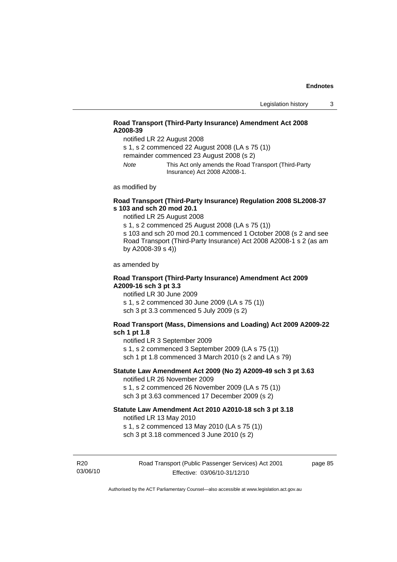## **Road Transport (Third-Party Insurance) Amendment Act 2008 A2008-39**

notified LR 22 August 2008

s 1, s 2 commenced 22 August 2008 (LA s 75 (1))

remainder commenced 23 August 2008 (s 2)

*Note* This Act only amends the Road Transport (Third-Party Insurance) Act 2008 A2008-1.

as modified by

## **Road Transport (Third-Party Insurance) Regulation 2008 SL2008-37 s 103 and sch 20 mod 20.1**

notified LR 25 August 2008

s 1, s 2 commenced 25 August 2008 (LA s 75 (1)) s 103 and sch 20 mod 20.1 commenced 1 October 2008 (s 2 and see Road Transport (Third-Party Insurance) Act 2008 A2008-1 s 2 (as am by A2008-39 s 4))

as amended by

#### **Road Transport (Third-Party Insurance) Amendment Act 2009 A2009-16 sch 3 pt 3.3**

notified LR 30 June 2009 s 1, s 2 commenced 30 June 2009 (LA s 75 (1)) sch 3 pt 3.3 commenced 5 July 2009 (s 2)

#### **Road Transport (Mass, Dimensions and Loading) Act 2009 A2009-22 sch 1 pt 1.8**

notified LR 3 September 2009

s 1, s 2 commenced 3 September 2009 (LA s 75 (1))

sch 1 pt 1.8 commenced 3 March 2010 (s 2 and LA s 79)

## **Statute Law Amendment Act 2009 (No 2) A2009-49 sch 3 pt 3.63**

notified LR 26 November 2009 s 1, s 2 commenced 26 November 2009 (LA s 75 (1))

sch 3 pt 3.63 commenced 17 December 2009 (s 2)

#### **Statute Law Amendment Act 2010 A2010-18 sch 3 pt 3.18**

notified LR 13 May 2010

s 1, s 2 commenced 13 May 2010 (LA s 75 (1))

sch 3 pt 3.18 commenced 3 June 2010 (s 2)

R20 03/06/10 Road Transport (Public Passenger Services) Act 2001 Effective: 03/06/10-31/12/10

page 85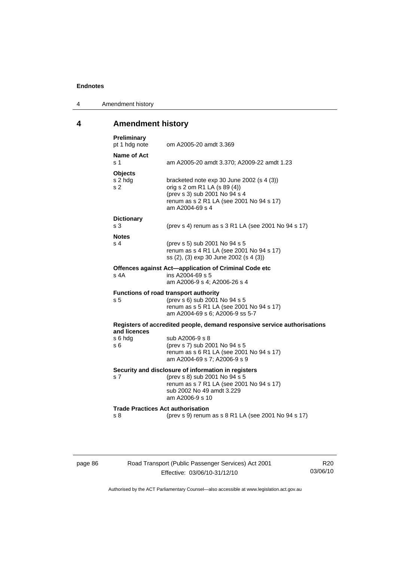| 4 | Amendment history |
|---|-------------------|
|---|-------------------|

## **4 Amendment history**

| <b>Preliminary</b><br>pt 1 hdg note             | om A2005-20 amdt 3.369                                                                                                                                                           |
|-------------------------------------------------|----------------------------------------------------------------------------------------------------------------------------------------------------------------------------------|
| <b>Name of Act</b><br>s 1                       | am A2005-20 amdt 3.370; A2009-22 amdt 1.23                                                                                                                                       |
| <b>Objects</b><br>s 2 hdg<br>s <sub>2</sub>     | bracketed note $exp 30$ June 2002 (s 4 (3))<br>orig s 2 om R1 LA (s 89 (4))<br>(prev s 3) sub 2001 No 94 s 4<br>renum as s 2 R1 LA (see 2001 No 94 s 17)<br>am A2004-69 s 4      |
| <b>Dictionary</b><br>s <sub>3</sub>             | (prev s 4) renum as s 3 R1 LA (see 2001 No 94 s 17)                                                                                                                              |
| <b>Notes</b><br>s 4                             | (prev s 5) sub 2001 No 94 s 5<br>renum as s 4 R1 LA (see 2001 No 94 s 17)<br>ss (2), (3) exp 30 June 2002 (s 4 (3))                                                              |
| s 4A                                            | Offences against Act-application of Criminal Code etc<br>ins A2004-69 s 5<br>am A2006-9 s 4; A2006-26 s 4                                                                        |
| s <sub>5</sub>                                  | <b>Functions of road transport authority</b><br>(prev s 6) sub 2001 No 94 s 5<br>renum as s 5 R1 LA (see 2001 No 94 s 17)<br>am A2004-69 s 6; A2006-9 ss 5-7                     |
| and licences                                    | Registers of accredited people, demand responsive service authorisations                                                                                                         |
| s 6 hdg<br>s 6                                  | sub A2006-9 s 8<br>(prev s 7) sub 2001 No 94 s 5<br>renum as s 6 R1 LA (see 2001 No 94 s 17)<br>am A2004-69 s 7; A2006-9 s 9                                                     |
| s 7                                             | Security and disclosure of information in registers<br>(prev s 8) sub 2001 No 94 s 5<br>renum as s 7 R1 LA (see 2001 No 94 s 17)<br>sub 2002 No 49 amdt 3.229<br>am A2006-9 s 10 |
| <b>Trade Practices Act authorisation</b><br>s 8 | (prev s 9) renum as s 8 R1 LA (see 2001 No 94 s 17)                                                                                                                              |
|                                                 |                                                                                                                                                                                  |

| page | ×ь. |  |
|------|-----|--|
|      |     |  |

Road Transport (Public Passenger Services) Act 2001 Effective: 03/06/10-31/12/10

R20 03/06/10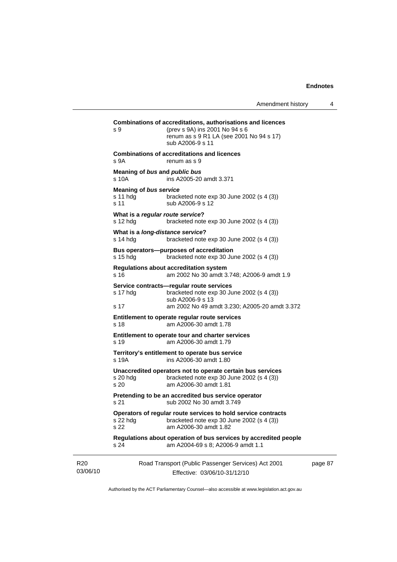| s 9                                               | (prev s 9A) ins 2001 No 94 s 6<br>renum as s 9 R1 LA (see 2001 No 94 s 17)<br>sub A2006-9 s 11                                                               |
|---------------------------------------------------|--------------------------------------------------------------------------------------------------------------------------------------------------------------|
| s 9A                                              | <b>Combinations of accreditations and licences</b><br>renum as s 9                                                                                           |
| Meaning of bus and public bus<br>s 10A            | ins A2005-20 amdt 3.371                                                                                                                                      |
| <b>Meaning of bus service</b><br>s 11 hdg<br>s 11 | bracketed note $exp 30$ June 2002 (s 4 (3))<br>sub A2006-9 s 12                                                                                              |
| s 12 hdg                                          | What is a regular route service?<br>bracketed note $exp 30$ June 2002 (s 4 (3))                                                                              |
| s 14 hdg                                          | What is a long-distance service?<br>bracketed note exp 30 June 2002 (s 4 (3))                                                                                |
| s 15 hdg                                          | Bus operators--purposes of accreditation<br>bracketed note $exp 30$ June 2002 (s 4 (3))                                                                      |
| s 16                                              | <b>Regulations about accreditation system</b><br>am 2002 No 30 amdt 3.748; A2006-9 amdt 1.9                                                                  |
| s 17 hdg<br>s 17                                  | Service contracts-regular route services<br>bracketed note $exp 30$ June 2002 (s 4 (3))<br>sub A2006-9 s 13<br>am 2002 No 49 amdt 3.230; A2005-20 amdt 3.372 |
| s 18                                              | Entitlement to operate regular route services<br>am A2006-30 amdt 1.78                                                                                       |
| s 19                                              | Entitlement to operate tour and charter services<br>am A2006-30 amdt 1.79                                                                                    |
| s 19A                                             | Territory's entitlement to operate bus service<br>ins A2006-30 amdt 1.80                                                                                     |
| s 20 hdg<br>s 20                                  | Unaccredited operators not to operate certain bus services<br>bracketed note exp 30 June 2002 (s 4 (3))<br>am A2006-30 amdt 1.81                             |
| s 21                                              | Pretending to be an accredited bus service operator<br>sub 2002 No 30 amdt 3.749                                                                             |
| s 22 hdg<br>s 22                                  | Operators of regular route services to hold service contracts<br>bracketed note exp 30 June 2002 (s 4 (3))<br>am A2006-30 amdt 1.82                          |
| s 24                                              | Regulations about operation of bus services by accredited people<br>am A2004-69 s 8; A2006-9 amdt 1.1                                                        |

page 87

Authorised by the ACT Parliamentary Counsel—also accessible at www.legislation.act.gov.au

Effective: 03/06/10-31/12/10

R20 03/06/10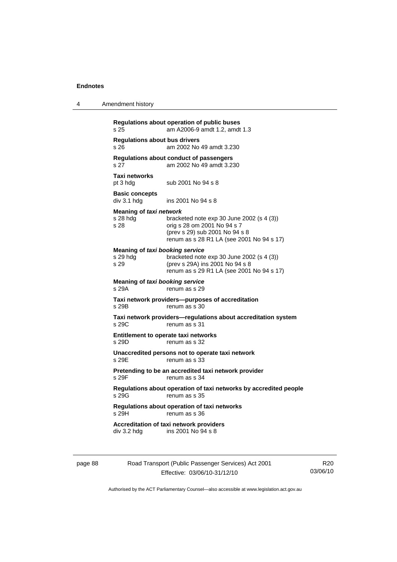4 Amendment history

| s 25                                                | am A2006-9 amdt 1.2, amdt 1.3                                                                                                                             |
|-----------------------------------------------------|-----------------------------------------------------------------------------------------------------------------------------------------------------------|
| <b>Regulations about bus drivers</b><br>s 26        | am 2002 No 49 amdt 3.230                                                                                                                                  |
| s <sub>27</sub>                                     | Regulations about conduct of passengers<br>am 2002 No 49 amdt 3.230                                                                                       |
| <b>Taxi networks</b><br>pt 3 hdg                    | sub 2001 No 94 s 8                                                                                                                                        |
| <b>Basic concepts</b><br>div 3.1 h dg               | ins 2001 No 94 s 8                                                                                                                                        |
| Meaning of taxi network<br>s 28 hda<br>s 28         | bracketed note $exp 30$ June 2002 (s 4 (3))<br>orig s 28 om 2001 No 94 s 7<br>(prev s 29) sub 2001 No 94 s 8<br>renum as s 28 R1 LA (see 2001 No 94 s 17) |
| Meaning of taxi booking service<br>s 29 hdg<br>s 29 | bracketed note exp 30 June 2002 (s 4 (3))<br>(prev s 29A) ins 2001 No 94 s 8<br>renum as s 29 R1 LA (see 2001 No 94 s 17)                                 |
| Meaning of taxi booking service<br>s 29A            | renum as s 29                                                                                                                                             |
| s 29B                                               | Taxi network providers—purposes of accreditation<br>renum as s 30                                                                                         |
| s 29C                                               | Taxi network providers-regulations about accreditation system<br>renum as s 31                                                                            |
| s 29D                                               | Entitlement to operate taxi networks<br>renum as s 32                                                                                                     |
| s 29E                                               | Unaccredited persons not to operate taxi network<br>renum as s 33                                                                                         |
| s 29F                                               | Pretending to be an accredited taxi network provider<br>renum as s 34                                                                                     |
| s 29G                                               | Regulations about operation of taxi networks by accredited people<br>renum as s 35                                                                        |
| s 29H                                               | Regulations about operation of taxi networks<br>renum as s 36                                                                                             |
| div 3.2 hdg                                         | Accreditation of taxi network providers<br>ins 2001 No 94 s 8                                                                                             |

page 88 Road Transport (Public Passenger Services) Act 2001 Effective: 03/06/10-31/12/10

R20 03/06/10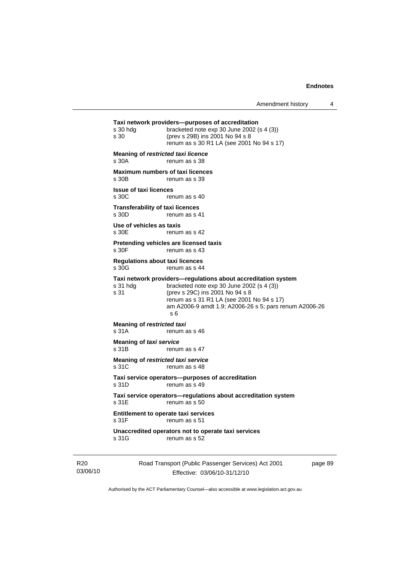| s 30 hdg<br>s 30                                 | Taxi network providers--purposes of accreditation<br>bracketed note exp 30 June 2002 (s 4 (3))<br>(prev s 29B) ins 2001 No 94 s 8<br>renum as s 30 R1 LA (see 2001 No 94 s 17)                                                                                |
|--------------------------------------------------|---------------------------------------------------------------------------------------------------------------------------------------------------------------------------------------------------------------------------------------------------------------|
| Meaning of restricted taxi licence<br>s 30A      | renum as s 38                                                                                                                                                                                                                                                 |
| <b>Maximum numbers of taxi licences</b><br>s 30B | renum as s 39                                                                                                                                                                                                                                                 |
| <b>Issue of taxi licences</b><br>s 30C           | renum as s 40                                                                                                                                                                                                                                                 |
| <b>Transferability of taxi licences</b><br>s 30D | renum as s 41                                                                                                                                                                                                                                                 |
| Use of vehicles as taxis<br>s 30E                | renum as s 42                                                                                                                                                                                                                                                 |
| s 30F                                            | Pretending vehicles are licensed taxis<br>renum as s 43                                                                                                                                                                                                       |
| <b>Regulations about taxi licences</b><br>s 30G  | renum as s 44                                                                                                                                                                                                                                                 |
| s 31 hdg<br>s 31                                 | Taxi network providers-regulations about accreditation system<br>bracketed note $exp 30$ June 2002 (s 4 (3))<br>(prev s 29C) ins 2001 No 94 s 8<br>renum as s 31 R1 LA (see 2001 No 94 s 17)<br>am A2006-9 amdt 1.9; A2006-26 s 5; pars renum A2006-26<br>s 6 |
| Meaning of restricted taxi<br>s 31A              | renum as s 46                                                                                                                                                                                                                                                 |
| <b>Meaning of taxi service</b><br>s 31B          | renum as s 47                                                                                                                                                                                                                                                 |
| Meaning of restricted taxi service<br>s 31C      | renum as s 48                                                                                                                                                                                                                                                 |
| s 31D                                            | Taxi service operators—purposes of accreditation<br>renum as s 49                                                                                                                                                                                             |
| s 31E                                            | Taxi service operators—regulations about accreditation system<br>renum as s 50                                                                                                                                                                                |
| Entitlement to operate taxi services<br>s 31F    | renum as s 51                                                                                                                                                                                                                                                 |
| s 31G                                            | Unaccredited operators not to operate taxi services<br>renum as s 52                                                                                                                                                                                          |
|                                                  |                                                                                                                                                                                                                                                               |

R20 03/06/10 Road Transport (Public Passenger Services) Act 2001 Effective: 03/06/10-31/12/10

page 89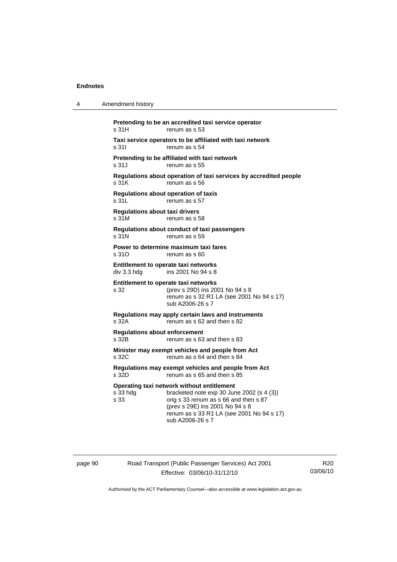| 4 | Amendment history                                                                                                                                                                                                                                        |
|---|----------------------------------------------------------------------------------------------------------------------------------------------------------------------------------------------------------------------------------------------------------|
|   | Pretending to be an accredited taxi service operator<br>s 31H<br>renum as s 53                                                                                                                                                                           |
|   | Taxi service operators to be affiliated with taxi network<br>s 311<br>renum as s 54                                                                                                                                                                      |
|   | Pretending to be affiliated with taxi network<br>s 31J<br>renum as s 55                                                                                                                                                                                  |
|   | Regulations about operation of taxi services by accredited people<br>s 31K<br>renum as s 56                                                                                                                                                              |
|   | Regulations about operation of taxis<br>s 31L<br>renum as s 57                                                                                                                                                                                           |
|   | <b>Regulations about taxi drivers</b><br>s 31M<br>renum as s 58                                                                                                                                                                                          |
|   | Regulations about conduct of taxi passengers<br>renum as s 59<br>s 31N                                                                                                                                                                                   |
|   | Power to determine maximum taxi fares<br>s 31O<br>renum as s 60                                                                                                                                                                                          |
|   | Entitlement to operate taxi networks<br>div 3.3 hdg<br>ins 2001 No 94 s 8                                                                                                                                                                                |
|   | Entitlement to operate taxi networks<br>(prev s 29D) ins 2001 No 94 s 8<br>s 32<br>renum as s 32 R1 LA (see 2001 No 94 s 17)<br>sub A2006-26 s 7                                                                                                         |
|   | Regulations may apply certain laws and instruments<br>s 32A<br>renum as s 62 and then s 82                                                                                                                                                               |
|   | <b>Requlations about enforcement</b><br>s 32B<br>renum as s 63 and then s 83                                                                                                                                                                             |
|   | Minister may exempt vehicles and people from Act<br>s 32C<br>renum as s 64 and then s 84                                                                                                                                                                 |
|   | Regulations may exempt vehicles and people from Act<br>renum as s 65 and then s 85<br>s 32D                                                                                                                                                              |
|   | Operating taxi network without entitlement<br>s 33 hdg<br>bracketed note exp 30 June 2002 (s 4 (3))<br>s 33<br>orig s 33 renum as s 66 and then s 87<br>(prev s 29E) ins 2001 No 94 s 8<br>renum as s 33 R1 LA (see 2001 No 94 s 17)<br>sub A2006-26 s 7 |
|   |                                                                                                                                                                                                                                                          |

page 90 Road Transport (Public Passenger Services) Act 2001 Effective: 03/06/10-31/12/10

R20 03/06/10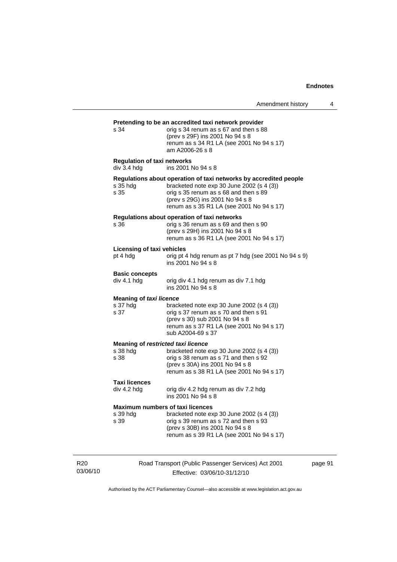| s 34                                               | orig s 34 renum as s 67 and then s 88<br>(prev s 29F) ins 2001 No 94 s 8<br>renum as s 34 R1 LA (see 2001 No 94 s 17)<br>am A2006-26 s 8                                                                                                |
|----------------------------------------------------|-----------------------------------------------------------------------------------------------------------------------------------------------------------------------------------------------------------------------------------------|
| <b>Regulation of taxi networks</b><br>div 3.4 hdg  | ins 2001 No 94 s 8                                                                                                                                                                                                                      |
| s 35 hdg<br>s 35                                   | Regulations about operation of taxi networks by accredited people<br>bracketed note exp 30 June 2002 (s 4 (3))<br>orig s 35 renum as s 68 and then s 89<br>(prev s 29G) ins 2001 No 94 s 8<br>renum as s 35 R1 LA (see 2001 No 94 s 17) |
| s 36                                               | Regulations about operation of taxi networks<br>orig s 36 renum as s 69 and then s 90<br>(prev s 29H) ins 2001 No 94 s 8<br>renum as s 36 R1 LA (see 2001 No 94 s 17)                                                                   |
| Licensing of taxi vehicles<br>pt 4 hdg             | orig pt 4 hdg renum as pt 7 hdg (see 2001 No 94 s 9)<br>ins 2001 No 94 s 8                                                                                                                                                              |
| <b>Basic concepts</b><br>div 4.1 hdg               | orig div 4.1 hdg renum as div 7.1 hdg<br>ins 2001 No 94 s 8                                                                                                                                                                             |
| <b>Meaning of taxi licence</b><br>s 37 hda<br>s 37 | bracketed note exp 30 June 2002 (s 4 (3))<br>orig s 37 renum as s 70 and then s 91<br>(prev s 30) sub 2001 No 94 s 8<br>renum as s 37 R1 LA (see 2001 No 94 s 17)<br>sub A2004-69 s 37                                                  |
|                                                    | Meaning of restricted taxi licence                                                                                                                                                                                                      |
| s 38 hda<br>s 38                                   | bracketed note exp 30 June 2002 (s 4 (3))<br>orig s 38 renum as s 71 and then s 92<br>(prev s 30A) ins 2001 No 94 s 8<br>renum as s 38 R1 LA (see 2001 No 94 s 17)                                                                      |
| <b>Taxi licences</b>                               |                                                                                                                                                                                                                                         |
| div 4.2 hdg                                        | orig div 4.2 hdg renum as div 7.2 hdg<br>ins 2001 No 94 s 8                                                                                                                                                                             |
| s 39 hdg<br>s 39                                   | <b>Maximum numbers of taxi licences</b><br>bracketed note exp 30 June 2002 (s 4 (3))<br>orig s 39 renum as s 72 and then s 93<br>(prev s 30B) ins 2001 No 94 s 8<br>renum as s 39 R1 LA (see 2001 No 94 s 17)                           |

R20 03/06/10 Road Transport (Public Passenger Services) Act 2001 Effective: 03/06/10-31/12/10

page 91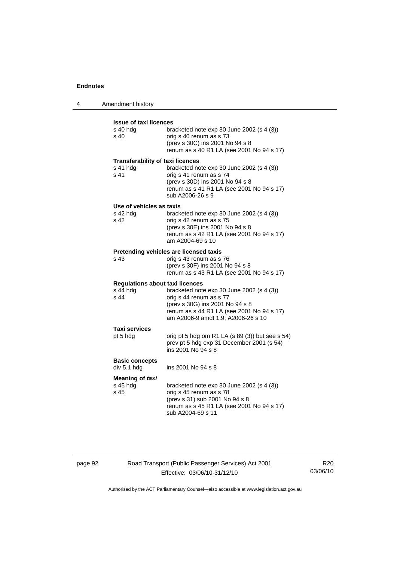| $\boldsymbol{\Lambda}$ | Amendment history |
|------------------------|-------------------|
|------------------------|-------------------|

| <b>Issue of taxi licences</b><br>s 40 hda<br>s 40                       | bracketed note exp 30 June 2002 (s 4 (3))<br>orig s 40 renum as s 73<br>(prev s 30C) ins 2001 No 94 s 8<br>renum as s 40 R1 LA (see 2001 No 94 s 17)                                         |
|-------------------------------------------------------------------------|----------------------------------------------------------------------------------------------------------------------------------------------------------------------------------------------|
| <b>Transferability of taxi licences</b><br>s 41 hdg<br>s 41             | bracketed note exp 30 June 2002 (s 4 (3))<br>orig s 41 renum as s 74<br>(prev s 30D) ins 2001 No 94 s 8<br>renum as s 41 R1 LA (see 2001 No 94 s 17)<br>sub A2006-26 s 9                     |
| Use of vehicles as taxis<br>s 42 hdg<br>s 42                            | bracketed note $exp 30$ June 2002 (s 4 (3))<br>orig s 42 renum as s 75<br>(prev s 30E) ins 2001 No 94 s 8<br>renum as s 42 R1 LA (see 2001 No 94 s 17)<br>am A2004-69 s 10                   |
| s 43                                                                    | Pretending vehicles are licensed taxis<br>orig s 43 renum as s 76<br>(prev s 30F) ins 2001 No 94 s 8<br>renum as s 43 R1 LA (see 2001 No 94 s 17)                                            |
| <b>Regulations about taxi licences</b><br>$s$ 44 hdg<br>s <sub>44</sub> | bracketed note $exp 30$ June 2002 (s 4 (3))<br>orig s 44 renum as s 77<br>(prev s 30G) ins 2001 No 94 s 8<br>renum as s 44 R1 LA (see 2001 No 94 s 17)<br>am A2006-9 amdt 1.9; A2006-26 s 10 |
| <b>Taxi services</b><br>pt 5 hdg                                        | orig pt 5 hdg om R1 LA $(s 89 (3))$ but see s 54)<br>prev pt 5 hdg exp 31 December 2001 (s 54)<br>ins 2001 No 94 s 8                                                                         |
| <b>Basic concepts</b><br>div 5.1 hdg                                    | ins 2001 No 94 s 8                                                                                                                                                                           |
| <b>Meaning of taxi</b><br>s 45 hdg<br>s <sub>45</sub>                   | bracketed note $exp 30$ June 2002 (s 4 (3))<br>orig s 45 renum as s 78<br>(prev s 31) sub 2001 No 94 s 8<br>renum as s 45 R1 LA (see 2001 No 94 s 17)<br>sub A2004-69 s 11                   |

page 92 Road Transport (Public Passenger Services) Act 2001 Effective: 03/06/10-31/12/10

R20 03/06/10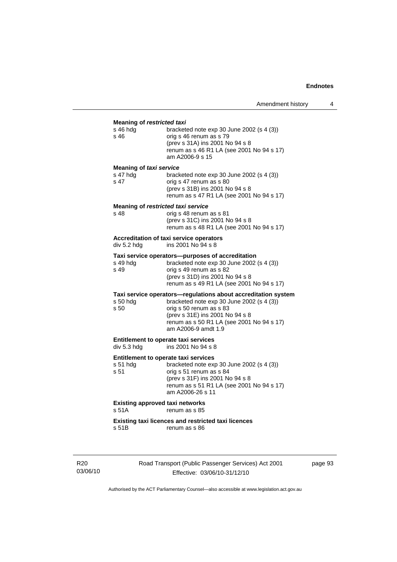#### **Meaning of** *restricted taxi*

| s 46 hda<br>s 46 | bracketed note $exp 30$ June 2002 (s 4 (3))<br>orig s 46 renum as s 79                          |
|------------------|-------------------------------------------------------------------------------------------------|
|                  | (prev s 31A) ins 2001 No 94 s 8<br>renum as s 46 R1 LA (see 2001 No 94 s 17)<br>am A2006-9 s 15 |
|                  |                                                                                                 |

#### **Meaning of** *taxi service*

| s 47 hdg | bracketed note exp 30 June 2002 (s 4 (3)) |
|----------|-------------------------------------------|
| s 47     | orig s 47 renum as s 80                   |
|          | (prev s 31B) ins 2001 No 94 s 8           |
|          | renum as s 47 R1 LA (see 2001 No 94 s 17) |

#### **Meaning of** *restricted taxi service*

| s 48 | orig s 48 renum as s 81                   |
|------|-------------------------------------------|
|      | (prev s 31C) ins 2001 No 94 s 8           |
|      | renum as s 48 R1 LA (see 2001 No 94 s 17) |

# **Accreditation of taxi service operators**<br>div 5.2 hdg ins 2001 No 94 s 8

ins 2001 No  $94 s 8$ 

#### **Taxi service operators—purposes of accreditation**

| s 49 hda | bracketed note $exp 30$ June 2002 (s 4 (3)) |
|----------|---------------------------------------------|
| s 49     | orig s 49 renum as s 82                     |
|          | (prev s 31D) ins 2001 No 94 s 8             |
|          | renum as s 49 R1 LA (see 2001 No 94 s 17)   |

#### **Taxi service operators—regulations about accreditation system**

| bracketed note $exp 30$ June 2002 (s 4 (3))<br>s 50 hdg |                                                                  |  |  |
|---------------------------------------------------------|------------------------------------------------------------------|--|--|
| s 50                                                    | orig s 50 renum as s 83                                          |  |  |
|                                                         | (prev s 31E) ins 2001 No 94 s 8                                  |  |  |
|                                                         | renum as s 50 R1 LA (see 2001 No 94 s 17)<br>am A2006-9 amdt 1.9 |  |  |
|                                                         |                                                                  |  |  |

# **Entitlement to operate taxi services**<br>div 5.3 hdg ins 2001 No 94 s 8

ins 2001 No 94 s 8

#### **Entitlement to operate taxi services**

| s 51 hda<br>s 51 | bracketed note $exp 30$ June 2002 (s 4 (3))<br>orig s 51 renum as s 84<br>(prev s 31F) ins 2001 No 94 s 8<br>renum as s 51 R1 LA (see 2001 No 94 s 17) |
|------------------|--------------------------------------------------------------------------------------------------------------------------------------------------------|
|                  | am A2006-26 s 11                                                                                                                                       |

### **Existing approved taxi networks**

s 51A renum as s 85

#### **Existing taxi licences and restricted taxi licences**  renum as s 86

R20 03/06/10 Road Transport (Public Passenger Services) Act 2001 Effective: 03/06/10-31/12/10

page 93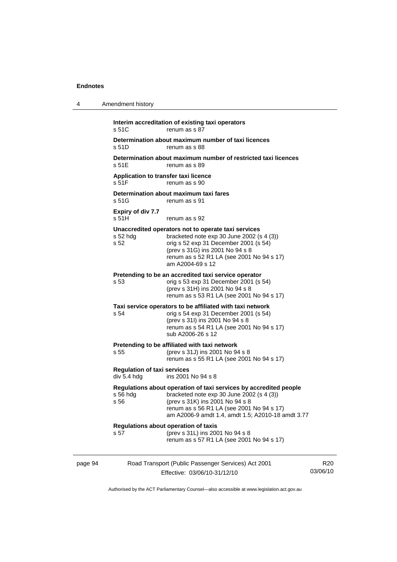| 4       | Amendment history                                                |                                                                                                                                                                                                                                                       |                 |
|---------|------------------------------------------------------------------|-------------------------------------------------------------------------------------------------------------------------------------------------------------------------------------------------------------------------------------------------------|-----------------|
|         | s 51C                                                            | Interim accreditation of existing taxi operators<br>renum as s 87                                                                                                                                                                                     |                 |
|         | s 51D                                                            | Determination about maximum number of taxi licences<br>renum as s 88                                                                                                                                                                                  |                 |
|         | s 51E                                                            | Determination about maximum number of restricted taxi licences<br>renum as s 89                                                                                                                                                                       |                 |
|         | Application to transfer taxi licence<br>s 51F                    | renum as s 90                                                                                                                                                                                                                                         |                 |
|         | Determination about maximum taxi fares<br>s 51G<br>renum as s 91 |                                                                                                                                                                                                                                                       |                 |
|         | <b>Expiry of div 7.7</b><br>s 51H                                | renum as s 92                                                                                                                                                                                                                                         |                 |
|         | s 52 hdg<br>s 52                                                 | Unaccredited operators not to operate taxi services<br>bracketed note $exp 30$ June 2002 (s 4 (3))<br>orig s 52 exp 31 December 2001 (s 54)<br>(prev s 31G) ins 2001 No 94 s 8<br>renum as s 52 R1 LA (see 2001 No 94 s 17)<br>am A2004-69 s 12       |                 |
|         | s 53                                                             | Pretending to be an accredited taxi service operator<br>orig s 53 exp 31 December 2001 (s 54)<br>(prev s 31H) ins 2001 No 94 s 8<br>renum as s 53 R1 LA (see 2001 No 94 s 17)                                                                         |                 |
|         | s 54                                                             | Taxi service operators to be affiliated with taxi network<br>orig s 54 exp 31 December 2001 (s 54)<br>(prev s 31l) ins 2001 No 94 s 8<br>renum as s 54 R1 LA (see 2001 No 94 s 17)<br>sub A2006-26 s 12                                               |                 |
|         | s 55                                                             | Pretending to be affiliated with taxi network<br>(prev s 31J) ins 2001 No 94 s 8<br>renum as s 55 R1 LA (see 2001 No 94 s 17)                                                                                                                         |                 |
|         | <b>Regulation of taxi services</b><br>div 5.4 hdg                | ins 2001 No 94 s 8                                                                                                                                                                                                                                    |                 |
|         | s 56 hdg<br>s 56                                                 | Regulations about operation of taxi services by accredited people<br>bracketed note $exp 30$ June 2002 (s 4 (3))<br>(prev s 31K) ins 2001 No 94 s 8<br>renum as s 56 R1 LA (see 2001 No 94 s 17)<br>am A2006-9 amdt 1.4, amdt 1.5; A2010-18 amdt 3.77 |                 |
|         | s 57                                                             | Regulations about operation of taxis<br>(prev s 31L) ins 2001 No 94 s 8<br>renum as s 57 R1 LA (see 2001 No 94 s 17)                                                                                                                                  |                 |
| page 94 |                                                                  | Road Transport (Public Passenger Services) Act 2001<br>Effective: 03/06/10-31/12/10                                                                                                                                                                   | R20<br>03/06/10 |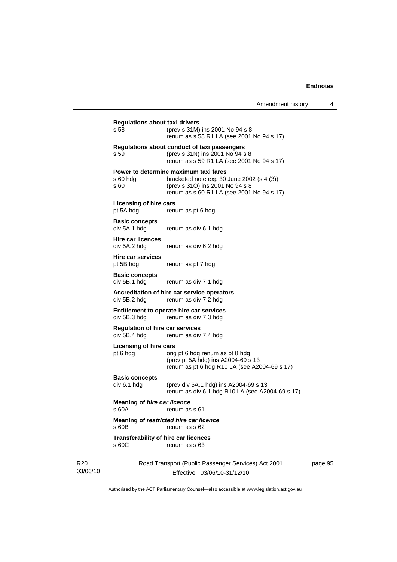page 95

| Amendment history |  |
|-------------------|--|
|-------------------|--|

|                             | <b>Regulations about taxi drivers</b><br>s 58          | (prev s 31M) ins 2001 No 94 s 8<br>renum as s 58 R1 LA (see 2001 No 94 s 17)                                                                                         |  |  |
|-----------------------------|--------------------------------------------------------|----------------------------------------------------------------------------------------------------------------------------------------------------------------------|--|--|
|                             | s 59                                                   | Regulations about conduct of taxi passengers<br>(prev s 31N) ins 2001 No 94 s 8<br>renum as s 59 R1 LA (see 2001 No 94 s 17)                                         |  |  |
|                             | s 60 hdg<br>s 60                                       | Power to determine maximum taxi fares<br>bracketed note $exp 30$ June 2002 (s 4 (3))<br>(prev s 310) ins 2001 No 94 s 8<br>renum as s 60 R1 LA (see 2001 No 94 s 17) |  |  |
|                             | <b>Licensing of hire cars</b><br>pt 5A hdg             | renum as pt 6 hdg                                                                                                                                                    |  |  |
|                             | <b>Basic concepts</b><br>div 5A.1 hdg                  | renum as div 6.1 hdg                                                                                                                                                 |  |  |
|                             | <b>Hire car licences</b><br>div 5A.2 hdg               | renum as div 6.2 hdg                                                                                                                                                 |  |  |
|                             | Hire car services<br>pt 5B hdg                         | renum as pt 7 hdg                                                                                                                                                    |  |  |
|                             | <b>Basic concepts</b><br>div 5B.1 hdg                  | renum as div 7.1 hdg                                                                                                                                                 |  |  |
|                             | div 5B.2 hdg                                           | Accreditation of hire car service operators<br>renum as div 7.2 hdg                                                                                                  |  |  |
|                             | div 5B.3 hdg                                           | Entitlement to operate hire car services<br>renum as div 7.3 hdg                                                                                                     |  |  |
|                             | <b>Regulation of hire car services</b><br>div 5B.4 hdg | renum as div 7.4 hdg                                                                                                                                                 |  |  |
|                             | <b>Licensing of hire cars</b><br>pt 6 hdg              | orig pt 6 hdg renum as pt 8 hdg<br>(prev pt 5A hdg) ins A2004-69 s 13<br>renum as pt 6 hdg R10 LA (see A2004-69 s 17)                                                |  |  |
|                             | <b>Basic concepts</b><br>div 6.1 hdg                   | (prev div 5A.1 hdg) ins A2004-69 s 13<br>renum as div 6.1 hdg R10 LA (see A2004-69 s 17)                                                                             |  |  |
|                             | <b>Meaning of hire car licence</b><br>s 60A            | renum as s 61                                                                                                                                                        |  |  |
|                             | s 60B                                                  | Meaning of restricted hire car licence<br>renum as s 62                                                                                                              |  |  |
|                             | <b>Transferability of hire car licences</b><br>s 60C   | renum as s 63                                                                                                                                                        |  |  |
| R <sub>20</sub><br>03/06/10 |                                                        | Road Transport (Public Passenger Services) Act 2001<br>Effective: 03/06/10-31/12/10                                                                                  |  |  |

Authorised by the ACT Parliamentary Counsel—also accessible at www.legislation.act.gov.au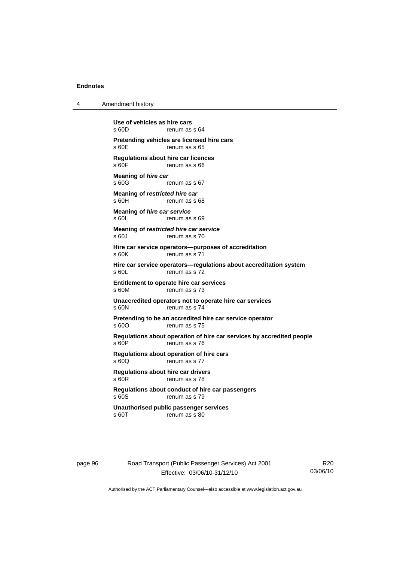4 Amendment history

**Use of vehicles as hire cars**  renum as s 64 **Pretending vehicles are licensed hire cars**  s 60E renum as s 65 **Regulations about hire car licences**  renum as s 66 **Meaning of** *hire car*  s 60G renum as s 67 **Meaning of** *restricted hire car*  s 60H renum as s 68 **Meaning of** *hire car service*  s 60I renum as s 69 **Meaning of** *restricted hire car service*  s 60J renum as s 70 **Hire car service operators—purposes of accreditation**  s 60K renum as s 71 **Hire car service operators—regulations about accreditation system**  s 60L renum as s 72 **Entitlement to operate hire car services**  s 60M renum as s 73 **Unaccredited operators not to operate hire car services**  s 60N renum as s 74 **Pretending to be an accredited hire car service operator**  s 600 renum as s 75 **Regulations about operation of hire car services by accredited people**  s 60P renum as s 76 **Regulations about operation of hire cars**  s 60Q renum as s 77 **Regulations about hire car drivers**  s 60R renum as s 78 **Regulations about conduct of hire car passengers**  s 60S renum as s 79 **Unauthorised public passenger services**  s 60T renum as s 80

page 96 Road Transport (Public Passenger Services) Act 2001 Effective: 03/06/10-31/12/10

R20 03/06/10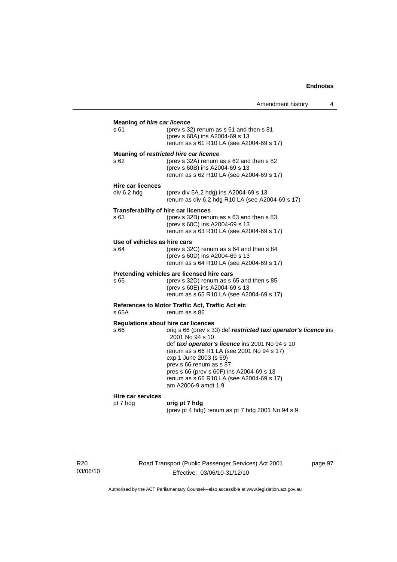|                                                                            | Amendment history                                                                                                                                                                                                                                                                                                                                       |  | 4 |
|----------------------------------------------------------------------------|---------------------------------------------------------------------------------------------------------------------------------------------------------------------------------------------------------------------------------------------------------------------------------------------------------------------------------------------------------|--|---|
| <b>Meaning of hire car licence</b><br>s 61                                 | (prev s 32) renum as s 61 and then s 81<br>(prev s 60A) ins A2004-69 s 13<br>renum as s 61 R10 LA (see A2004-69 s 17)                                                                                                                                                                                                                                   |  |   |
| s 62                                                                       | Meaning of restricted hire car licence<br>(prev s 32A) renum as s 62 and then s 82<br>(prev s 60B) ins A2004-69 s 13<br>renum as s 62 R10 LA (see A2004-69 s 17)                                                                                                                                                                                        |  |   |
| <b>Hire car licences</b><br>div 6.2 hdg                                    | (prev div 5A.2 hdg) ins A2004-69 s 13<br>renum as div 6.2 hdg R10 LA (see A2004-69 s 17)                                                                                                                                                                                                                                                                |  |   |
| <b>Transferability of hire car licences</b><br>s 63                        | (prev s 32B) renum as s 63 and then s 83<br>(prev s 60C) ins A2004-69 s 13<br>renum as s 63 R10 LA (see A2004-69 s 17)                                                                                                                                                                                                                                  |  |   |
| Use of vehicles as hire cars<br>s 64                                       | (prev s $32C$ ) renum as s 64 and then s 84<br>(prev s 60D) ins A2004-69 s 13<br>renum as s 64 R10 LA (see A2004-69 s 17)                                                                                                                                                                                                                               |  |   |
| s 65                                                                       | Pretending vehicles are licensed hire cars<br>(prev s $32D$ ) renum as s 65 and then s 85<br>(prev s 60E) ins A2004-69 s 13<br>renum as s 65 R10 LA (see A2004-69 s 17)                                                                                                                                                                                 |  |   |
| References to Motor Traffic Act, Traffic Act etc<br>s 65A<br>renum as s 86 |                                                                                                                                                                                                                                                                                                                                                         |  |   |
| Regulations about hire car licences<br>s 66                                | orig s 66 (prev s 33) def restricted taxi operator's licence ins<br>2001 No 94 s 10<br>def taxi operator's licence ins 2001 No 94 s 10<br>renum as s 66 R1 LA (see 2001 No 94 s 17)<br>exp 1 June 2003 (s 69)<br>prev s 66 renum as s 87<br>pres s 66 (prev s 60F) ins A2004-69 s 13<br>renum as s 66 R10 LA (see A2004-69 s 17)<br>am A2006-9 amdt 1.9 |  |   |
| Hire car services<br>pt 7 hdg                                              | orig pt 7 hdg<br>(prev pt 4 hdg) renum as pt 7 hdg 2001 No 94 s 9                                                                                                                                                                                                                                                                                       |  |   |

R20 03/06/10 Road Transport (Public Passenger Services) Act 2001 Effective: 03/06/10-31/12/10

page 97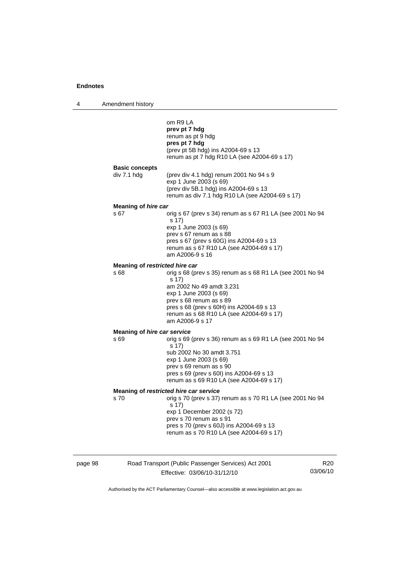4 Amendment history

|                                        | om R9 LA<br>prev pt 7 hdg<br>renum as pt 9 hdg<br>pres pt 7 hdg<br>(prev pt 5B hdg) ins A2004-69 s 13<br>renum as pt 7 hdg R10 LA (see A2004-69 s 17)                                                                                                          |
|----------------------------------------|----------------------------------------------------------------------------------------------------------------------------------------------------------------------------------------------------------------------------------------------------------------|
| <b>Basic concepts</b><br>div 7.1 hdg   | (prev div 4.1 hdg) renum 2001 No 94 s 9<br>exp 1 June 2003 (s 69)<br>(prev div 5B.1 hdg) ins A2004-69 s 13<br>renum as div 7.1 hdg R10 LA (see A2004-69 s 17)                                                                                                  |
| <b>Meaning of hire car</b>             |                                                                                                                                                                                                                                                                |
| s 67                                   | orig s 67 (prev s 34) renum as s 67 R1 LA (see 2001 No 94<br>s 17)                                                                                                                                                                                             |
|                                        | exp 1 June 2003 (s 69)<br>prev s 67 renum as s 88<br>pres s 67 (prev s 60G) ins A2004-69 s 13<br>renum as s 67 R10 LA (see A2004-69 s 17)<br>am A2006-9 s 16                                                                                                   |
| Meaning of restricted hire car         |                                                                                                                                                                                                                                                                |
| s 68                                   | orig s 68 (prev s 35) renum as s 68 R1 LA (see 2001 No 94<br>s 17)<br>am 2002 No 49 amdt 3.231<br>exp 1 June 2003 (s 69)<br>prev s 68 renum as s 89<br>pres s 68 (prev s 60H) ins A2004-69 s 13<br>renum as s 68 R10 LA (see A2004-69 s 17)<br>am A2006-9 s 17 |
| Meaning of <i>hire car service</i>     |                                                                                                                                                                                                                                                                |
| s 69                                   | orig s 69 (prev s 36) renum as s 69 R1 LA (see 2001 No 94<br>s 17)<br>sub 2002 No 30 amdt 3.751<br>exp 1 June 2003 (s 69)<br>prev s 69 renum as s 90<br>pres s 69 (prev s 60l) ins A2004-69 s 13<br>renum as s 69 R10 LA (see A2004-69 s 17)                   |
| Meaning of restricted hire car service |                                                                                                                                                                                                                                                                |
| s 70                                   | orig s 70 (prev s 37) renum as s 70 R1 LA (see 2001 No 94<br>s 17)<br>exp 1 December 2002 (s 72)<br>prev s 70 renum as s 91<br>pres s 70 (prev s 60J) ins A2004-69 s 13<br>renum as s 70 R10 LA (see A2004-69 s 17)                                            |
|                                        |                                                                                                                                                                                                                                                                |

page 98 Road Transport (Public Passenger Services) Act 2001 Effective: 03/06/10-31/12/10

R20 03/06/10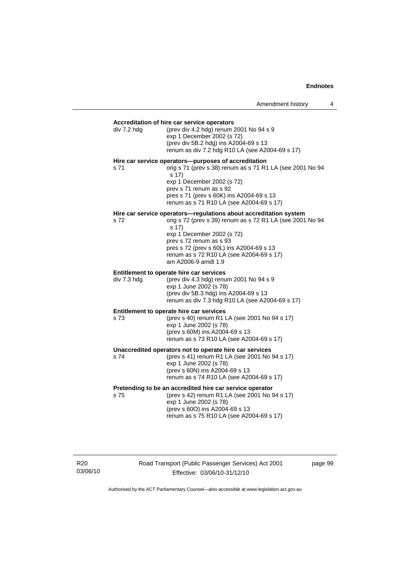#### **Accreditation of hire car service operators**

|             | Accreditation of hire car service operators                                                                                                                                                                                                                                                                     |
|-------------|-----------------------------------------------------------------------------------------------------------------------------------------------------------------------------------------------------------------------------------------------------------------------------------------------------------------|
| div 7.2 hdg | (prev div 4.2 hdg) renum 2001 No 94 s 9<br>exp 1 December 2002 (s 72)<br>(prev div 5B.2 hdg) ins A2004-69 s 13<br>renum as div 7.2 hdg R10 LA (see A2004-69 s 17)                                                                                                                                               |
| s 71        | Hire car service operators--purposes of accreditation<br>orig s 71 (prev s 38) renum as s 71 R1 LA (see 2001 No 94<br>s 17)<br>exp 1 December 2002 (s 72)<br>prev s 71 renum as s 92<br>pres s 71 (prev s 60K) ins A2004-69 s 13<br>renum as s 71 R10 LA (see A2004-69 s 17)                                    |
| s 72        | Hire car service operators-regulations about accreditation system<br>orig s 72 (prev s 39) renum as s 72 R1 LA (see 2001 No 94<br>s 17)<br>exp 1 December 2002 (s 72)<br>prev s 72 renum as s 93<br>pres s 72 (prev s 60L) ins A2004-69 s 13<br>renum as s 72 R10 LA (see A2004-69 s 17)<br>am A2006-9 amdt 1.9 |
| div 7.3 hdg | Entitlement to operate hire car services<br>(prev div 4.3 hdg) renum 2001 No 94 s 9<br>exp 1 June 2002 (s 78)<br>(prev div 5B.3 hdg) ins A2004-69 s 13<br>renum as div 7.3 hdg R10 LA (see A2004-69 s 17)                                                                                                       |
| s 73        | Entitlement to operate hire car services<br>(prev s 40) renum R1 LA (see 2001 No 94 s 17)<br>exp 1 June 2002 (s 78)<br>(prev s 60M) ins A2004-69 s 13<br>renum as s 73 R10 LA (see A2004-69 s 17)                                                                                                               |
| s 74        | Unaccredited operators not to operate hire car services<br>(prev s 41) renum R1 LA (see 2001 No 94 s 17)<br>exp 1 June 2002 (s 78)<br>(prev s 60N) ins A2004-69 s 13<br>renum as s 74 R10 LA (see A2004-69 s 17)                                                                                                |
|             | Pretending to be an accredited hire car service operator<br>$575$ (prev s 42) renum R1   A (see 2001 No 94 s 17)                                                                                                                                                                                                |

s 75 (prev s 42) renum R1 LA (see 2001 No 94 s 17) exp 1 June 2002 (s 78) (prev s 60O) ins A2004-69 s 13 renum as s 75 R10 LA (see A2004-69 s 17)

R20 03/06/10 Road Transport (Public Passenger Services) Act 2001 Effective: 03/06/10-31/12/10

page 99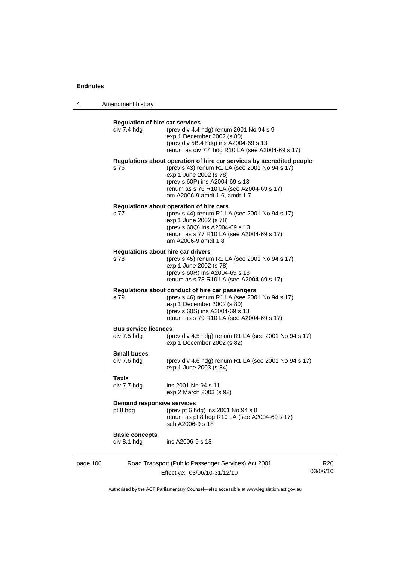| 4        | Amendment history                                     |                                                                                                                                                                                                                                                                 |                 |
|----------|-------------------------------------------------------|-----------------------------------------------------------------------------------------------------------------------------------------------------------------------------------------------------------------------------------------------------------------|-----------------|
|          | <b>Regulation of hire car services</b><br>div 7.4 hdg | (prev div 4.4 hdg) renum 2001 No 94 s 9<br>exp 1 December 2002 (s 80)<br>(prev div 5B.4 hdg) ins A2004-69 s 13<br>renum as div 7.4 hdg R10 LA (see A2004-69 s 17)                                                                                               |                 |
|          | s 76                                                  | Regulations about operation of hire car services by accredited people<br>(prev s 43) renum R1 LA (see 2001 No 94 s 17)<br>exp 1 June 2002 (s 78)<br>(prev s 60P) ins A2004-69 s 13<br>renum as s 76 R10 LA (see A2004-69 s 17)<br>am A2006-9 amdt 1.6, amdt 1.7 |                 |
|          | s 77                                                  | Regulations about operation of hire cars<br>(prev s 44) renum R1 LA (see 2001 No 94 s 17)<br>exp 1 June 2002 (s 78)<br>(prev s 60Q) ins A2004-69 s 13<br>renum as s 77 R10 LA (see A2004-69 s 17)<br>am A2006-9 amdt 1.8                                        |                 |
|          | Regulations about hire car drivers<br>s 78            | (prev s 45) renum R1 LA (see 2001 No 94 s 17)<br>exp 1 June 2002 (s 78)<br>(prev s 60R) ins A2004-69 s 13<br>renum as s 78 R10 LA (see A2004-69 s 17)                                                                                                           |                 |
|          | s 79                                                  | Regulations about conduct of hire car passengers<br>(prev s 46) renum R1 LA (see 2001 No 94 s 17)<br>exp 1 December 2002 (s 80)<br>(prev s 60S) ins A2004-69 s 13<br>renum as s 79 R10 LA (see A2004-69 s 17)                                                   |                 |
|          | <b>Bus service licences</b><br>div 7.5 hdg            | (prev div 4.5 hdg) renum R1 LA (see 2001 No 94 s 17)<br>exp 1 December 2002 (s 82)                                                                                                                                                                              |                 |
|          | <b>Small buses</b><br>div 7.6 hdg                     | (prev div 4.6 hdg) renum R1 LA (see 2001 No 94 s 17)<br>exp 1 June 2003 (s 84)                                                                                                                                                                                  |                 |
|          | Taxis<br>div 7.7 hdg                                  | ins 2001 No 94 s 11<br>exp 2 March 2003 (s 92)                                                                                                                                                                                                                  |                 |
|          | <b>Demand responsive services</b><br>pt 8 hdg         | (prev pt 6 hdg) ins 2001 No 94 s 8<br>renum as pt 8 hdg R10 LA (see A2004-69 s 17)<br>sub A2006-9 s 18                                                                                                                                                          |                 |
|          | <b>Basic concepts</b><br>div 8.1 hdg                  | ins A2006-9 s 18                                                                                                                                                                                                                                                |                 |
| page 100 |                                                       | Road Transport (Public Passenger Services) Act 2001<br>Effective: 03/06/10-31/12/10                                                                                                                                                                             | R20<br>03/06/10 |

Authorised by the ACT Parliamentary Counsel—also accessible at www.legislation.act.gov.au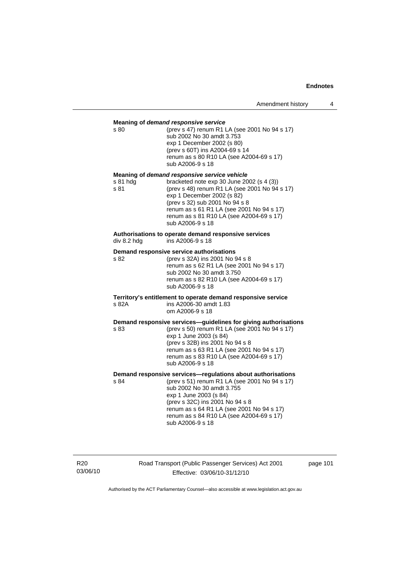| s 80             | Meaning of demand responsive service<br>(prev s 47) renum R1 LA (see 2001 No 94 s 17)<br>sub 2002 No 30 amdt 3.753<br>exp 1 December 2002 (s 80)<br>(prev s 60T) ins A2004-69 s 14<br>renum as s 80 R10 LA (see A2004-69 s 17)<br>sub A2006-9 s 18                                                                      |
|------------------|-------------------------------------------------------------------------------------------------------------------------------------------------------------------------------------------------------------------------------------------------------------------------------------------------------------------------|
| s 81 hdg<br>s 81 | Meaning of demand responsive service vehicle<br>bracketed note exp 30 June 2002 (s 4 (3))<br>(prev s 48) renum R1 LA (see 2001 No 94 s 17)<br>exp 1 December 2002 (s 82)<br>(prev s 32) sub 2001 No 94 s 8<br>renum as s 61 R1 LA (see 2001 No 94 s 17)<br>renum as s 81 R10 LA (see A2004-69 s 17)<br>sub A2006-9 s 18 |
| div 8.2 hdg      | Authorisations to operate demand responsive services<br>ins A2006-9 s 18                                                                                                                                                                                                                                                |
| s 82             | Demand responsive service authorisations<br>(prev s 32A) ins 2001 No 94 s 8<br>renum as s 62 R1 LA (see 2001 No 94 s 17)<br>sub 2002 No 30 amdt 3.750<br>renum as s 82 R10 LA (see A2004-69 s 17)<br>sub A2006-9 s 18                                                                                                   |
| s 82A            | Territory's entitlement to operate demand responsive service<br>ins A2006-30 amdt 1.83<br>om A2006-9 s 18                                                                                                                                                                                                               |
| s 83             | Demand responsive services-guidelines for giving authorisations<br>(prev s 50) renum R1 LA (see 2001 No 94 s 17)<br>exp 1 June 2003 (s 84)<br>(prev s 32B) ins 2001 No 94 s 8<br>renum as s 63 R1 LA (see 2001 No 94 s 17)<br>renum as s 83 R10 LA (see A2004-69 s 17)<br>sub A2006-9 s 18                              |
| s 84             | Demand responsive services-regulations about authorisations<br>(prev s 51) renum R1 LA (see 2001 No 94 s 17)<br>sub 2002 No 30 amdt 3.755<br>exp 1 June 2003 (s 84)<br>(prev s 32C) ins 2001 No 94 s 8<br>renum as s 64 R1 LA (see 2001 No 94 s 17)<br>renum as s 84 R10 LA (see A2004-69 s 17)<br>sub A2006-9 s 18     |

R20 03/06/10 Road Transport (Public Passenger Services) Act 2001 Effective: 03/06/10-31/12/10

page 101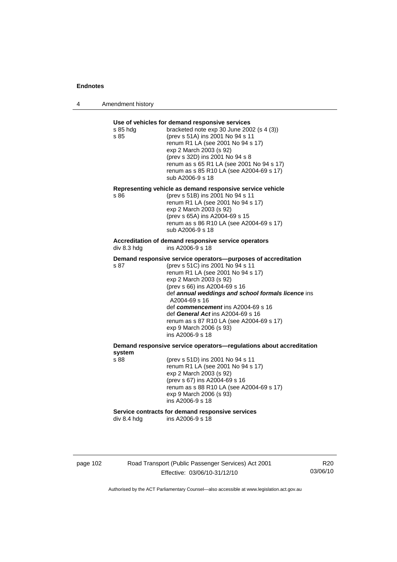| 4 | Amendment history |
|---|-------------------|
|---|-------------------|

| s 85 hdg<br>s 85 | Use of vehicles for demand responsive services<br>bracketed note exp 30 June 2002 (s 4 (3))<br>(prev s 51A) ins 2001 No 94 s 11<br>renum R1 LA (see 2001 No 94 s 17)<br>exp 2 March 2003 (s 92)<br>(prev s 32D) ins 2001 No 94 s 8<br>renum as s 65 R1 LA (see 2001 No 94 s 17)<br>renum as s 85 R10 LA (see A2004-69 s 17)<br>sub A2006-9 s 18                                                                                                  |
|------------------|--------------------------------------------------------------------------------------------------------------------------------------------------------------------------------------------------------------------------------------------------------------------------------------------------------------------------------------------------------------------------------------------------------------------------------------------------|
| s 86             | Representing vehicle as demand responsive service vehicle<br>(prev s 51B) ins 2001 No 94 s 11<br>renum R1 LA (see 2001 No 94 s 17)<br>exp 2 March 2003 (s 92)<br>(prev s 65A) ins A2004-69 s 15<br>renum as s 86 R10 LA (see A2004-69 s 17)<br>sub A2006-9 s 18                                                                                                                                                                                  |
| div 8.3 hdg      | Accreditation of demand responsive service operators<br>ins A2006-9 s 18                                                                                                                                                                                                                                                                                                                                                                         |
| s 87             | Demand responsive service operators--purposes of accreditation<br>(prev s 51C) ins 2001 No 94 s 11<br>renum R1 LA (see 2001 No 94 s 17)<br>exp 2 March 2003 (s 92)<br>(prev s 66) ins A2004-69 s 16<br>def annual weddings and school formals licence ins<br>A2004-69 s 16<br>def commencement ins A2004-69 s 16<br>def General Act ins A2004-69 s 16<br>renum as s 87 R10 LA (see A2004-69 s 17)<br>exp 9 March 2006 (s 93)<br>ins A2006-9 s 18 |
| system           | Demand responsive service operators-regulations about accreditation                                                                                                                                                                                                                                                                                                                                                                              |
| s 88             | (prev s 51D) ins 2001 No 94 s 11<br>renum R1 LA (see 2001 No 94 s 17)<br>exp 2 March 2003 (s 92)<br>(prev s 67) ins A2004-69 s 16<br>renum as s 88 R10 LA (see A2004-69 s 17)<br>exp 9 March 2006 (s 93)                                                                                                                                                                                                                                         |
|                  | ins A2006-9 s 18                                                                                                                                                                                                                                                                                                                                                                                                                                 |

page 102 Road Transport (Public Passenger Services) Act 2001 Effective: 03/06/10-31/12/10

R20 03/06/10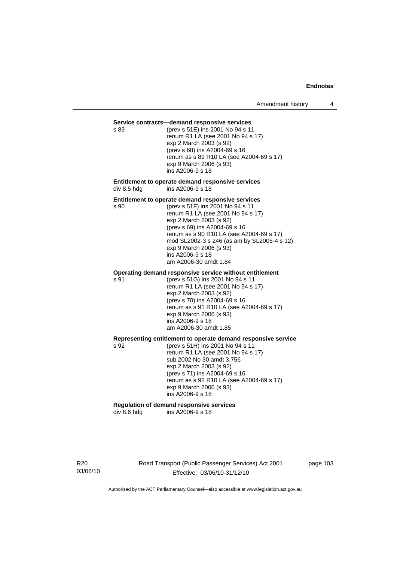#### **Service contracts—demand responsive services**

s 89 (prev s 51E) ins 2001 No 94 s 11 renum R1 LA (see 2001 No 94 s 17) exp 2 March 2003 (s 92) (prev s 68) ins A2004-69 s 16 renum as s 89 R10 LA (see A2004-69 s 17) exp 9 March 2006 (s 93) ins A2006-9 s 18

#### **Entitlement to operate demand responsive services**  div 8.5 hdg ins A2006-9 s 18

#### **Entitlement to operate demand responsive services**

s 90 (prev s 51F) ins 2001 No 94 s 11 renum R1 LA (see 2001 No 94 s 17) exp 2 March 2003 (s 92) (prev s 69) ins A2004-69 s 16 renum as s 90 R10 LA (see A2004-69 s 17) mod SL2002-3 s 246 (as am by SL2005-4 s 12) exp 9 March 2006 (s 93) ins A2006-9 s 18 am A2006-30 amdt 1.84

#### **Operating demand responsive service without entitlement**

s 91 (prev s 51G) ins 2001 No 94 s 11 renum R1 LA (see 2001 No 94 s 17) exp 2 March 2003 (s 92) (prev s 70) ins A2004-69 s 16 renum as s 91 R10 LA (see A2004-69 s 17) exp 9 March 2006 (s 93) ins A2006-9 s 18 am A2006-30 amdt 1.85

## **Representing entitlement to operate demand responsive service**

s 92 (prev s 51H) ins 2001 No 94 s 11 renum R1 LA (see 2001 No 94 s 17) sub 2002 No 30 amdt 3.756 exp 2 March 2003 (s 92) (prev s 71) ins A2004-69 s 16 renum as s 92 R10 LA (see A2004-69 s 17) exp 9 March 2006 (s 93) ins A2006-9 s 18

# **Regulation of demand responsive services**

div 8.6 hdg ins A2006-9 s 18

R20 03/06/10 Road Transport (Public Passenger Services) Act 2001 Effective: 03/06/10-31/12/10

page 103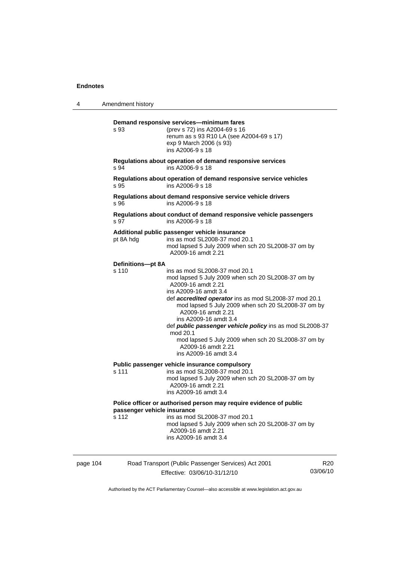| 4        | Amendment history                                                                                                                                                                                                                                                                                                                                                                                                                                                                                           |
|----------|-------------------------------------------------------------------------------------------------------------------------------------------------------------------------------------------------------------------------------------------------------------------------------------------------------------------------------------------------------------------------------------------------------------------------------------------------------------------------------------------------------------|
|          | Demand responsive services-minimum fares<br>s 93<br>(prev s 72) ins A2004-69 s 16<br>renum as s 93 R10 LA (see A2004-69 s 17)<br>exp 9 March 2006 (s 93)<br>ins A2006-9 s 18                                                                                                                                                                                                                                                                                                                                |
|          | Regulations about operation of demand responsive services<br>ins A2006-9 s 18<br>s 94                                                                                                                                                                                                                                                                                                                                                                                                                       |
|          | Regulations about operation of demand responsive service vehicles<br>ins A2006-9 s 18<br>s 95                                                                                                                                                                                                                                                                                                                                                                                                               |
|          | Regulations about demand responsive service vehicle drivers<br>s 96<br>ins A2006-9 s 18                                                                                                                                                                                                                                                                                                                                                                                                                     |
|          | Regulations about conduct of demand responsive vehicle passengers<br>s 97<br>ins A2006-9 s 18                                                                                                                                                                                                                                                                                                                                                                                                               |
|          | Additional public passenger vehicle insurance<br>ins as mod SL2008-37 mod 20.1<br>pt 8A hdg<br>mod lapsed 5 July 2009 when sch 20 SL2008-37 om by<br>A2009-16 amdt 2.21                                                                                                                                                                                                                                                                                                                                     |
|          | Definitions-pt 8A<br>s 110<br>ins as mod SL2008-37 mod 20.1<br>mod lapsed 5 July 2009 when sch 20 SL2008-37 om by<br>A2009-16 amdt 2.21<br>ins A2009-16 amdt 3.4<br>def accredited operator ins as mod SL2008-37 mod 20.1<br>mod lapsed 5 July 2009 when sch 20 SL2008-37 om by<br>A2009-16 amdt 2.21<br>ins A2009-16 amdt 3.4<br>def public passenger vehicle policy ins as mod SL2008-37<br>mod 20.1<br>mod lapsed 5 July 2009 when sch 20 SL2008-37 om by<br>A2009-16 amdt 2.21<br>ins A2009-16 amdt 3.4 |
|          | Public passenger vehicle insurance compulsory<br>s 111<br>ins as mod SL2008-37 mod 20.1<br>mod lapsed 5 July 2009 when sch 20 SL2008-37 om by<br>A2009-16 amdt 2.21<br>ins A2009-16 amdt 3.4                                                                                                                                                                                                                                                                                                                |
|          | Police officer or authorised person may require evidence of public<br>passenger vehicle insurance<br>ins as mod SL2008-37 mod 20.1<br>s 112<br>mod lapsed 5 July 2009 when sch 20 SL2008-37 om by<br>A2009-16 amdt 2.21<br>ins A2009-16 amdt 3.4                                                                                                                                                                                                                                                            |
| page 104 | Road Transport (Public Passenger Services) Act 2001<br>R <sub>20</sub>                                                                                                                                                                                                                                                                                                                                                                                                                                      |

Effective: 03/06/10-31/12/10

03/06/10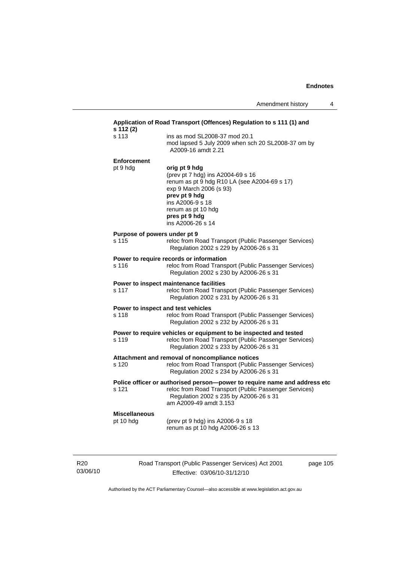| s 113                                 | ins as mod SL2008-37 mod 20.1                                                                                                                                                                                                  |
|---------------------------------------|--------------------------------------------------------------------------------------------------------------------------------------------------------------------------------------------------------------------------------|
|                                       | mod lapsed 5 July 2009 when sch 20 SL2008-37 om by<br>A2009-16 amdt 2.21                                                                                                                                                       |
| <b>Enforcement</b>                    |                                                                                                                                                                                                                                |
| pt 9 hdg                              | orig pt 9 hdg<br>(prev pt 7 hdg) ins A2004-69 s 16<br>renum as pt 9 hdg R10 LA (see A2004-69 s 17)<br>exp 9 March 2006 (s 93)<br>prev pt 9 hdg<br>ins A2006-9 s 18<br>renum as pt 10 hdg<br>pres pt 9 hdg<br>ins A2006-26 s 14 |
| Purpose of powers under pt 9<br>s 115 | reloc from Road Transport (Public Passenger Services)<br>Regulation 2002 s 229 by A2006-26 s 31                                                                                                                                |
| s 116                                 | Power to require records or information<br>reloc from Road Transport (Public Passenger Services)<br>Regulation 2002 s 230 by A2006-26 s 31                                                                                     |
| s 117                                 | Power to inspect maintenance facilities<br>reloc from Road Transport (Public Passenger Services)<br>Regulation 2002 s 231 by A2006-26 s 31                                                                                     |
| s 118                                 | Power to inspect and test vehicles<br>reloc from Road Transport (Public Passenger Services)<br>Regulation 2002 s 232 by A2006-26 s 31                                                                                          |
| s 119                                 | Power to require vehicles or equipment to be inspected and tested<br>reloc from Road Transport (Public Passenger Services)<br>Regulation 2002 s 233 by A2006-26 s 31                                                           |
| s 120                                 | Attachment and removal of noncompliance notices<br>reloc from Road Transport (Public Passenger Services)<br>Regulation 2002 s 234 by A2006-26 s 31                                                                             |
|                                       | Police officer or authorised person-power to require name and address etc                                                                                                                                                      |
| s 121                                 | reloc from Road Transport (Public Passenger Services)<br>Regulation 2002 s 235 by A2006-26 s 31<br>am A2009-49 amdt 3.153                                                                                                      |
| <b>Miscellaneous</b>                  |                                                                                                                                                                                                                                |
| pt 10 hdg                             | (prev pt 9 hdg) ins A2006-9 s 18<br>renum as pt 10 hdg A2006-26 s 13                                                                                                                                                           |

R20 03/06/10 Road Transport (Public Passenger Services) Act 2001 Effective: 03/06/10-31/12/10

page 105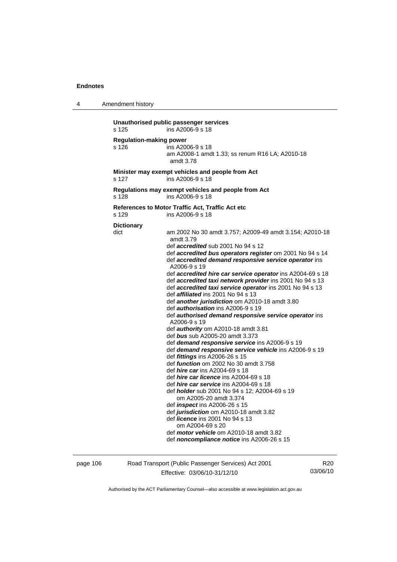4 Amendment history

**Unauthorised public passenger services**  s 125 ins A2006-9 s 18 **Regulation-making power**  s 126 ins A2006-9 s 18 am A2008-1 amdt 1.33; ss renum R16 LA; A2010-18 amdt 3.78 **Minister may exempt vehicles and people from Act**  s 127 ins A2006-9 s 18 **Regulations may exempt vehicles and people from Act**  s 128 ins A2006-9 s 18 **References to Motor Traffic Act, Traffic Act etc**  s 129 ins A2006-9 s 18 **Dictionary**  dict am 2002 No 30 amdt 3.757; A2009-49 amdt 3.154; A2010-18 amdt 3.79 def *accredited* sub 2001 No 94 s 12 def *accredited bus operators register* om 2001 No 94 s 14 def *accredited demand responsive service operator* ins A2006-9 s 19 def *accredited hire car service operator* ins A2004-69 s 18 def *accredited taxi network provider* ins 2001 No 94 s 13 def *accredited taxi service operator* ins 2001 No 94 s 13 def *affiliated* ins 2001 No 94 s 13 def *another jurisdiction* om A2010-18 amdt 3.80 def *authorisation* ins A2006-9 s 19 def *authorised demand responsive service operator* ins A2006-9 s 19 def *authority* om A2010-18 amdt 3.81 def *bus* sub A2005-20 amdt 3.373 def *demand responsive service* ins A2006-9 s 19 def *demand responsive service vehicle* ins A2006-9 s 19 def *fittings* ins A2006-26 s 15 def *function* om 2002 No 30 amdt 3.758 def *hire car* ins A2004-69 s 18 def *hire car licence* ins A2004-69 s 18 def *hire car service* ins A2004-69 s 18 def *holder* sub 2001 No 94 s 12; A2004-69 s 19 om A2005-20 amdt 3.374 def *inspect* ins A2006-26 s 15 def *jurisdiction* om A2010-18 amdt 3.82 def *licence* ins 2001 No 94 s 13 om A2004-69 s 20 def *motor vehicle* om A2010-18 amdt 3.82 def *noncompliance notice* ins A2006-26 s 15

page 106 Road Transport (Public Passenger Services) Act 2001 Effective: 03/06/10-31/12/10

R20 03/06/10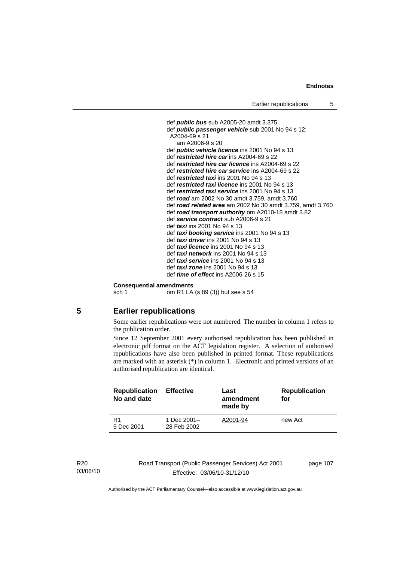def *public bus* sub A2005-20 amdt 3.375 def *public passenger vehicle* sub 2001 No 94 s 12; A2004-69 s 21 am A2006-9 s 20 def *public vehicle licence* ins 2001 No 94 s 13 def *restricted hire car* ins A2004-69 s 22 def *restricted hire car licence* ins A2004-69 s 22 def *restricted hire car service* ins A2004-69 s 22 def *restricted taxi* ins 2001 No 94 s 13 def *restricted taxi licence* ins 2001 No 94 s 13 def *restricted taxi service* ins 2001 No 94 s 13 def *road* am 2002 No 30 amdt 3.759, amdt 3.760 def *road related area* am 2002 No 30 amdt 3.759, amdt 3.760 def *road transport authority* om A2010-18 amdt 3.82 def *service contract* sub A2006-9 s 21 def *taxi* ins 2001 No 94 s 13 def *taxi booking service* ins 2001 No 94 s 13 def *taxi driver* ins 2001 No 94 s 13 def *taxi licence* ins 2001 No 94 s 13 def *taxi network* ins 2001 No 94 s 13 def *taxi service* ins 2001 No 94 s 13 def *taxi zone* ins 2001 No 94 s 13 def *time of effect* ins A2006-26 s 15

#### **Consequential amendments**

sch 1 om R1 LA (s 89 (3)) but see s 54

## **5 Earlier republications**

Some earlier republications were not numbered. The number in column 1 refers to the publication order.

Since 12 September 2001 every authorised republication has been published in electronic pdf format on the ACT legislation register. A selection of authorised republications have also been published in printed format. These republications are marked with an asterisk (\*) in column 1. Electronic and printed versions of an authorised republication are identical.

| <b>Republication</b><br>No and date | <b>Effective</b>           | Last<br>amendment<br>made by | <b>Republication</b><br>for |
|-------------------------------------|----------------------------|------------------------------|-----------------------------|
| R <sub>1</sub><br>5 Dec 2001        | 1 Dec 2001-<br>28 Feb 2002 | A2001-94                     | new Act                     |

| R20      |
|----------|
| 03/06/10 |

Road Transport (Public Passenger Services) Act 2001 Effective: 03/06/10-31/12/10

page 107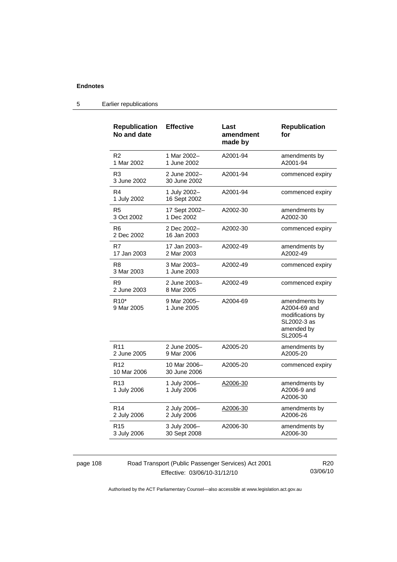| <b>Republication</b><br>No and date | <b>Effective</b>             | Last<br>amendment<br>made by | <b>Republication</b><br>for                                                                |
|-------------------------------------|------------------------------|------------------------------|--------------------------------------------------------------------------------------------|
| R <sub>2</sub><br>1 Mar 2002        | 1 Mar 2002-<br>1 June 2002   | A2001-94                     | amendments by<br>A2001-94                                                                  |
| R <sub>3</sub><br>3 June 2002       | 2 June 2002-<br>30 June 2002 | A2001-94                     | commenced expiry                                                                           |
| R4<br>1 July 2002                   | 1 July 2002-<br>16 Sept 2002 | A2001-94                     | commenced expiry                                                                           |
| R <sub>5</sub><br>3 Oct 2002        | 17 Sept 2002-<br>1 Dec 2002  | A2002-30                     | amendments by<br>A2002-30                                                                  |
| R <sub>6</sub><br>2 Dec 2002        | 2 Dec 2002-<br>16 Jan 2003   | A2002-30                     | commenced expiry                                                                           |
| R7<br>17 Jan 2003                   | 17 Jan 2003-<br>2 Mar 2003   | A2002-49                     | amendments by<br>A2002-49                                                                  |
| R8<br>3 Mar 2003                    | 3 Mar 2003-<br>1 June 2003   | A2002-49                     | commenced expiry                                                                           |
| R <sub>9</sub><br>2 June 2003       | 2 June 2003-<br>8 Mar 2005   | A2002-49                     | commenced expiry                                                                           |
| R <sub>10</sub> *<br>9 Mar 2005     | 9 Mar 2005-<br>1 June 2005   | A2004-69                     | amendments by<br>A2004-69 and<br>modifications by<br>SL2002-3 as<br>amended by<br>SL2005-4 |
| R <sub>11</sub><br>2 June 2005      | 2 June 2005-<br>9 Mar 2006   | A2005-20                     | amendments by<br>A2005-20                                                                  |
| R <sub>12</sub><br>10 Mar 2006      | 10 Mar 2006-<br>30 June 2006 | A2005-20                     | commenced expiry                                                                           |
| R <sub>13</sub><br>1 July 2006      | 1 July 2006-<br>1 July 2006  | A2006-30                     | amendments by<br>A2006-9 and<br>A2006-30                                                   |
| R <sub>14</sub><br>2 July 2006      | 2 July 2006-<br>2 July 2006  | A2006-30                     | amendments by<br>A2006-26                                                                  |
| R <sub>15</sub><br>3 July 2006      | 3 July 2006-<br>30 Sept 2008 | A2006-30                     | amendments by<br>A2006-30                                                                  |

# 5 Earlier republications

page 108 Road Transport (Public Passenger Services) Act 2001 Effective: 03/06/10-31/12/10

R20 03/06/10